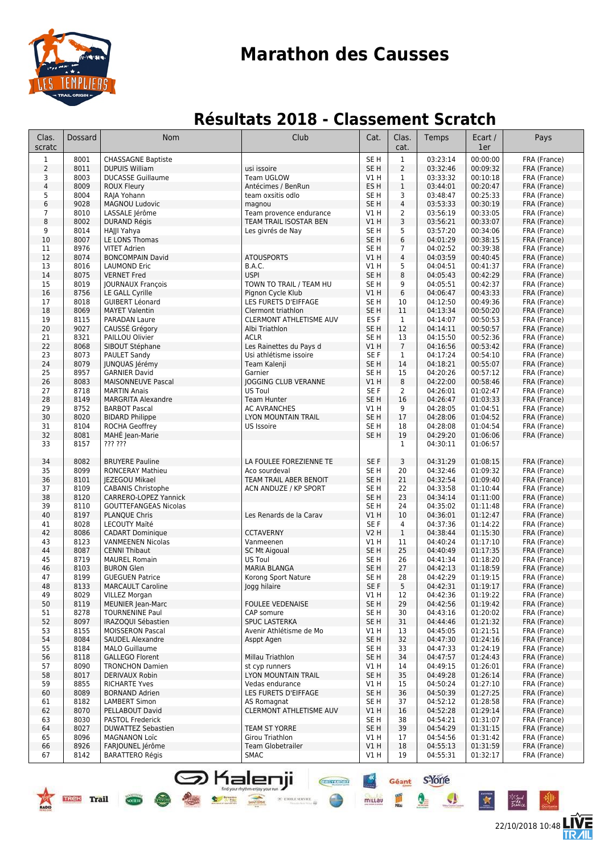

### **Résultats 2018 - Classement Scratch**

| Clas.<br>scratc | Dossard      | <b>Nom</b>                                            | Club                           | Cat.                               | Clas.<br>cat.  | Temps                | Ecart /<br>1er       | Pays                         |
|-----------------|--------------|-------------------------------------------------------|--------------------------------|------------------------------------|----------------|----------------------|----------------------|------------------------------|
| $\mathbf{1}$    | 8001         | <b>CHASSAGNE Baptiste</b>                             |                                | SE <sub>H</sub>                    | $\mathbf{1}$   | 03:23:14             | 00:00:00             | FRA (France)                 |
| $\overline{2}$  | 8011         | <b>DUPUIS William</b>                                 | usi issoire                    | SE <sub>H</sub>                    | $\overline{2}$ | 03:32:46             | 00:09:32             | FRA (France)                 |
| 3               | 8003         | <b>DUCASSE Guillaume</b>                              | Team UGLOW                     | V1 H                               | $\mathbf{1}$   | 03:33:32             | 00:10:18             | FRA (France)                 |
| $\overline{4}$  | 8009         | <b>ROUX Fleury</b>                                    | Antécimes / BenRun             | ES <sub>H</sub>                    | $\mathbf{1}$   | 03:44:01             | 00:20:47             | FRA (France)                 |
| 5               | 8004         | RAJA Yohann                                           | team oxsitis odlo              | SE <sub>H</sub>                    | 3              | 03:48:47             | 00:25:33             | FRA (France)                 |
| 6               | 9028         | <b>MAGNOU Ludovic</b>                                 | magnou                         | SE <sub>H</sub>                    | 4              | 03:53:33             | 00:30:19             | FRA (France)                 |
| $\overline{7}$  | 8010         | LASSALE Jérôme                                        | Team provence endurance        | V1 H                               | $\overline{2}$ | 03:56:19             | 00:33:05             | FRA (France)                 |
| 8               | 8002         | <b>DURAND Régis</b>                                   | TEAM TRAIL ISOSTAR BEN         | V1H                                | 3              | 03:56:21             | 00:33:07             | FRA (France)                 |
| 9               | 8014<br>8007 | HAJJI Yahya<br>LE LONS Thomas                         | Les givrés de Nay              | SE <sub>H</sub><br>SE <sub>H</sub> | 5<br>6         | 03:57:20<br>04:01:29 | 00:34:06<br>00:38:15 | FRA (France)                 |
| 10<br>11        | 8976         | <b>VITET Adrien</b>                                   |                                | SE <sub>H</sub>                    | 7              | 04:02:52             | 00:39:38             | FRA (France)<br>FRA (France) |
| 12              | 8074         | <b>BONCOMPAIN David</b>                               | <b>ATOUSPORTS</b>              | V1H                                | $\overline{4}$ | 04:03:59             | 00:40:45             | FRA (France)                 |
| 13              | 8016         | <b>LAUMOND Eric</b>                                   | B.A.C.                         | VIH                                | 5              | 04:04:51             | 00:41:37             | FRA (France)                 |
| 14              | 8075         | <b>VERNET Fred</b>                                    | <b>USPI</b>                    | SE <sub>H</sub>                    | 8              | 04:05:43             | 00:42:29             | FRA (France)                 |
| 15              | 8019         | <b>JOURNAUX François</b>                              | TOWN TO TRAIL / TEAM HU        | SE <sub>H</sub>                    | 9              | 04:05:51             | 00:42:37             | FRA (France)                 |
| 16              | 8756         | LE GALL Cyrille                                       | Pignon Cycle Klub              | VIH                                | 6              | 04:06:47             | 00:43:33             | FRA (France)                 |
| 17              | 8018         | <b>GUIBERT Léonard</b>                                | LES FURETS D'EIFFAGE           | SE <sub>H</sub>                    | 10             | 04:12:50             | 00:49:36             | FRA (France)                 |
| 18              | 8069         | <b>MAYET Valentin</b>                                 | Clermont triathlon             | SE <sub>H</sub>                    | 11             | 04:13:34             | 00:50:20             | FRA (France)                 |
| 19              | 8115         | <b>PARADAN Laure</b>                                  | CLERMONT ATHLETISME AUV        | ES <sub>F</sub>                    | $\mathbf{1}$   | 04:14:07             | 00:50:53             | FRA (France)                 |
| 20              | 9027         | CAUSSÉ Grégory                                        | Albi Triathlon                 | SE <sub>H</sub>                    | 12             | 04:14:11             | 00:50:57             | FRA (France)                 |
| 21              | 8321         | PAILLOU Olivier                                       | <b>ACLR</b>                    | SE <sub>H</sub>                    | 13             | 04:15:50             | 00:52:36             | FRA (France)                 |
| 22              | 8068         | SIBOUT Stéphane                                       | Les Rainettes du Pays d        | V1H                                | $\overline{7}$ | 04:16:56             | 00:53:42             | FRA (France)                 |
| 23              | 8073         | <b>PAULET Sandy</b>                                   | Usi athlétisme issoire         | SE <sub>F</sub>                    | $\mathbf{1}$   | 04:17:24             | 00:54:10             | FRA (France)                 |
| 24<br>25        | 8079<br>8957 | <b>JUNQUAS Jérémy</b><br><b>GARNIER David</b>         | Team Kalenji<br>Garnier        | SE <sub>H</sub><br>SE <sub>H</sub> | 14<br>15       | 04:18:21             | 00:55:07<br>00:57:12 | FRA (France)                 |
| 26              | 8083         | <b>MAISONNEUVE Pascal</b>                             | JOGGING CLUB VERANNE           | VIH                                | 8              | 04:20:26<br>04:22:00 | 00:58:46             | FRA (France)<br>FRA (France) |
| 27              | 8718         | <b>MARTIN Anais</b>                                   | <b>US Toul</b>                 | SE F                               | 2              | 04:26:01             | 01:02:47             | FRA (France)                 |
| 28              | 8149         | <b>MARGRITA Alexandre</b>                             | <b>Team Hunter</b>             | SE <sub>H</sub>                    | 16             | 04:26:47             | 01:03:33             | FRA (France)                 |
| 29              | 8752         | <b>BARBOT Pascal</b>                                  | <b>AC AVRANCHES</b>            | V1H                                | 9              | 04:28:05             | 01:04:51             | FRA (France)                 |
| 30              | 8020         | <b>BIDARD Philippe</b>                                | <b>LYON MOUNTAIN TRAIL</b>     | SE <sub>H</sub>                    | 17             | 04:28:06             | 01:04:52             | FRA (France)                 |
| 31              | 8104         | ROCHA Geoffrey                                        | US Issoire                     | SE <sub>H</sub>                    | 18             | 04:28:08             | 01:04:54             | FRA (France)                 |
| 32              | 8081         | MAHÉ Jean-Marie                                       |                                | SE <sub>H</sub>                    | 19             | 04:29:20             | 01:06:06             | FRA (France)                 |
| 33              | 8157         | ??? ???                                               |                                |                                    | $\mathbf{1}$   | 04:30:11             | 01:06:57             |                              |
| 34              | 8082         | <b>BRUYERE Pauline</b>                                | LA FOULEE FOREZIENNE TE        | SE F                               | 3              | 04:31:29             | 01:08:15             | FRA (France)                 |
| 35              | 8099         | <b>RONCERAY Mathieu</b>                               | Aco sourdeval                  | SE <sub>H</sub>                    | 20             | 04:32:46             | 01:09:32             | FRA (France)                 |
| 36              | 8101         | JEZEGOU Mikael                                        | TEAM TRAIL ABER BENOIT         | SE <sub>H</sub>                    | 21             | 04:32:54             | 01:09:40             | FRA (France)                 |
| 37              | 8109         | <b>CABANIS Christophe</b>                             | ACN ANDUZE / KP SPORT          | SE <sub>H</sub>                    | 22             | 04:33:58             | 01:10:44             | FRA (France)                 |
| 38<br>39        | 8120<br>8110 | CARRERO-LOPEZ Yannick<br><b>GOUTTEFANGEAS Nicolas</b> |                                | SE <sub>H</sub><br>SE <sub>H</sub> | 23<br>24       | 04:34:14<br>04:35:02 | 01:11:00<br>01:11:48 | FRA (France)<br>FRA (France) |
| 40              | 8197         | <b>PLANQUE Chris</b>                                  | Les Renards de la Carav        | V1 H                               | 10             | 04:36:01             | 01:12:47             | FRA (France)                 |
| 41              | 8028         | LECOUTY Maïté                                         |                                | SE <sub>F</sub>                    | 4              | 04:37:36             | 01:14:22             | FRA (France)                 |
| 42              | 8086         | <b>CADART Dominique</b>                               | <b>CCTAVERNY</b>               | <b>V2 H</b>                        | $\mathbf{1}$   | 04:38:44             | 01:15:30             | FRA (France)                 |
| 43              | 8123         | <b>VANMEENEN Nicolas</b>                              | Vanmeenen                      | V1 H                               | 11             | 04:40:24             | 01:17:10             | FRA (France)                 |
| 44              | 8087         | <b>CENNI Thibaut</b>                                  | <b>SC Mt Aigoual</b>           | SE <sub>H</sub>                    | 25             | 04:40:49             | 01:17:35             | FRA (France)                 |
| 45              | 8719         | <b>MAUREL Romain</b>                                  | US Toul                        | SE <sub>H</sub>                    | 26             | 04:41:34             | 01:18:20             | FRA (France)                 |
| 46              | 8103         | <b>BURON Glen</b>                                     | MARIA BLANGA                   | SE <sub>H</sub>                    | 27             | 04:42:13             | 01:18:59             | FRA (France)                 |
| 47              | 8199         | <b>GUEGUEN Patrice</b>                                | Korong Sport Nature            | SE <sub>H</sub>                    | 28             | 04:42:29             | 01:19:15             | FRA (France)                 |
| 48              | 8133         | <b>MARCAULT Caroline</b>                              | Jogg hilaire                   | SE F                               | 5              | 04:42:31             | 01:19:17             | FRA (France)                 |
| 49              | 8029         | <b>VILLEZ Morgan</b>                                  |                                | VIH                                | 12             | 04:42:36             | 01:19:22             | FRA (France)                 |
| 50              | 8119         | MEUNIER Jean-Marc                                     | <b>FOULEE VEDENAISE</b>        | SE <sub>H</sub>                    | 29             | 04:42:56             | 01:19:42             | FRA (France)                 |
| 51              | 8278         | <b>TOURNENINE Paul</b>                                | CAP somure                     | SE H                               | 30             | 04:43:16             | 01:20:02             | FRA (France)                 |
| 52              | 8097         | IRAZOQUI Sébastien                                    | SPUC LASTERKA                  | SE H                               | 31             | 04:44:46             | 01:21:32             | FRA (France)                 |
| 53<br>54        | 8155<br>8084 | <b>MOISSERON Pascal</b><br>SAUDEL Alexandre           | Avenir Athlétisme de Mo        | V1 H<br>SE H                       | 13<br>32       | 04:45:05<br>04:47:30 | 01:21:51<br>01:24:16 | FRA (France)<br>FRA (France) |
| 55              | 8184         | <b>MALO Guillaume</b>                                 | Asppt Agen                     | SE <sub>H</sub>                    | 33             | 04:47:33             | 01:24:19             | FRA (France)                 |
| 56              | 8118         | <b>GALLEGO Florent</b>                                | Millau Triathlon               | SE <sub>H</sub>                    | 34             | 04:47:57             | 01:24:43             | FRA (France)                 |
| 57              | 8090         | <b>TRONCHON Damien</b>                                | st cyp runners                 | V1 H                               | 14             | 04:49:15             | 01:26:01             | FRA (France)                 |
| 58              | 8017         | DERIVAUX Robin                                        | LYON MOUNTAIN TRAIL            | SE <sub>H</sub>                    | 35             | 04:49:28             | 01:26:14             | FRA (France)                 |
| 59              | 8855         | <b>RICHARTE Yves</b>                                  | Vedas endurance                | V1 H                               | 15             | 04:50:24             | 01:27:10             | FRA (France)                 |
| 60              | 8089         | <b>BORNAND Adrien</b>                                 | LES FURETS D'EIFFAGE           | SE <sub>H</sub>                    | 36             | 04:50:39             | 01:27:25             | FRA (France)                 |
| 61              | 8182         | <b>LAMBERT Simon</b>                                  | AS Romagnat                    | SE H                               | 37             | 04:52:12             | 01:28:58             | FRA (France)                 |
| 62              | 8070         | PELLABOUT David                                       | <b>CLERMONT ATHLETISME AUV</b> | V1 H                               | 16             | 04:52:28             | 01:29:14             | FRA (France)                 |
| 63              | 8030         | PASTOL Frederick                                      |                                | SE H                               | 38             | 04:54:21             | 01:31:07             | FRA (France)                 |
| 64              | 8027         | DUWATTEZ Sebastien                                    | TEAM ST YORRE                  | SE H                               | 39             | 04:54:29             | 01:31:15             | FRA (France)                 |
| 65              | 8096         | <b>MAGNANON Loïc</b>                                  | Girou Triathlon                | V1 H                               | 17             | 04:54:56             | 01:31:42             | FRA (France)                 |
| 66              | 8926         | FARJOUNEL Jérôme                                      | <b>Team Globetrailer</b>       | V1 H                               | 18             | 04:55:13             | 01:31:59             | FRA (France)                 |
| 67              | 8142         | <b>BARATTERO Régis</b>                                | <b>SMAC</b>                    | V1 H                               | 19             | 04:55:31             | 01:32:17             | FRA (France)                 |

**Shalenji** 

TREK Trail Com

22/10/2018 10:48

E

Géant S'Yorre

 $\bullet$ 

 $\mathbf{r}$ 

**CHOTERON** 

 $+**x**$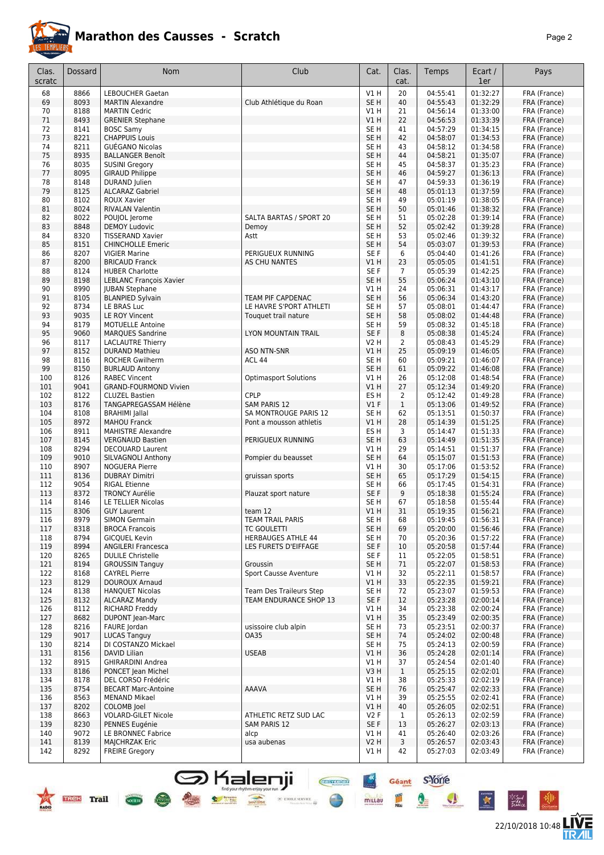

22/10/2018 10:48

**LIVE<br>TR***A***IL** 

Géant S-Yone

Q

I

 $\mathbf{A}$ 

**CHEFFIORE** 

 $+ x$ 

millau

| Clas.      | Dossard      | <b>Nom</b>                                         | Club                                         | Cat.                               | Clas.              | Temps                | Ecart /              | Pays                         |
|------------|--------------|----------------------------------------------------|----------------------------------------------|------------------------------------|--------------------|----------------------|----------------------|------------------------------|
| scratc     |              |                                                    |                                              |                                    | cat.               |                      | 1er                  |                              |
| 68         | 8866         | <b>LEBOUCHER Gaetan</b>                            |                                              | V1H                                | 20                 | 04:55:41             | 01:32:27             | FRA (France)                 |
| 69         | 8093         | <b>MARTIN Alexandre</b>                            | Club Athlétique du Roan                      | SE <sub>H</sub>                    | 40                 | 04:55:43             | 01:32:29             | FRA (France)                 |
| 70<br>71   | 8188<br>8493 | <b>MARTIN Cedric</b>                               |                                              | V1 H<br>VIH                        | 21<br>22           | 04:56:14<br>04:56:53 | 01:33:00<br>01:33:39 | FRA (France)                 |
| 72         | 8141         | <b>GRENIER Stephane</b><br><b>BOSC Samv</b>        |                                              | SE <sub>H</sub>                    | 41                 | 04:57:29             | 01:34:15             | FRA (France)<br>FRA (France) |
| 73         | 8221         | <b>CHAPPUIS Louis</b>                              |                                              | SE <sub>H</sub>                    | 42                 | 04:58:07             | 01:34:53             | FRA (France)                 |
| 74         | 8211         | GUEGANO Nicolas                                    |                                              | SE H                               | 43                 | 04:58:12             | 01:34:58             | FRA (France)                 |
| 75         | 8935         | <b>BALLANGER Benoît</b>                            |                                              | SE <sub>H</sub>                    | 44                 | 04:58:21             | 01:35:07             | FRA (France)                 |
| 76         | 8035         | <b>SUSINI Gregory</b>                              |                                              | SE H                               | 45                 | 04:58:37             | 01:35:23             | FRA (France)                 |
| 77         | 8095         | <b>GIRAUD Philippe</b>                             |                                              | SE <sub>H</sub>                    | 46                 | 04:59:27             | 01:36:13             | FRA (France)                 |
| 78         | 8148         | DURAND Julien                                      |                                              | SE H                               | 47                 | 04:59:33             | 01:36:19             | FRA (France)                 |
| 79         | 8125         | <b>ALCARAZ Gabriel</b>                             |                                              | SE <sub>H</sub>                    | 48                 | 05:01:13             | 01:37:59             | FRA (France)                 |
| 80         | 8102         | ROUX Xavier<br><b>RIVALAN Valentin</b>             |                                              | SE <sub>H</sub>                    | 49                 | 05:01:19             | 01:38:05             | FRA (France)                 |
| 81<br>82   | 8024<br>8022 | POUJOL Jerome                                      | SALTA BARTAS / SPORT 20                      | SE <sub>H</sub><br>SE H            | 50<br>51           | 05:01:46<br>05:02:28 | 01:38:32<br>01:39:14 | FRA (France)<br>FRA (France) |
| 83         | 8848         | <b>DEMOY Ludovic</b>                               | Demoy                                        | SE <sub>H</sub>                    | 52                 | 05:02:42             | 01:39:28             | FRA (France)                 |
| 84         | 8320         | <b>TISSERAND Xavier</b>                            | Astt                                         | SE <sub>H</sub>                    | 53                 | 05:02:46             | 01:39:32             | FRA (France)                 |
| 85         | 8151         | <b>CHINCHOLLE Emeric</b>                           |                                              | SE <sub>H</sub>                    | 54                 | 05:03:07             | 01:39:53             | FRA (France)                 |
| 86         | 8207         | <b>VIGIER Marine</b>                               | PERIGUEUX RUNNING                            | SE F                               | 6                  | 05:04:40             | 01:41:26             | FRA (France)                 |
| 87         | 8200         | <b>BRICAUD Franck</b>                              | AS CHU NANTES                                | V1 H                               | 23                 | 05:05:05             | 01:41:51             | FRA (France)                 |
| 88         | 8124         | <b>HUBER Charlotte</b>                             |                                              | SE F                               | $\overline{7}$     | 05:05:39             | 01:42:25             | FRA (France)                 |
| 89         | 8198         | <b>LEBLANC François Xavier</b>                     |                                              | SE <sub>H</sub>                    | 55                 | 05:06:24             | 01:43:10             | FRA (France)                 |
| 90         | 8990         | <b>JUBAN Stephane</b>                              |                                              | V1 H                               | 24                 | 05:06:31<br>05:06:34 | 01:43:17             | FRA (France)                 |
| 91<br>92   | 8105<br>8734 | <b>BLANPIED Sylvain</b><br>LE BRAS Luc             | TEAM PIF CAPDENAC<br>LE HAVRE S'PORT ATHLETI | SE <sub>H</sub><br>SE <sub>H</sub> | 56<br>57           | 05:08:01             | 01:43:20<br>01:44:47 | FRA (France)<br>FRA (France) |
| 93         | 9035         | LE ROY Vincent                                     | Touquet trail nature                         | SE <sub>H</sub>                    | 58                 | 05:08:02             | 01:44:48             | FRA (France)                 |
| 94         | 8179         | <b>MOTUELLE Antoine</b>                            |                                              | SE H                               | 59                 | 05:08:32             | 01:45:18             | FRA (France)                 |
| 95         | 9060         | <b>MARQUES Sandrine</b>                            | LYON MOUNTAIN TRAIL                          | SE F                               | 8                  | 05:08:38             | 01:45:24             | FRA (France)                 |
| 96         | 8117         | <b>LACLAUTRE Thierry</b>                           |                                              | V2 H                               | $\overline{2}$     | 05:08:43             | 01:45:29             | FRA (France)                 |
| 97         | 8152         | <b>DURAND Mathieu</b>                              | <b>ASO NTN-SNR</b>                           | VIH                                | 25                 | 05:09:19             | 01:46:05             | FRA (France)                 |
| 98         | 8116         | <b>ROCHER Gwilherm</b>                             | ACL 44                                       | SE <sub>H</sub>                    | 60                 | 05:09:21             | 01:46:07             | FRA (France)                 |
| 99         | 8150         | <b>BURLAUD Antony</b>                              |                                              | SE <sub>H</sub>                    | 61                 | 05:09:22             | 01:46:08             | FRA (France)                 |
| 100        | 8126         | <b>RABEC Vincent</b>                               | <b>Optimasport Solutions</b>                 | V1 H                               | 26                 | 05:12:08             | 01:48:54             | FRA (France)                 |
| 101        | 9041<br>8122 | <b>GRAND-FOURMOND Vivien</b>                       | CPLP                                         | V1 H                               | 27                 | 05:12:34             | 01:49:20             | FRA (France)                 |
| 102<br>103 | 8176         | <b>CLUZEL Bastien</b><br>TANGAPREGASSAM Hélène     | <b>SAM PARIS 12</b>                          | ES <sub>H</sub><br>V1F             | 2<br>$\mathbf{1}$  | 05:12:42<br>05:13:06 | 01:49:28<br>01:49:52 | FRA (France)<br>FRA (France) |
| 104        | 8108         | <b>BRAHIMI</b> Jallal                              | SA MONTROUGE PARIS 12                        | SE H                               | 62                 | 05:13:51             | 01:50:37             | FRA (France)                 |
| 105        | 8972         | <b>MAHOU Franck</b>                                | Pont a mousson athletis                      | V1 H                               | 28                 | 05:14:39             | 01:51:25             | FRA (France)                 |
| 106        | 8911         | <b>MAHISTRE Alexandre</b>                          |                                              | ES H                               | 3                  | 05:14:47             | 01:51:33             | FRA (France)                 |
| 107        | 8145         | <b>VERGNAUD Bastien</b>                            | PERIGUEUX RUNNING                            | SE <sub>H</sub>                    | 63                 | 05:14:49             | 01:51:35             | FRA (France)                 |
| 108        | 8294         | <b>DECOUARD Laurent</b>                            |                                              | V1 H                               | 29                 | 05:14:51             | 01:51:37             | FRA (France)                 |
| 109        | 9010         | SILVAGNOLI Anthony                                 | Pompier du beausset                          | SE <sub>H</sub>                    | 64                 | 05:15:07             | 01:51:53             | FRA (France)                 |
| 110        | 8907         | <b>NOGUERA Pierre</b>                              |                                              | V1 H                               | 30                 | 05:17:06             | 01:53:52             | FRA (France)                 |
| 111<br>112 | 8136<br>9054 | <b>DUBRAY Dimitri</b><br><b>RIGAL Etienne</b>      | gruissan sports                              | SE <sub>H</sub><br>SE H            | 65<br>66           | 05:17:29<br>05:17:45 | 01:54:15<br>01:54:31 | FRA (France)<br>FRA (France) |
| 113        | 8372         | <b>TRONCY Aurélie</b>                              | Plauzat sport nature                         | SE F                               | 9                  | 05:18:38             | 01:55:24             | FRA (France)                 |
| 114        | 8146         | LE TELLIER Nicolas                                 |                                              | SE H                               | 67                 | 05:18:58             | 01:55:44             | FRA (France)                 |
| 115        | 8306         | <b>GUY Laurent</b>                                 | team 12                                      | V1 H                               | 31                 | 05:19:35             | 01:56:21             | FRA (France)                 |
| 116        | 8979         | <b>SIMON Germain</b>                               | TEAM TRAIL PARIS                             | SE H                               | 68                 | 05:19:45             | 01:56:31             | FRA (France)                 |
| 117        | 8318         | <b>BROCA Francois</b>                              | TC GOULETTI                                  | SE H                               | 69                 | 05:20:00             | 01:56:46             | FRA (France)                 |
| 118        | 8794         | <b>GICQUEL Kevin</b>                               | <b>HERBAUGES ATHLE 44</b>                    | SE H                               | 70                 | 05:20:36             | 01:57:22             | FRA (France)                 |
| 119        | 8994         | <b>ANGILERI Francesca</b>                          | LES FURETS D'EIFFAGE                         | SE F                               | 10                 | 05:20:58             | 01:57:44             | FRA (France)                 |
| 120<br>121 | 8265<br>8194 | <b>DULILE Christelle</b><br><b>GROUSSIN Tanguy</b> |                                              | SE F<br>SE <sub>H</sub>            | 11                 | 05:22:05<br>05:22:07 | 01:58:51<br>01:58:53 | FRA (France)<br>FRA (France) |
| 122        | 8168         | <b>CAYREL Pierre</b>                               | Groussin<br>Sport Causse Aventure            | V1 H                               | 71<br>32           | 05:22:11             | 01:58:57             | FRA (France)                 |
| 123        | 8129         | DOUROUX Arnaud                                     |                                              | V1H                                | 33                 | 05:22:35             | 01:59:21             | FRA (France)                 |
| 124        | 8138         | <b>HANQUET Nicolas</b>                             | <b>Team Des Traileurs Step</b>               | SE H                               | 72                 | 05:23:07             | 01:59:53             | FRA (France)                 |
| 125        | 8132         | <b>ALCARAZ Mandy</b>                               | TEAM ENDURANCE SHOP 13                       | SE F                               | 12                 | 05:23:28             | 02:00:14             | FRA (France)                 |
| 126        | 8112         | RICHARD Freddy                                     |                                              | V1 H                               | 34                 | 05:23:38             | 02:00:24             | FRA (France)                 |
| 127        | 8682         | <b>DUPONT Jean-Marc</b>                            |                                              | V1H                                | 35                 | 05:23:49             | 02:00:35             | FRA (France)                 |
| 128        | 8216         | FAURE Jordan                                       | usissoire club alpin                         | SE H                               | 73                 | 05:23:51             | 02:00:37             | FRA (France)                 |
| 129        | 9017         | <b>LUCAS Tanguy</b>                                | <b>OA35</b>                                  | SE <sub>H</sub>                    | 74                 | 05:24:02             | 02:00:48             | FRA (France)                 |
| 130        | 8214         | DI COSTANZO Mickael                                |                                              | SE H                               | 75                 | 05:24:13             | 02:00:59             | FRA (France)                 |
| 131        | 8156         | DAVID Lilian                                       | <b>USEAB</b>                                 | V1H                                | 36                 | 05:24:28             | 02:01:14<br>02:01:40 | FRA (France)                 |
| 132<br>133 | 8915<br>8186 | <b>GHIRARDINI Andrea</b><br>PONCET Jean Michel     |                                              | V1 H<br>V3H                        | 37<br>$\mathbf{1}$ | 05:24:54<br>05:25:15 | 02:02:01             | FRA (France)<br>FRA (France) |
| 134        | 8178         | DEL CORSO Frédéric                                 |                                              | V1 H                               | 38                 | 05:25:33             | 02:02:19             | FRA (France)                 |
| 135        | 8754         | <b>BECART Marc-Antoine</b>                         | AAAVA                                        | SE H                               | 76                 | 05:25:47             | 02:02:33             | FRA (France)                 |
| 136        | 8563         | <b>MENAND Mikael</b>                               |                                              | V1 H                               | 39                 | 05:25:55             | 02:02:41             | FRA (France)                 |
| 137        | 8202         | COLOMB Joel                                        |                                              | V1 H                               | 40                 | 05:26:05             | 02:02:51             | FRA (France)                 |
| 138        | 8663         | <b>VOLARD-GILET Nicole</b>                         | ATHLETIC RETZ SUD LAC                        | V2F                                | 1                  | 05:26:13             | 02:02:59             | FRA (France)                 |
| 139        | 8230         | PENNES Eugénie                                     | SAM PARIS 12                                 | SE F                               | 13                 | 05:26:27             | 02:03:13             | FRA (France)                 |
| 140        | 9072         | LE BRONNEC Fabrice                                 | alcp                                         | V1 H                               | 41                 | 05:26:40             | 02:03:26             | FRA (France)                 |
| 141<br>142 | 8139<br>8292 | <b>MAJCHRZAK Eric</b><br><b>FREIRE Gregory</b>     | usa aubenas                                  | <b>V2 H</b><br>V1 H                | 3<br>42            | 05:26:57<br>05:27:03 | 02:03:43<br>02:03:49 | FRA (France)<br>FRA (France) |
|            |              |                                                    |                                              |                                    |                    |                      |                      |                              |

**S** Kalenji

 $\bullet$ 

 $\frac{1}{\sqrt{1-\frac{1}{2}}\sqrt{1-\frac{1}{2}}\sqrt{1-\frac{1}{2}}\sqrt{1-\frac{1}{2}}\sqrt{1-\frac{1}{2}}\sqrt{1-\frac{1}{2}}\sqrt{1-\frac{1}{2}}\sqrt{1-\frac{1}{2}}\sqrt{1-\frac{1}{2}}\sqrt{1-\frac{1}{2}}\sqrt{1-\frac{1}{2}}\sqrt{1-\frac{1}{2}}\sqrt{1-\frac{1}{2}}\sqrt{1-\frac{1}{2}}\sqrt{1-\frac{1}{2}}\sqrt{1-\frac{1}{2}}\sqrt{1-\frac{1}{2}}\sqrt{1-\frac{1}{2}}\sqrt{1-\frac{1}{2}}\sqrt{1-\frac$ 

 $\times$  etoile server Ξã

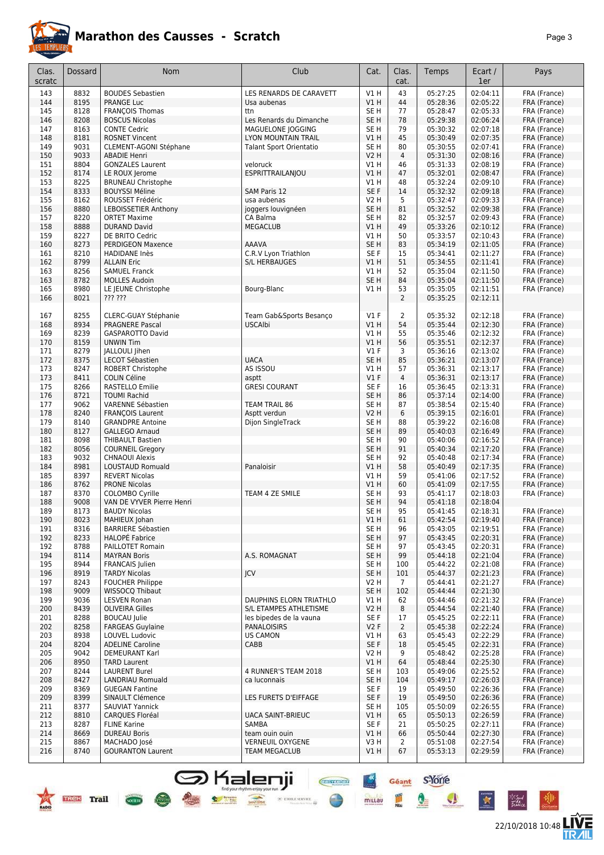

| Clas.  | Dossard | <b>Nom</b>                    | Club                     | Cat.            | Clas.          | Temps    | Ecart /  | Pays         |
|--------|---------|-------------------------------|--------------------------|-----------------|----------------|----------|----------|--------------|
| scratc |         |                               |                          |                 | cat.           |          | 1er      |              |
| 143    | 8832    | <b>BOUDES Sebastien</b>       | LES RENARDS DE CARAVETT  | V1H             | 43             | 05:27:25 | 02:04:11 | FRA (France) |
| 144    | 8195    | <b>PRANGE Luc</b>             | Usa aubenas              | V1H             | 44             | 05:28:36 | 02:05:22 | FRA (France) |
| 145    | 8128    | <b>FRANÇOIS Thomas</b>        | ttn                      | SE H            | 77             | 05:28:47 | 02:05:33 | FRA (France) |
| 146    | 8208    | <b>BOSCUS Nicolas</b>         | Les Renards du Dimanche  | SE <sub>H</sub> | 78             | 05:29:38 | 02:06:24 | FRA (France) |
| 147    | 8163    | <b>CONTE Cedric</b>           | MAGUELONE JOGGING        | SE H            | 79             | 05:30:32 | 02:07:18 | FRA (France) |
| 148    | 8181    | <b>ROSNET Vincent</b>         | LYON MOUNTAIN TRAIL      | V1H             | 45             | 05:30:49 | 02:07:35 | FRA (France) |
| 149    | 9031    | <b>CLEMENT-AGONI Stéphane</b> | Talant Sport Orientatio  | SE <sub>H</sub> | 80             | 05:30:55 | 02:07:41 | FRA (France) |
| 150    | 9033    | <b>ABADIE Henri</b>           |                          | <b>V2 H</b>     | $\overline{4}$ | 05:31:30 | 02:08:16 | FRA (France) |
| 151    | 8804    | <b>GONZALES Laurent</b>       | veloruck                 | VIH             | 46             | 05:31:33 | 02:08:19 | FRA (France) |
| 152    | 8174    | LE ROUX Jerome                | ESPRITTRAILANJOU         | VIH             | 47             | 05:32:01 | 02:08:47 | FRA (France) |
| 153    | 8225    | <b>BRUNEAU Christophe</b>     |                          | V1 H            | 48             | 05:32:24 | 02:09:10 | FRA (France) |
| 154    | 8333    | <b>BOUYSSI Méline</b>         | SAM Paris 12             | SE F            | 14             | 05:32:32 | 02:09:18 | FRA (France) |
| 155    | 8162    | ROUSSET Frédéric              | usa aubenas              | V2 H            | 5              | 05:32:47 | 02:09:33 | FRA (France) |
| 156    | 8880    | <b>LEBOISSETIER Anthony</b>   | joggers louvignéen       | SE <sub>H</sub> | 81             | 05:32:52 | 02:09:38 | FRA (France) |
| 157    | 8220    | <b>ORTET Maxime</b>           | CA Balma                 | SE H            | 82             | 05:32:57 | 02:09:43 | FRA (France) |
| 158    | 8888    | <b>DURAND David</b>           | <b>MEGACLUB</b>          | V1H             | 49             | 05:33:26 | 02:10:12 | FRA (France) |
| 159    | 8227    | DE BRITO Cedric               |                          | V1 H            | 50             | 05:33:57 | 02:10:43 | FRA (France) |
| 160    | 8273    | <b>PERDIGEON Maxence</b>      | <b>AAAVA</b>             | SE <sub>H</sub> | 83             | 05:34:19 | 02:11:05 | FRA (France) |
| 161    | 8210    | HADIDANE Inès                 | C.R.V Lyon Triathlon     | SE F            | 15             | 05:34:41 | 02:11:27 | FRA (France) |
| 162    | 8799    | <b>ALLAIN Eric</b>            | S/L HERBAUGES            | VIH             | 51             | 05:34:55 | 02:11:41 | FRA (France) |
| 163    | 8256    | <b>SAMUEL Franck</b>          |                          | VIH             | 52             | 05:35:04 | 02:11:50 | FRA (France) |
| 163    | 8782    | <b>MOLLES Audoin</b>          |                          | SE H            | 84             | 05:35:04 | 02:11:50 | FRA (France) |
| 165    | 8980    | LE JEUNE Christophe           | Bourg-Blanc              | VIH             | 53             | 05:35:05 | 02:11:51 | FRA (France) |
| 166    | 8021    | ??? ???                       |                          |                 | $\overline{2}$ | 05:35:25 | 02:12:11 |              |
|        |         |                               |                          |                 |                |          |          |              |
| 167    | 8255    | CLERC-GUAY Stéphanie          | Team Gab&Sports Besanco  | $VI$ F          | 2              | 05:35:32 | 02:12:18 | FRA (France) |
| 168    | 8934    | <b>PRAGNERE Pascal</b>        | <b>USCAlbi</b>           | VIH             | 54             | 05:35:44 | 02:12:30 | FRA (France) |
| 169    | 8239    | GASPAROTTO David              |                          | VIH             | 55             | 05:35:46 | 02:12:32 | FRA (France) |
| 170    | 8159    | <b>UNWIN Tim</b>              |                          | V1H             | 56             | 05:35:51 | 02:12:37 | FRA (France) |
| 171    | 8279    | JALLOULI Jihen                |                          | $VI$ F          | 3              | 05:36:16 | 02:13:02 | FRA (France) |
| 172    | 8375    | LECOT Sébastien               | <b>UACA</b>              | SE <sub>H</sub> | 85             | 05:36:21 | 02:13:07 | FRA (France) |
| 173    | 8247    | ROBERT Christophe             | AS ISSOU                 | VIH             | 57             | 05:36:31 | 02:13:17 | FRA (France) |
| 173    | 8411    | <b>COLIN Céline</b>           | asptt                    | $VI$ F          | $\overline{4}$ | 05:36:31 | 02:13:17 | FRA (France) |
| 175    | 8266    | RASTELLO Emilie               | <b>GRESI COURANT</b>     | SE F            | 16             | 05:36:45 | 02:13:31 | FRA (France) |
| 176    | 8721    | <b>TOUMI Rachid</b>           |                          | SE H            | 86             | 05:37:14 | 02:14:00 | FRA (France) |
| 177    | 9062    | VARENNE Sébastien             | TEAM TRAIL 86            | SE H            | 87             | 05:38:54 | 02:15:40 | FRA (France) |
| 178    | 8240    | <b>FRANÇOIS Laurent</b>       | Asptt verdun             | <b>V2 H</b>     | 6              | 05:39:15 | 02:16:01 | FRA (France) |
| 179    | 8140    | <b>GRANDPRE Antoine</b>       | Dijon SingleTrack        | SE H            | 88             | 05:39:22 | 02:16:08 | FRA (France) |
| 180    | 8127    | <b>GALLEGO Arnaud</b>         |                          | SE H            | 89             | 05:40:03 | 02:16:49 | FRA (France) |
| 181    | 8098    | <b>THIBAULT Bastien</b>       |                          | SE H            | 90             | 05:40:06 | 02:16:52 | FRA (France) |
| 182    | 8056    | <b>COURNEIL Gregory</b>       |                          | SE H            | 91             | 05:40:34 | 02:17:20 | FRA (France) |
| 183    | 9032    | <b>CHNAOUI Alexis</b>         |                          | SE H            | 92             | 05:40:48 | 02:17:34 | FRA (France) |
| 184    | 8981    | <b>LOUSTAUD Romuald</b>       | Panaloisir               | V1 H            | 58             | 05:40:49 | 02:17:35 | FRA (France) |
| 185    | 8397    | <b>REVERT Nicolas</b>         |                          | VIH             | 59             | 05:41:06 | 02:17:52 | FRA (France) |
| 186    | 8762    | <b>PRONE Nicolas</b>          |                          | VIH             | 60             | 05:41:09 | 02:17:55 | FRA (France) |
| 187    | 8370    | COLOMBO Cyrille               | TEAM 4 ZE SMILE          | SE H            | 93             | 05:41:17 | 02:18:03 | FRA (France) |
| 188    | 9008    | VAN DE VYVER Pierre Henri     |                          | SE H            | 94             | 05:41:18 | 02:18:04 |              |
| 189    | 8173    | <b>BAUDY Nicolas</b>          |                          | SE H            | 95             | 05:41:45 | 02:18:31 | FRA (France) |
| 190    | 8023    | MAHIEUX Johan                 |                          | VIH             | 61             | 05:42:54 | 02:19:40 | FRA (France) |
| 191    | 8316    | <b>BARRIERE Sébastien</b>     |                          | SE H            | 96             | 05:43:05 | 02:19:51 | FRA (France) |
| 192    | 8233    | <b>HALOPÉ Fabrice</b>         |                          | SE <sub>H</sub> | 97             | 05:43:45 | 02:20:31 | FRA (France) |
| 192    | 8788    | PAILLOTET Romain              |                          | SE H            | 97             | 05:43:45 | 02:20:31 | FRA (France) |
| 194    | 8114    | <b>MAYRAN Boris</b>           | A.S. ROMAGNAT            | SE <sub>H</sub> | 99             | 05:44:18 | 02:21:04 | FRA (France) |
| 195    | 8944    | <b>FRANCAIS</b> Julien        |                          | SE H            | 100            | 05:44:22 | 02:21:08 | FRA (France) |
| 196    | 8919    | <b>TARDY Nicolas</b>          | <b>JCV</b>               | SE <sub>H</sub> | 101            | 05:44:37 | 02:21:23 | FRA (France) |
| 197    | 8243    | <b>FOUCHER Philippe</b>       |                          | V2 H            | $\overline{7}$ | 05:44:41 | 02:21:27 | FRA (France) |
| 198    | 9009    | <b>WISSOCO Thibaut</b>        |                          | SE <sub>H</sub> | 102            | 05:44:44 | 02:21:30 |              |
| 199    | 9036    | <b>LESVEN Ronan</b>           | DAUPHINS ELORN TRIATHLO  | VIH             | 62             | 05:44:46 | 02:21:32 | FRA (France) |
| 200    | 8439    | <b>OLIVEIRA Gilles</b>        | S/L ETAMPES ATHLETISME   | V2 H            | 8              | 05:44:54 | 02:21:40 | FRA (France) |
| 201    | 8288    | <b>BOUCAU</b> Julie           | les bipedes de la vauna  | SE F            | 17             | 05:45:25 | 02:22:11 | FRA (France) |
| 202    | 8258    | <b>FARGEAS Guylaine</b>       | <b>PANALOISIRS</b>       | V2F             | $\overline{2}$ | 05:45:38 | 02:22:24 | FRA (France) |
| 203    | 8938    | <b>LOUVEL Ludovic</b>         | <b>US CAMON</b>          | V1 H            | 63             | 05:45:43 | 02:22:29 | FRA (France) |
| 204    | 8204    | <b>ADELINE Caroline</b>       | CABB                     | SE F            | 18             | 05:45:45 | 02:22:31 | FRA (France) |
| 205    | 9042    | <b>DEMEURANT Karl</b>         |                          | V2 H            | 9              | 05:48:42 | 02:25:28 | FRA (France) |
| 206    | 8950    | <b>TARD Laurent</b>           |                          | V1 H            | 64             | 05:48:44 | 02:25:30 | FRA (France) |
| 207    | 8244    | <b>LAURENT Burel</b>          | 4 RUNNER'S TEAM 2018     | SE H            | 103            | 05:49:06 | 02:25:52 | FRA (France) |
| 208    | 8427    | LANDRIAU Romuald              | ca luconnais             | SE <sub>H</sub> | 104            | 05:49:17 | 02:26:03 | FRA (France) |
| 209    | 8369    | <b>GUEGAN Fantine</b>         |                          | SE F            | 19             | 05:49:50 | 02:26:36 | FRA (France) |
| 209    | 8399    | SINAULT Clémence              | LES FURETS D'EIFFAGE     | SE F            | 19             | 05:49:50 | 02:26:36 | FRA (France) |
| 211    | 8377    | <b>SAUVIAT Yannick</b>        |                          | SE H            | 105            | 05:50:09 | 02:26:55 | FRA (France) |
| 212    | 8810    | <b>CARQUES Floréal</b>        | <b>UACA SAINT-BRIEUC</b> | V1 H            | 65             | 05:50:13 | 02:26:59 | FRA (France) |
| 213    | 8287    | <b>FLINE Karine</b>           | SAMBA                    | SE F            | 21             | 05:50:25 | 02:27:11 | FRA (France) |
| 214    | 8669    | <b>DUREAU Boris</b>           | team ouin ouin           | V1 H            | 66             | 05:50:44 | 02:27:30 | FRA (France) |
| 215    | 8867    | MACHADO José                  | <b>VERNEUIL OXYGENE</b>  | V3 H            | 2              | 05:51:08 | 02:27:54 | FRA (France) |
| 216    | 8740    | <b>GOURANTON Laurent</b>      | <b>TEAM MEGACLUB</b>     | V1H             | 67             | 05:53:13 | 02:29:59 | FRA (France) |
|        |         |                               |                          |                 |                |          |          |              |

**S** Kalenji

**EXAMPLE AND DESCRIPTION** 





22/10/2018 10:48 **LIVE** 

Géant S-Yone

Q

皿

 $\mathbf{A}$ 

**CHEFFIORE** 

 $\frac{1}{\sqrt{2}}$  etoile service  $\frac{1}{\sqrt{2}}$ 

 $rac{4x}{2}$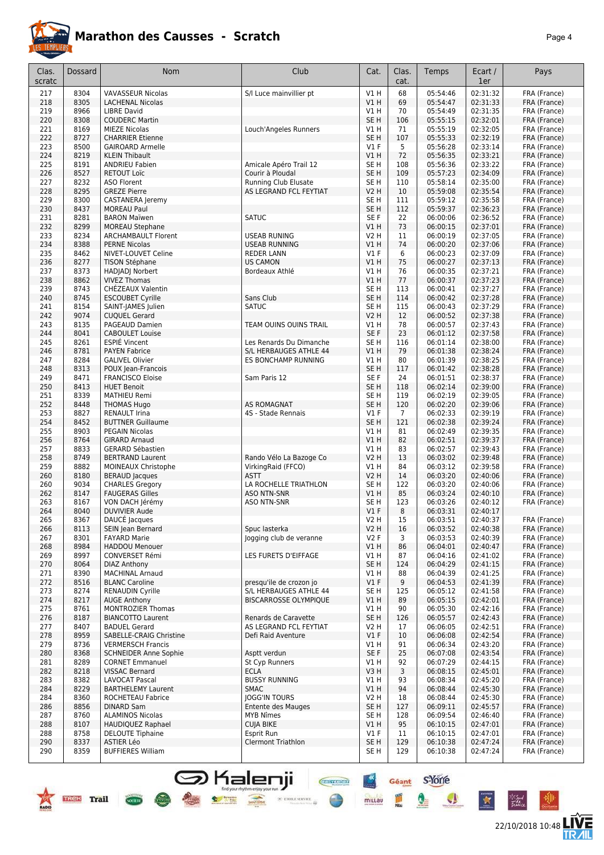

|--|--|

| Clas.      | Dossard      | <b>Nom</b>                                           | Club                                           | Cat.                               | Clas.          | Temps                | Ecart /              | Pays                         |
|------------|--------------|------------------------------------------------------|------------------------------------------------|------------------------------------|----------------|----------------------|----------------------|------------------------------|
| scratc     |              |                                                      |                                                |                                    | cat.           |                      | 1er                  |                              |
| 217        | 8304<br>8305 | <b>VAVASSEUR Nicolas</b><br><b>LACHENAL Nicolas</b>  | S/I Luce mainvillier pt                        | V1H<br>V1H                         | 68<br>69       | 05:54:46<br>05:54:47 | 02:31:32<br>02:31:33 | FRA (France)                 |
| 218<br>219 | 8966         | <b>LIBRE David</b>                                   |                                                | V1H                                | 70             | 05:54:49             | 02:31:35             | FRA (France)<br>FRA (France) |
| 220        | 8308         | <b>COUDERC Martin</b>                                |                                                | SE <sub>H</sub>                    | 106            | 05:55:15             | 02:32:01             | FRA (France)                 |
| 221        | 8169         | <b>MIEZE Nicolas</b>                                 | Louch'Angeles Runners                          | V1 H                               | 71             | 05:55:19             | 02:32:05             | FRA (France)                 |
| 222        | 8727         | <b>CHARRIER Etienne</b>                              |                                                | SE <sub>H</sub>                    | 107            | 05:55:33             | 02:32:19             | FRA (France)                 |
| 223        | 8500         | <b>GAIROARD Armelle</b>                              |                                                | $VI$ F                             | 5              | 05:56:28             | 02:33:14             | FRA (France)                 |
| 224        | 8219         | <b>KLEIN Thibault</b>                                |                                                | V1H                                | 72             | 05:56:35             | 02:33:21             | FRA (France)                 |
| 225<br>226 | 8191<br>8527 | <b>ANDRIEU Fabien</b><br><b>RETOUT Loïc</b>          | Amicale Apéro Trail 12<br>Courir à Ploudal     | SE H<br>SE <sub>H</sub>            | 108<br>109     | 05:56:36<br>05:57:23 | 02:33:22<br>02:34:09 | FRA (France)<br>FRA (France) |
| 227        | 8232         | <b>ASO Florent</b>                                   | Running Club Elusate                           | SE H                               | 110            | 05:58:14             | 02:35:00             | FRA (France)                 |
| 228        | 8295         | <b>GREZE Pierre</b>                                  | AS LEGRAND FCL FEYTIAT                         | V2H                                | 10             | 05:59:08             | 02:35:54             | FRA (France)                 |
| 229        | 8300         | CASTANERA Jeremy                                     |                                                | SE <sub>H</sub>                    | 111            | 05:59:12             | 02:35:58             | FRA (France)                 |
| 230        | 8437         | <b>MOREAU Paul</b>                                   |                                                | SE <sub>H</sub>                    | 112            | 05:59:37             | 02:36:23             | FRA (France)                 |
| 231        | 8281         | <b>BARON Maïwen</b>                                  | <b>SATUC</b>                                   | SE F                               | 22             | 06:00:06             | 02:36:52             | FRA (France)                 |
| 232<br>233 | 8299<br>8234 | <b>MOREAU Stephane</b><br><b>ARCHAMBAULT Florent</b> | <b>USEAB RUNING</b>                            | V1 H<br><b>V2 H</b>                | 73<br>11       | 06:00:15<br>06:00:19 | 02:37:01<br>02:37:05 | FRA (France)<br>FRA (France) |
| 234        | 8388         | <b>PERNE Nicolas</b>                                 | <b>USEAB RUNNING</b>                           | VIH                                | 74             | 06:00:20             | 02:37:06             | FRA (France)                 |
| 235        | 8462         | NIVET-LOUVET Celine                                  | <b>REDER LANN</b>                              | $VI$ F                             | 6              | 06:00:23             | 02:37:09             | FRA (France)                 |
| 236        | 8277         | <b>TISON Stéphane</b>                                | <b>US CAMON</b>                                | V1H                                | 75             | 06:00:27             | 02:37:13             | FRA (France)                 |
| 237        | 8373         | HADJADJ Norbert                                      | Bordeaux Athlé                                 | V1 H                               | 76             | 06:00:35             | 02:37:21             | FRA (France)                 |
| 238        | 8862         | <b>VIVEZ Thomas</b>                                  |                                                | V1H                                | 77             | 06:00:37             | 02:37:23             | FRA (France)                 |
| 239<br>240 | 8743<br>8745 | CHÉZEAUX Valentin<br><b>ESCOUBET Cyrille</b>         | Sans Club                                      | SE <sub>H</sub><br>SE <sub>H</sub> | 113<br>114     | 06:00:41<br>06:00:42 | 02:37:27<br>02:37:28 | FRA (France)<br>FRA (France) |
| 241        | 8154         | SAINT-JAMES Julien                                   | <b>SATUC</b>                                   | SE <sub>H</sub>                    | 115            | 06:00:43             | 02:37:29             | FRA (France)                 |
| 242        | 9074         | <b>CUQUEL Gerard</b>                                 |                                                | <b>V2 H</b>                        | 12             | 06:00:52             | 02:37:38             | FRA (France)                 |
| 243        | 8135         | PAGEAUD Damien                                       | TEAM OUINS OUINS TRAIL                         | V1 H                               | 78             | 06:00:57             | 02:37:43             | FRA (France)                 |
| 244        | 8041         | <b>CABOULET Louise</b>                               |                                                | SE F                               | 23             | 06:01:12             | 02:37:58             | FRA (France)                 |
| 245        | 8261         | <b>ESPIÉ Vincent</b>                                 | Les Renards Du Dimanche                        | SE H                               | 116            | 06:01:14             | 02:38:00             | FRA (France)                 |
| 246        | 8781         | <b>PAYEN Fabrice</b>                                 | S/L HERBAUGES ATHLE 44                         | V1H                                | 79             | 06:01:38             | 02:38:24             | FRA (France)                 |
| 247<br>248 | 8284<br>8313 | <b>GALIVEL Olivier</b><br>POUX Jean-Francois         | ES BONCHAMP RUNNING                            | V1H<br>SE <sub>H</sub>             | 80<br>117      | 06:01:39<br>06:01:42 | 02:38:25<br>02:38:28 | FRA (France)<br>FRA (France) |
| 249        | 8471         | <b>FRANCISCO Eloise</b>                              | Sam Paris 12                                   | SE <sub>F</sub>                    | 24             | 06:01:51             | 02:38:37             | FRA (France)                 |
| 250        | 8413         | <b>HUET Benoit</b>                                   |                                                | SE <sub>H</sub>                    | 118            | 06:02:14             | 02:39:00             | FRA (France)                 |
| 251        | 8339         | <b>MATHIEU Remi</b>                                  |                                                | SE H                               | 119            | 06:02:19             | 02:39:05             | FRA (France)                 |
| 252        | 8448         | <b>THOMAS Hugo</b>                                   | <b>AS ROMAGNAT</b>                             | SE <sub>H</sub>                    | 120            | 06:02:20             | 02:39:06             | FRA (France)                 |
| 253        | 8827         | <b>RENAULT Irina</b>                                 | 4S - Stade Rennais                             | $VI$ F                             | $\overline{7}$ | 06:02:33             | 02:39:19             | FRA (France)                 |
| 254<br>255 | 8452<br>8903 | <b>BUTTNER Guillaume</b><br><b>PEGAIN Nicolas</b>    |                                                | SE <sub>H</sub><br>V1 H            | 121<br>81      | 06:02:38<br>06:02:49 | 02:39:24<br>02:39:35 | FRA (France)<br>FRA (France) |
| 256        | 8764         | <b>GIRARD Arnaud</b>                                 |                                                | VIH                                | 82             | 06:02:51             | 02:39:37             | FRA (France)                 |
| 257        | 8833         | <b>GERARD Sébastien</b>                              |                                                | V1 H                               | 83             | 06:02:57             | 02:39:43             | FRA (France)                 |
| 258        | 8749         | <b>BERTRAND Laurent</b>                              | Rando Vélo La Bazoge Co                        | <b>V2 H</b>                        | 13             | 06:03:02             | 02:39:48             | FRA (France)                 |
| 259        | 8882         | MOINEAUX Christophe                                  | VirkingRaid (FFCO)                             | V1 H                               | 84             | 06:03:12             | 02:39:58             | FRA (France)                 |
| 260        | 8180         | <b>BERAUD Jacques</b>                                | <b>ASTT</b>                                    | <b>V2 H</b>                        | 14             | 06:03:20             | 02:40:06             | FRA (France)                 |
| 260<br>262 | 9034<br>8147 | <b>CHARLES Gregory</b><br><b>FAUGERAS Gilles</b>     | LA ROCHELLE TRIATHLON<br><b>ASO NTN-SNR</b>    | SE H<br>VIH                        | 122<br>85      | 06:03:20<br>06:03:24 | 02:40:06<br>02:40:10 | FRA (France)<br>FRA (France) |
| 263        | 8167         | VON DACH Jérémy                                      | <b>ASO NTN-SNR</b>                             | SE H                               | 123            | 06:03:26             | 02:40:12             | FRA (France)                 |
| 264        | 8040         | <b>DUVIVIER Aude</b>                                 |                                                | $VI$ F                             | 8              | 06:03:31             | 02:40:17             |                              |
| 265        | 8367         | DAUCÉ Jacques                                        |                                                | V2H                                | 15             | 06:03:51             | 02:40:37             | FRA (France)                 |
| 266        | 8113         | SEIN Jean Bernard                                    | Spuc lasterka                                  | <b>V2 H</b>                        | 16             | 06:03:52             | 02:40:38             | FRA (France)                 |
| 267        | 8301         | <b>FAYARD Marie</b>                                  | logging club de veranne                        | V2F                                | 3              | 06:03:53             | 02:40:39             | FRA (France)                 |
| 268<br>269 | 8984<br>8997 | <b>HADDOU Menouer</b><br>CONVERSET Rémi              | LES FURETS D'EIFFAGE                           | VIH<br>VIH                         | 86<br>87       | 06:04:01<br>06:04:16 | 02:40:47<br>02:41:02 | FRA (France)<br>FRA (France) |
| 270        | 8064         | <b>DIAZ Anthony</b>                                  |                                                | SE <sub>H</sub>                    | 124            | 06:04:29             | 02:41:15             | FRA (France)                 |
| 271        | 8390         | <b>MACHINAL Arnaud</b>                               |                                                | V1 H                               | 88             | 06:04:39             | 02:41:25             | FRA (France)                 |
| 272        | 8516         | <b>BLANC Caroline</b>                                | presqu'ile de crozon jo                        | $VI$ F                             | 9              | 06:04:53             | 02:41:39             | FRA (France)                 |
| 273        | 8274         | <b>RENAUDIN Cyrille</b>                              | S/L HERBAUGES ATHLE 44                         | SE H                               | 125            | 06:05:12             | 02:41:58             | FRA (France)                 |
| 274        | 8217         | <b>AUGE Anthony</b>                                  | <b>BISCARROSSE OLYMPIQUE</b>                   | V1H                                | 89             | 06:05:15             | 02:42:01             | FRA (France)                 |
| 275        | 8761         | MONTROZIER Thomas                                    |                                                | V1 H                               | 90             | 06:05:30             | 02:42:16             | FRA (France)                 |
| 276<br>277 | 8187<br>8407 | <b>BIANCOTTO Laurent</b><br><b>BADUEL Gerard</b>     | Renards de Caravette<br>AS LEGRAND FCL FEYTIAT | SE <sub>H</sub><br>V2 H            | 126<br>17      | 06:05:57<br>06:06:05 | 02:42:43<br>02:42:51 | FRA (France)<br>FRA (France) |
| 278        | 8959         | SABELLE-CRAIG Christine                              | Defi Raid Aventure                             | $VI$ F                             | 10             | 06:06:08             | 02:42:54             | FRA (France)                 |
| 279        | 8736         | <b>VERMERSCH Francis</b>                             |                                                | V1 H                               | 91             | 06:06:34             | 02:43:20             | FRA (France)                 |
| 280        | 8368         | <b>SCHNEIDER Anne Sophie</b>                         | Asptt verdun                                   | SE F                               | 25             | 06:07:08             | 02:43:54             | FRA (France)                 |
| 281        | 8289         | <b>CORNET Emmanuel</b>                               | St Cyp Runners                                 | V1 H                               | 92             | 06:07:29             | 02:44:15             | FRA (France)                 |
| 282        | 8218         | VISSAC Bernard                                       | <b>ECLA</b>                                    | V3H                                | 3              | 06:08:15             | 02:45:01             | FRA (France)                 |
| 283<br>284 | 8382<br>8229 | LAVOCAT Pascal<br><b>BARTHELEMY Laurent</b>          | <b>BUSSY RUNNING</b><br><b>SMAC</b>            | V1 H<br>VIH                        | 93<br>94       | 06:08:34<br>06:08:44 | 02:45:20<br>02:45:30 | FRA (France)<br>FRA (France) |
| 284        | 8360         | ROCHETEAU Fabrice                                    | <b>JOGG'IN TOURS</b>                           | V2 H                               | 18             | 06:08:44             | 02:45:30             | FRA (France)                 |
| 286        | 8856         | <b>DINARD Sam</b>                                    | Entente des Mauges                             | SE H                               | 127            | 06:09:11             | 02:45:57             | FRA (France)                 |
| 287        | 8760         | <b>ALAMINOS Nicolas</b>                              | MYB Nîmes                                      | SE <sub>H</sub>                    | 128            | 06:09:54             | 02:46:40             | FRA (France)                 |
| 288        | 8107         | HAUDIQUEZ Raphael                                    | <b>CUJA BIKE</b>                               | VIH                                | 95             | 06:10:15             | 02:47:01             | FRA (France)                 |
| 288        | 8758         | <b>DELOUTE Tiphaine</b>                              | Esprit Run                                     | $VI$ F                             | 11             | 06:10:15             | 02:47:01             | FRA (France)                 |
| 290        | 8337         | ASTIER Léo                                           | <b>Clermont Triathlon</b>                      | SE <sub>H</sub>                    | 129            | 06:10:38             | 02:47:24             | FRA (France)                 |
| 290        | 8359         | <b>BUFFIERES William</b>                             |                                                | SE H                               | 129            | 06:10:38             | 02:47:24             | FRA (France)                 |

SHalenji **General Sydney** 





\*Sud<br>Fattua

 $\bullet$ 

X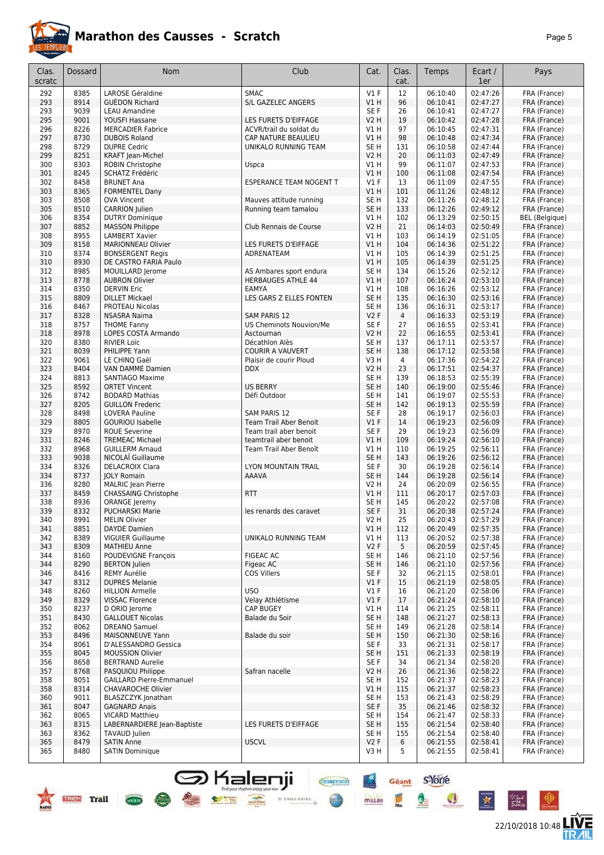

| Clas.<br>scratc | Dossard      | Nom                                                | Club                                  | Cat.                    | Clas.<br>cat.          | Temps                | Ecart /<br>1er       | Pays                         |
|-----------------|--------------|----------------------------------------------------|---------------------------------------|-------------------------|------------------------|----------------------|----------------------|------------------------------|
| 292             | 8385         | LAROSE Géraldine                                   | <b>SMAC</b>                           | V1F                     | 12                     | 06:10:40             | 02:47:26             | FRA (France)                 |
| 293             | 8914         | <b>GUEDON Richard</b>                              | S/L GAZELEC ANGERS                    | V1H                     | 96                     | 06:10:41             | 02:47:27             | FRA (France)                 |
| 293             | 9039         | <b>LEAU Amandine</b>                               |                                       | SE F                    | 26                     | 06:10:41             | 02:47:27             | FRA (France)                 |
| 295             | 9001         | YOUSFI Hassane                                     | LES FURETS D'EIFFAGE                  | <b>V2 H</b>             | 19                     | 06:10:42             | 02:47:28             | FRA (France)                 |
| 296             | 8226         | <b>MERCADIER Fabrice</b>                           | ACVR/trail du soldat du               | V1 H                    | 97                     | 06:10:45             | 02:47:31             | FRA (France)                 |
| 297             | 8730         | <b>DUBOIS Roland</b>                               | CAP NATURE BEAULIEU                   | V1 H                    | 98                     | 06:10:48             | 02:47:34             | FRA (France)                 |
| 298             | 8729         | <b>DUPRE Cedric</b>                                | UNIKALO RUNNING TEAM                  | SE H                    | 131                    | 06:10:58             | 02:47:44             | FRA (France)                 |
| 299             | 8251<br>8303 | KRAFT Jean-Michel                                  |                                       | V2 H                    | 20<br>99               | 06:11:03<br>06:11:07 | 02:47:49<br>02:47:53 | FRA (France)                 |
| 300<br>301      | 8245         | ROBIN Christophe<br>SCHATZ Frédéric                | Uspca                                 | V1 H<br>V1 H            | 100                    | 06:11:08             | 02:47:54             | FRA (France)<br>FRA (France) |
| 302             | 8458         | <b>BRUNET Ana</b>                                  | <b>ESPERANCE TEAM NOGENT T</b>        | V1F                     | 13                     | 06:11:09             | 02:47:55             | FRA (France)                 |
| 303             | 8365         | <b>FORMENTEL Dany</b>                              |                                       | V1 H                    | 101                    | 06:11:26             | 02:48:12             | FRA (France)                 |
| 303             | 8508         | <b>OVA Vincent</b>                                 | Mauves attitude running               | SE <sub>H</sub>         | 132                    | 06:11:26             | 02:48:12             | FRA (France)                 |
| 305             | 8510         | <b>CARRION</b> Julien                              | Running team tamalou                  | SE <sub>H</sub>         | 133                    | 06:12:26             | 02:49:12             | FRA (France)                 |
| 306             | 8354         | <b>DUTRY Dominique</b>                             |                                       | V1 H                    | 102                    | 06:13:29             | 02:50:15             | <b>BEL</b> (Belgique)        |
| 307             | 8852         | <b>MASSON Philippe</b>                             | Club Rennais de Course                | <b>V2 H</b>             | 21                     | 06:14:03             | 02:50:49             | FRA (France)                 |
| 308             | 8955         | <b>LAMBERT Xavier</b>                              |                                       | V1 H                    | 103                    | 06:14:19             | 02:51:05             | FRA (France)                 |
| 309             | 8158         | <b>MARIONNEAU Olivier</b>                          | LES FURETS D'EIFFAGE                  | V1 H                    | 104                    | 06:14:36             | 02:51:22             | FRA (France)                 |
| 310<br>310      | 8374<br>8930 | <b>BONSERGENT Regis</b>                            | ADRENATEAM                            | V1 H<br>V1 H            | 105<br>105             | 06:14:39<br>06:14:39 | 02:51:25<br>02:51:25 | FRA (France)                 |
| 312             | 8985         | DE CASTRO FARIA Paulo<br>MOUILLARD Jerome          | AS Ambares sport endura               | SE <sub>H</sub>         | 134                    | 06:15:26             | 02:52:12             | FRA (France)<br>FRA (France) |
| 313             | 8778         | <b>AUBRON Olivier</b>                              | <b>HERBAUGES ATHLE 44</b>             | VIH                     | 107                    | 06:16:24             | 02:53:10             | FRA (France)                 |
| 314             | 8350         | <b>DERVIN Eric</b>                                 | EAMYA                                 | V1 H                    | 108                    | 06:16:26             | 02:53:12             | FRA (France)                 |
| 315             | 8809         | <b>DILLET Mickael</b>                              | LES GARS Z ELLES FONTEN               | SE <sub>H</sub>         | 135                    | 06:16:30             | 02:53:16             | FRA (France)                 |
| 316             | 8467         | PROTEAU Nicolas                                    |                                       | SE <sub>H</sub>         | 136                    | 06:16:31             | 02:53:17             | FRA (France)                 |
| 317             | 8328         | <b>NSASRA Naima</b>                                | <b>SAM PARIS 12</b>                   | <b>V2F</b>              | $\overline{4}$         | 06:16:33             | 02:53:19             | FRA (France)                 |
| 318             | 8757         | <b>THOME Fanny</b>                                 | US Cheminots Nouvion/Me               | SE F                    | 27                     | 06:16:55             | 02:53:41             | FRA (France)                 |
| 318             | 8978         | LOPES COSTA Armando                                | Asctournan                            | <b>V2 H</b>             | 22                     | 06:16:55             | 02:53:41             | FRA (France)                 |
| 320             | 8380         | <b>RIVIER Loïc</b>                                 | Décathlon Alès                        | SE <sub>H</sub>         | 137                    | 06:17:11             | 02:53:57             | FRA (France)                 |
| 321             | 8039         | PHILIPPE Yann                                      | <b>COURIR A VAUVERT</b>               | SE <sub>H</sub>         | 138                    | 06:17:12             | 02:53:58             | FRA (France)                 |
| 322<br>323      | 9061<br>8404 | LE CHINQ Gaël                                      | Plaisir de courir Ploud<br><b>DDX</b> | V3 H<br>V2 H            | $\overline{4}$<br>23   | 06:17:36<br>06:17:51 | 02:54:22<br>02:54:37 | FRA (France)                 |
| 324             | 8813         | VAN DAMME Damien<br>SANTIAGO Maxime                |                                       | SE <sub>H</sub>         | 139                    | 06:18:53             | 02:55:39             | FRA (France)<br>FRA (France) |
| 325             | 8592         | <b>ORTET Vincent</b>                               | <b>US BERRY</b>                       | SE <sub>H</sub>         | 140                    | 06:19:00             | 02:55:46             | FRA (France)                 |
| 326             | 8742         | <b>BODARD Mathias</b>                              | Défi Outdoor                          | SE <sub>H</sub>         | 141                    | 06:19:07             | 02:55:53             | FRA (France)                 |
| 327             | 8205         | <b>GUILLON Frederic</b>                            |                                       | SE <sub>H</sub>         | 142                    | 06:19:13             | 02:55:59             | FRA (France)                 |
| 328             | 8498         | <b>LOVERA Pauline</b>                              | <b>SAM PARIS 12</b>                   | SE F                    | 28                     | 06:19:17             | 02:56:03             | FRA (France)                 |
| 329             | 8805         | <b>GOURIOU Isabelle</b>                            | <b>Team Trail Aber Benoit</b>         | V1F                     | 14                     | 06:19:23             | 02:56:09             | FRA (France)                 |
| 329             | 8970         | <b>ROUE Severine</b>                               | Team trail aber benoit                | SE <sub>F</sub>         | 29                     | 06:19:23             | 02:56:09             | FRA (France)                 |
| 331             | 8246         | <b>TREMEAC Michael</b>                             | teamtrail aber benoit                 | VIH                     | 109                    | 06:19:24             | 02:56:10             | FRA (France)                 |
| 332             | 8968         | <b>GUILLERM Arnaud</b>                             | Team Trail Aber Benoît                | V1 H                    | 110                    | 06:19:25             | 02:56:11             | FRA (France)                 |
| 333<br>334      | 9038<br>8326 | NICOLAÏ Guillaume<br><b>DELACROIX Clara</b>        | LYON MOUNTAIN TRAIL                   | SE <sub>H</sub><br>SE F | 143<br>30              | 06:19:26<br>06:19:28 | 02:56:12<br>02:56:14 | FRA (France)<br>FRA (France) |
| 334             | 8737         | JOLY Romain                                        | <b>AAAVA</b>                          | SE H                    | 144                    | 06:19:28             | 02:56:14             | FRA (France)                 |
| 336             | 8280         | <b>MALRIC</b> Jean Pierre                          |                                       | V2 H                    | 24                     | 06:20:09             | 02:56:55             | FRA (France)                 |
| 337             | 8459         | <b>CHASSAING Christophe</b>                        | <b>RTT</b>                            | V1 H                    | 111                    | 06:20:17             | 02:57:03             | FRA (France)                 |
| 338             | 8936         | <b>ORANGE Jeremy</b>                               |                                       | SE <sub>H</sub>         | 145                    | 06:20:22             | 02:57:08             | FRA (France)                 |
| 339             | 8332         | <b>PUCHARSKI Marie</b>                             | les renards des caravet               | SE <sub>F</sub>         | 31                     | 06:20:38             | 02:57:24             | FRA (France)                 |
| 340             | 8991         | <b>MELIN Olivier</b>                               |                                       | V2 H                    | 25                     | 06:20:43             | 02:57:29             | FRA (France)                 |
| 341             | 8851         | <b>DAYDE</b> Damien                                |                                       | V1H                     | 112                    | 06:20:49             | 02:57:35             | FRA (France)                 |
| 342             | 8389         | <b>VIGUIER Guillaume</b>                           | UNIKALO RUNNING TEAM                  | V1H                     | 113                    | 06:20:52             | 02:57:38             | FRA (France)                 |
| 343<br>344      | 8309<br>8160 | <b>MATHIEU Anne</b><br><b>POUDEVIGNE François</b>  | <b>FIGEAC AC</b>                      | V2F                     | $5\overline{)}$<br>146 | 06:20:59             | 02:57:45<br>02:57:56 | FRA (France)                 |
| 344             | 8290         | <b>BERTON</b> Julien                               | Figeac AC                             | SE H<br>SE H            | 146                    | 06:21:10<br>06:21:10 | 02:57:56             | FRA (France)<br>FRA (France) |
| 346             | 8416         | REMY Aurélie                                       | <b>COS Villers</b>                    | SE F                    | 32                     | 06:21:15             | 02:58:01             | FRA (France)                 |
| 347             | 8312         | <b>DUPRES Melanie</b>                              |                                       | $VI$ F                  | 15                     | 06:21:19             | 02:58:05             | FRA (France)                 |
| 348             | 8260         | <b>HILLION Armelle</b>                             | <b>USO</b>                            | <b>V1 F</b>             | 16                     | 06:21:20             | 02:58:06             | FRA (France)                 |
| 349             | 8329         | <b>VISSAC Florence</b>                             | Velay Athlétisme                      | $VI$ F                  | 17                     | 06:21:24             | 02:58:10             | FRA (France)                 |
| 350             | 8237         | D ORIO Jerome                                      | <b>CAP BUGEY</b>                      | V1H                     | 114                    | 06:21:25             | 02:58:11             | FRA (France)                 |
| 351             | 8430         | <b>GALLOUET Nicolas</b>                            | Balade du Soir                        | SE <sub>H</sub>         | 148                    | 06:21:27             | 02:58:13             | FRA (France)                 |
| 352             | 8062         | <b>DREANO Samuel</b>                               |                                       | SE H                    | 149                    | 06:21:28             | 02:58:14             | FRA (France)                 |
| 353             | 8496         | <b>MAISONNEUVE Yann</b>                            | Balade du soir                        | SE <sub>H</sub>         | 150                    | 06:21:30             | 02:58:16             | FRA (France)                 |
| 354             | 8061         | D'ALESSANDRO Gessica                               |                                       | SE F                    | 33                     | 06:21:31             | 02:58:17             | FRA (France)                 |
| 355<br>356      | 8045<br>8658 | <b>MOUSSION Olivier</b><br><b>BERTRAND Aurelie</b> |                                       | SE <sub>H</sub><br>SE F | 151<br>34              | 06:21:33<br>06:21:34 | 02:58:19<br>02:58:20 | FRA (France)<br>FRA (France) |
| 357             | 8768         | PASQUIOU Philippe                                  | Safran nacelle                        | V2 H                    | 26                     | 06:21:36             | 02:58:22             | FRA (France)                 |
| 358             | 8051         | <b>GAILLARD Pierre-Emmanuel</b>                    |                                       | SE H                    | 152                    | 06:21:37             | 02:58:23             | FRA (France)                 |
| 358             | 8314         | <b>CHAVAROCHE Olivier</b>                          |                                       | V1 H                    | 115                    | 06:21:37             | 02:58:23             | FRA (France)                 |
| 360             | 9011         | BLASZCZYK Jonathan                                 |                                       | SE H                    | 153                    | 06:21:43             | 02:58:29             | FRA (France)                 |
| 361             | 8047         | <b>GAGNARD Anais</b>                               |                                       | SE F                    | 35                     | 06:21:46             | 02:58:32             | FRA (France)                 |
| 362             | 8065         | <b>VICARD Matthieu</b>                             |                                       | SE H                    | 154                    | 06:21:47             | 02:58:33             | FRA (France)                 |
| 363             | 8315         | LABERNARDIERE Jean-Baptiste                        | LES FURETS D'EIFFAGE                  | SE <sub>H</sub>         | 155                    | 06:21:54             | 02:58:40             | FRA (France)                 |
| 363             | 8362         | TAVAUD Julien                                      |                                       | SE H                    | 155                    | 06:21:54             | 02:58:40             | FRA (France)                 |
| 365             | 8479         | <b>SATIN Anne</b>                                  | <b>USCVL</b>                          | V2F                     | 6                      | 06:21:55             | 02:58:41             | FRA (France)                 |
| 365             | 8480         | <b>SATIN Dominique</b>                             |                                       | V3 H                    | 5                      | 06:21:55             | 02:58:41             | FRA (France)                 |

**Shalenji**<br><del>1955 - 1969</del>

TREE Trail com

22/10/2018 10:48 **LIVE** 

°∕″

Géant S'Yorre

Q

I

mittau

 $\mathcal{A}$ 

女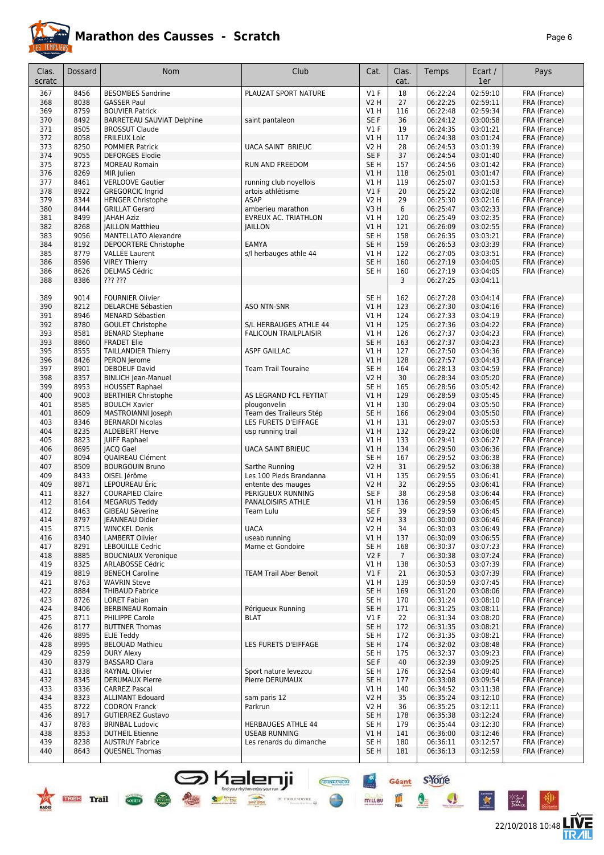

| Clas.<br>scratc | Dossard      | <b>Nom</b>                                        | Club                                              | Cat.                    | Clas.<br>cat.  | Temps                | Ecart /<br>1er       | Pays                         |
|-----------------|--------------|---------------------------------------------------|---------------------------------------------------|-------------------------|----------------|----------------------|----------------------|------------------------------|
| 367             | 8456         | <b>BESOMBES Sandrine</b>                          | PLAUZAT SPORT NATURE                              | V1F                     | 18             | 06:22:24             | 02:59:10             | FRA (France)                 |
| 368             | 8038         | <b>GASSER Paul</b>                                |                                                   | <b>V2 H</b>             | 27             | 06:22:25             | 02:59:11             | FRA (France)                 |
| 369             | 8759         | <b>BOUVIER Patrick</b>                            |                                                   | V1 H                    | 116            | 06:22:48             | 02:59:34             | FRA (France)                 |
| 370             | 8492         | BARRETEAU SAUVIAT Delphine                        | saint pantaleon                                   | SE F                    | 36             | 06:24:12             | 03:00:58             | FRA (France)                 |
| 371             | 8505         | <b>BROSSUT Claude</b>                             |                                                   | $VI$ F                  | 19             | 06:24:35             | 03:01:21             | FRA (France)                 |
| 372             | 8058         | <b>FRILEUX Loic</b>                               |                                                   | VIH                     | 117            | 06:24:38             | 03:01:24             | FRA (France)                 |
| 373             | 8250         | <b>POMMIER Patrick</b>                            | <b>UACA SAINT BRIEUC</b>                          | V2 H                    | 28             | 06:24:53             | 03:01:39             | FRA (France)                 |
| 374<br>375      | 9055<br>8723 | <b>DEFORGES Elodie</b><br><b>MOREAU Romain</b>    | <b>RUN AND FREEDOM</b>                            | SE F<br>SE <sub>H</sub> | 37<br>157      | 06:24:54<br>06:24:56 | 03:01:40<br>03:01:42 | FRA (France)<br>FRA (France) |
| 376             | 8269         | MIR Julien                                        |                                                   | V1H                     | 118            | 06:25:01             | 03:01:47             | FRA (France)                 |
| 377             | 8461         | <b>VERLOOVE Gautier</b>                           | running club noyellois                            | V1 H                    | 119            | 06:25:07             | 03:01:53             | FRA (France)                 |
| 378             | 8922         | <b>GREGORCIC Ingrid</b>                           | artois athlétisme                                 | $VI$ F                  | 20             | 06:25:22             | 03:02:08             | FRA (France)                 |
| 379             | 8344         | <b>HENGER Christophe</b>                          | <b>ASAP</b>                                       | <b>V2 H</b>             | 29             | 06:25:30             | 03:02:16             | FRA (France)                 |
| 380             | 8444         | <b>GRILLAT Gerard</b>                             | amberieu marathon                                 | V3H                     | 6              | 06:25:47             | 03:02:33             | FRA (France)                 |
| 381             | 8499         | <b>JAHAH Aziz</b>                                 | EVREUX AC. TRIATHLON                              | V1 H                    | 120            | 06:25:49             | 03:02:35             | FRA (France)                 |
| 382             | 8268         | <b>JAILLON Matthieu</b>                           | <b>JAILLON</b>                                    | V1 H                    | 121            | 06:26:09             | 03:02:55             | FRA (France)                 |
| 383             | 9056         | <b>MANTELLATO Alexandre</b>                       |                                                   | SE H                    | 158            | 06:26:35             | 03:03:21             | FRA (France)                 |
| 384             | 8192         | DEPOORTERE Christophe                             | <b>EAMYA</b>                                      | SE <sub>H</sub>         | 159            | 06:26:53             | 03:03:39             | FRA (France)                 |
| 385<br>386      | 8779<br>8596 | <b>VALLEE Laurent</b><br><b>VIREY Thierry</b>     | s/l herbauges athle 44                            | V1 H<br>SE <sub>H</sub> | 122<br>160     | 06:27:05<br>06:27:19 | 03:03:51<br>03:04:05 | FRA (France)<br>FRA (France) |
| 386             | 8626         | <b>DELMAS Cédric</b>                              |                                                   | SE <sub>H</sub>         | 160            | 06:27:19             | 03:04:05             | FRA (France)                 |
| 388             | 8386         | ??? ???                                           |                                                   |                         | 3              | 06:27:25             | 03:04:11             |                              |
|                 |              |                                                   |                                                   |                         |                |                      |                      |                              |
| 389             | 9014         | <b>FOURNIER Olivier</b>                           |                                                   | SE <sub>H</sub>         | 162            | 06:27:28             | 03:04:14             | FRA (France)                 |
| 390             | 8212         | <b>DELARCHE Sébastien</b>                         | <b>ASO NTN-SNR</b>                                | V1H                     | 123            | 06:27:30             | 03:04:16             | FRA (France)                 |
| 391             | 8946         | MENARD Sébastien                                  |                                                   | V1 H                    | 124            | 06:27:33             | 03:04:19             | FRA (France)                 |
| 392             | 8780         | <b>GOULET Christophe</b>                          | S/L HERBAUGES ATHLE 44                            | VIH                     | 125            | 06:27:36             | 03:04:22             | FRA (France)                 |
| 393             | 8581         | <b>BENARD Stephane</b>                            | <b>FALICOUN TRAILPLAISIR</b>                      | V1 H                    | 126            | 06:27:37             | 03:04:23             | FRA (France)                 |
| 393             | 8860         | <b>FRADET Elie</b>                                |                                                   | SE <sub>H</sub>         | 163            | 06:27:37             | 03:04:23             | FRA (France)                 |
| 395<br>396      | 8555<br>8426 | <b>TAILLANDIER Thierry</b>                        | <b>ASPF GAILLAC</b>                               | V1 H<br>V1 H            | 127<br>128     | 06:27:50             | 03:04:36<br>03:04:43 | FRA (France)                 |
| 397             | 8901         | PERON Jerome<br><b>DEBOEUF David</b>              | <b>Team Trail Touraine</b>                        | SE <sub>H</sub>         | 164            | 06:27:57<br>06:28:13 | 03:04:59             | FRA (France)<br>FRA (France) |
| 398             | 8357         | <b>BINLICH Jean-Manuel</b>                        |                                                   | <b>V2 H</b>             | 30             | 06:28:34             | 03:05:20             | FRA (France)                 |
| 399             | 8953         | <b>HOUSSET Raphael</b>                            |                                                   | SE <sub>H</sub>         | 165            | 06:28:56             | 03:05:42             | FRA (France)                 |
| 400             | 9003         | <b>BERTHIER Christophe</b>                        | AS LEGRAND FCL FEYTIAT                            | VIH                     | 129            | 06:28:59             | 03:05:45             | FRA (France)                 |
| 401             | 8585         | <b>BOULCH Xavier</b>                              | plougonvelin                                      | V1 H                    | 130            | 06:29:04             | 03:05:50             | FRA (France)                 |
| 401             | 8609         | MASTROIANNI Joseph                                | Team des Traileurs Stép                           | SE <sub>H</sub>         | 166            | 06:29:04             | 03:05:50             | FRA (France)                 |
| 403             | 8346         | <b>BERNARDI Nicolas</b>                           | LES FURETS D'EIFFAGE                              | V1 H                    | 131            | 06:29:07             | 03:05:53             | FRA (France)                 |
| 404             | 8235         | <b>ALDEBERT Herve</b>                             | usp running trail                                 | V1H                     | 132            | 06:29:22             | 03:06:08             | FRA (France)                 |
| 405             | 8823         | <b>JUIFF Raphael</b>                              |                                                   | V1 H                    | 133            | 06:29:41             | 03:06:27             | FRA (France)                 |
| 406<br>407      | 8695<br>8094 | <b>JACQ Gael</b><br>QUAIREAU Clément              | <b>UACA SAINT BRIEUC</b>                          | VIH<br>SE H             | 134<br>167     | 06:29:50<br>06:29:52 | 03:06:36<br>03:06:38 | FRA (France)<br>FRA (France) |
| 407             | 8509         | <b>BOURGOUIN Bruno</b>                            | Sarthe Running                                    | <b>V2 H</b>             | 31             | 06:29:52             | 03:06:38             | FRA (France)                 |
| 409             | 8433         | OISEL Jérôme                                      | Les 100 Pieds Brandanna                           | V1 H                    | 135            | 06:29:55             | 03:06:41             | FRA (France)                 |
| 409             | 8871         | LEPOUREAU Éric                                    | entente des mauges                                | <b>V2 H</b>             | 32             | 06:29:55             | 03:06:41             | FRA (France)                 |
| 411             | 8327         | <b>COURAPIED Claire</b>                           | PERIGUEUX RUNNING                                 | SE F                    | 38             | 06:29:58             | 03:06:44             | FRA (France)                 |
| 412             | 8164         | <b>MEGARUS Teddy</b>                              | PANALOISIRS ATHLE                                 | V1 H                    | 136            | 06:29:59             | 03:06:45             | FRA (France)                 |
| 412             | 8463         | GIBEAU Sèverine                                   | Team Lulu                                         | SE F                    | 39             | 06:29:59             | 03:06:45             | FRA (France)                 |
| 414             | 8797         | JEANNEAU Didier                                   |                                                   | V <sub>2</sub> H        | 33             | 06:30:00             | 03:06:46             | FRA (France)                 |
| 415             | 8715         | <b>WINCKEL Denis</b>                              | <b>UACA</b>                                       | V <sub>2</sub> H        | 34             | 06:30:03             | 03:06:49             | FRA (France)                 |
| 416<br>417      | 8340<br>8291 | <b>LAMBERT Olivier</b><br><b>LEBOUILLE Cedric</b> | useab running<br>Marne et Gondoire                | V1H<br>SE H             | 137<br>168     | 06:30:09<br>06:30:37 | 03:06:55<br>03:07:23 | FRA (France)<br>FRA (France) |
| 418             | 8885         | <b>BOUCNIAUX Veronique</b>                        |                                                   | V2F                     | 7 <sup>7</sup> | 06:30:38             | 03:07:24             | FRA (France)                 |
| 419             | 8325         | ARLABOSSE Cédric                                  |                                                   | V1 H                    | 138            | 06:30:53             | 03:07:39             | FRA (France)                 |
| 419             | 8819         | <b>BENECH Caroline</b>                            | <b>TEAM Trail Aber Benoit</b>                     | $VI$ F                  | 21             | 06:30:53             | 03:07:39             | FRA (France)                 |
| 421             | 8763         | <b>WAVRIN Steve</b>                               |                                                   | V1 H                    | 139            | 06:30:59             | 03:07:45             | FRA (France)                 |
| 422             | 8884         | <b>THIBAUD Fabrice</b>                            |                                                   | SE <sub>H</sub>         | 169            | 06:31:20             | 03:08:06             | FRA (France)                 |
| 423             | 8726         | <b>LORET Fabian</b>                               |                                                   | SE H                    | 170            | 06:31:24             | 03:08:10             | FRA (France)                 |
| 424             | 8406         | <b>BERBINEAU Romain</b>                           | Périqueux Running                                 | SE <sub>H</sub>         | 171            | 06:31:25             | 03:08:11             | FRA (France)                 |
| 425             | 8711         | PHILIPPE Carole                                   | <b>BLAT</b>                                       | V1 F                    | 22             | 06:31:34             | 03:08:20             | FRA (France)                 |
| 426             | 8177<br>8895 | <b>BUTTNER Thomas</b>                             |                                                   | SE <sub>H</sub>         | 172            | 06:31:35<br>06:31:35 | 03:08:21<br>03:08:21 | FRA (France)<br>FRA (France) |
| 426<br>428      | 8995         | <b>ELIE Teddy</b><br><b>BELOUAD Mathieu</b>       | LES FURETS D'EIFFAGE                              | SE H<br>SE <sub>H</sub> | 172<br>174     | 06:32:02             | 03:08:48             | FRA (France)                 |
| 429             | 8259         | <b>DURY Alexy</b>                                 |                                                   | SE H                    | 175            | 06:32:37             | 03:09:23             | FRA (France)                 |
| 430             | 8379         | <b>BASSARD Clara</b>                              |                                                   | SE F                    | 40             | 06:32:39             | 03:09:25             | FRA (France)                 |
| 431             | 8338         | RAYNAL Olivier                                    | Sport nature levezou                              | SE H                    | 176            | 06:32:54             | 03:09:40             | FRA (France)                 |
| 432             | 8345         | <b>DERUMAUX Pierre</b>                            | Pierre DERUMAUX                                   | SE H                    | 177            | 06:33:08             | 03:09:54             | FRA (France)                 |
| 433             | 8336         | <b>CARREZ Pascal</b>                              |                                                   | V1H                     | 140            | 06:34:52             | 03:11:38             | FRA (France)                 |
| 434             | 8323         | <b>ALLIMANT Edouard</b>                           | sam paris 12                                      | <b>V2 H</b>             | 35             | 06:35:24             | 03:12:10             | FRA (France)                 |
| 435             | 8722         | <b>CODRON Franck</b>                              | Parkrun                                           | <b>V2 H</b>             | 36             | 06:35:25             | 03:12:11             | FRA (France)                 |
| 436             | 8917         | <b>GUTIERREZ Gustavo</b>                          |                                                   | SE <sub>H</sub>         | 178            | 06:35:38             | 03:12:24             | FRA (France)                 |
| 437<br>438      | 8783<br>8353 | <b>BRINBAL Ludovic</b><br><b>DUTHEIL Etienne</b>  | <b>HERBAUGES ATHLE 44</b><br><b>USEAB RUNNING</b> | SE H<br>V1H             | 179<br>141     | 06:35:44<br>06:36:00 | 03:12:30<br>03:12:46 | FRA (France)<br>FRA (France) |
| 439             | 8238         | <b>AUSTRUY Fabrice</b>                            | Les renards du dimanche                           | SE <sub>H</sub>         | 180            | 06:36:11             | 03:12:57             | FRA (France)                 |
| 440             | 8643         | <b>QUESNEL Thomas</b>                             |                                                   | SE <sub>H</sub>         | 181            | 06:36:13             | 03:12:59             | FRA (France)                 |
|                 |              |                                                   |                                                   |                         |                |                      |                      |                              |

**S** Kalenji

 $\bullet$ 

 $\frac{1}{\sqrt{1-\frac{1}{2}}\sqrt{1-\frac{1}{2}}\sqrt{1-\frac{1}{2}}\sqrt{1-\frac{1}{2}}\sqrt{1-\frac{1}{2}}\sqrt{1-\frac{1}{2}}\sqrt{1-\frac{1}{2}}\sqrt{1-\frac{1}{2}}\sqrt{1-\frac{1}{2}}\sqrt{1-\frac{1}{2}}\sqrt{1-\frac{1}{2}}\sqrt{1-\frac{1}{2}}\sqrt{1-\frac{1}{2}}\sqrt{1-\frac{1}{2}}\sqrt{1-\frac{1}{2}}\sqrt{1-\frac{1}{2}}\sqrt{1-\frac{1}{2}}\sqrt{1-\frac{1}{2}}\sqrt{1-\frac{1}{2}}\sqrt{1-\frac$ 

 $\mathcal{C}$  et<br>out server

Ξã





Géant S-Yone

Q

L

 $\mathbf{A}$ 

**CHEFFIORE** 

 $rac{4x}{2}$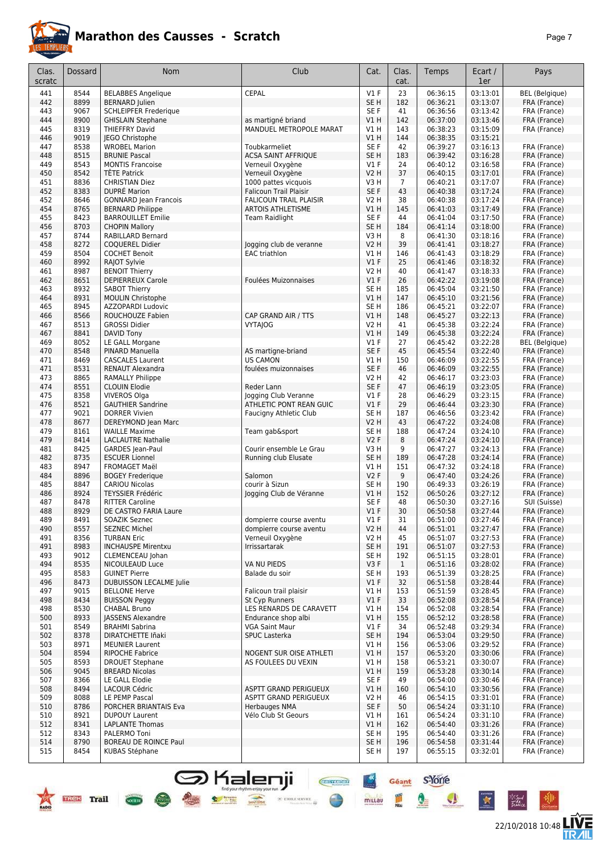

**TREE** Trail Com

# **Marathon des Causses - Scratch**

|--|--|

22/10/2018 10:48 **ITVE** 

 $\bullet$ 

X

\*Sud<br>Fattua

| Clas.<br>scratc | Dossard      | <b>Nom</b>                                               | Club                                                  | Cat.                      | Clas.<br>cat.       | Temps                | Ecart /<br>1er       | Pays                                  |
|-----------------|--------------|----------------------------------------------------------|-------------------------------------------------------|---------------------------|---------------------|----------------------|----------------------|---------------------------------------|
| 441             | 8544         | <b>BELABBES Angelique</b>                                | <b>CEPAL</b>                                          | $VI$ F                    | 23                  | 06:36:15             | 03:13:01             | <b>BEL</b> (Belgique)                 |
| 442             | 8899         | <b>BERNARD Julien</b>                                    |                                                       | SE H                      | 182                 | 06:36:21             | 03:13:07             | FRA (France)                          |
| 443<br>444      | 9067<br>8900 | <b>SCHLEIPFER Frederique</b><br><b>GHISLAIN Stephane</b> |                                                       | SE <sub>F</sub><br>VIH    | 41<br>142           | 06:36:56<br>06:37:00 | 03:13:42<br>03:13:46 | FRA (France)<br>FRA (France)          |
| 445             | 8319         | <b>THIEFFRY David</b>                                    | as martigné briand<br>MANDUEL METROPOLE MARAT         | V1H                       | 143                 | 06:38:23             | 03:15:09             | FRA (France)                          |
| 446             | 9019         | JEGO Christophe                                          |                                                       | V1 H                      | 144                 | 06:38:35             | 03:15:21             |                                       |
| 447             | 8538         | <b>WROBEL Marion</b>                                     | Toubkarmeliet                                         | SE F                      | 42                  | 06:39:27             | 03:16:13             | FRA (France)                          |
| 448             | 8515         | <b>BRUNIE Pascal</b>                                     | <b>ACSA SAINT AFFRIQUE</b>                            | SE <sub>H</sub>           | 183                 | 06:39:42             | 03:16:28             | FRA (France)                          |
| 449             | 8543         | <b>MONTIS Francoise</b>                                  | Verneuil Oxygène                                      | $VI$ F                    | 24                  | 06:40:12             | 03:16:58             | FRA (France)                          |
| 450             | 8542         | <b>TÊTE Patrick</b>                                      | Verneuil Oxygène                                      | <b>V2 H</b>               | 37                  | 06:40:15             | 03:17:01             | FRA (France)                          |
| 451<br>452      | 8836<br>8383 | <b>CHRISTIAN Diez</b><br><b>DUPRÉ Marion</b>             | 1000 pattes vicquois<br><b>Falicoun Trail Plaisir</b> | V3 H<br>SE F              | 7<br>43             | 06:40:21<br>06:40:38 | 03:17:07<br>03:17:24 | FRA (France)<br>FRA (France)          |
| 452             | 8646         | <b>GONNARD Jean Francois</b>                             | <b>FALICOUN TRAIL PLAISIR</b>                         | V2 H                      | 38                  | 06:40:38             | 03:17:24             | FRA (France)                          |
| 454             | 8765         | <b>BERNARD Philippe</b>                                  | <b>ARTOIS ATHLETISME</b>                              | V1 H                      | 145                 | 06:41:03             | 03:17:49             | FRA (France)                          |
| 455             | 8423         | <b>BARROUILLET Emilie</b>                                | <b>Team Raidlight</b>                                 | SE <sub>F</sub>           | 44                  | 06:41:04             | 03:17:50             | FRA (France)                          |
| 456             | 8703         | <b>CHOPIN Mallory</b>                                    |                                                       | SE <sub>H</sub>           | 184                 | 06:41:14             | 03:18:00             | FRA (France)                          |
| 457             | 8744         | RABILLARD Bernard                                        |                                                       | V <sub>3</sub> H          | 8                   | 06:41:30             | 03:18:16             | FRA (France)                          |
| 458<br>459      | 8272<br>8504 | COQUEREL Didier<br><b>COCHET Benoit</b>                  | Jogging club de veranne<br><b>EAC</b> triathlon       | <b>V2 H</b><br>V1H        | 39<br>146           | 06:41:41<br>06:41:43 | 03:18:27<br>03:18:29 | FRA (France)<br>FRA (France)          |
| 460             | 8992         | RAJOT Sylvie                                             |                                                       | $VI$ F                    | 25                  | 06:41:46             | 03:18:32             | FRA (France)                          |
| 461             | 8987         | <b>BENOIT Thierry</b>                                    |                                                       | <b>V2 H</b>               | 40                  | 06:41:47             | 03:18:33             | FRA (France)                          |
| 462             | 8651         | <b>DEPIERREUX Carole</b>                                 | Foulées Muizonnaises                                  | $VI$ F                    | 26                  | 06:42:22             | 03:19:08             | FRA (France)                          |
| 463             | 8932         | <b>SABOT Thierry</b>                                     |                                                       | SE <sub>H</sub>           | 185                 | 06:45:04             | 03:21:50             | FRA (France)                          |
| 464             | 8931         | <b>MOULIN Christophe</b>                                 |                                                       | V1 H                      | 147                 | 06:45:10             | 03:21:56             | FRA (France)                          |
| 465             | 8945         | AZZOPARDI Ludovic                                        |                                                       | SE <sub>H</sub>           | 186                 | 06:45:21             | 03:22:07             | FRA (France)                          |
| 466             | 8566         | ROUCHOUZE Fabien                                         | CAP GRAND AIR / TTS                                   | VIH                       | 148                 | 06:45:27             | 03:22:13             | FRA (France)                          |
| 467<br>467      | 8513<br>8841 | <b>GROSSI Didier</b><br>DAVID Tony                       | <b>VYTAJOG</b>                                        | <b>V2 H</b><br>VIH        | 41<br>149           | 06:45:38<br>06:45:38 | 03:22:24<br>03:22:24 | FRA (France)                          |
| 469             | 8052         | LE GALL Morgane                                          |                                                       | $VI$ F                    | 27                  | 06:45:42             | 03:22:28             | FRA (France)<br><b>BEL</b> (Belgique) |
| 470             | 8548         | PINARD Manuella                                          | AS martigne-briand                                    | SE F                      | 45                  | 06:45:54             | 03:22:40             | FRA (France)                          |
| 471             | 8469         | <b>CASCALES Laurent</b>                                  | <b>US CAMON</b>                                       | V1H                       | 150                 | 06:46:09             | 03:22:55             | FRA (France)                          |
| 471             | 8531         | <b>RENAUT Alexandra</b>                                  | foulées muizonnaises                                  | SE <sub>F</sub>           | 46                  | 06:46:09             | 03:22:55             | FRA (France)                          |
| 473             | 8865         | <b>RAMALLY Philippe</b>                                  |                                                       | V2 H                      | 42                  | 06:46:17             | 03:23:03             | FRA (France)                          |
| 474             | 8551         | <b>CLOUIN Elodie</b>                                     | Reder Lann                                            | SE F                      | 47                  | 06:46:19             | 03:23:05             | FRA (France)                          |
| 475             | 8358         | <b>VIVEROS Olga</b>                                      | Jogging Club Veranne                                  | $VI$ F                    | 28                  | 06:46:29             | 03:23:15             | FRA (France)                          |
| 476<br>477      | 8521<br>9021 | <b>GAUTHIER Sandrine</b><br><b>DORRER Vivien</b>         | ATHLETIC PONT REAN GUIC<br>Faucigny Athletic Club     | $VI$ F<br>SE <sub>H</sub> | 29<br>187           | 06:46:44<br>06:46:56 | 03:23:30<br>03:23:42 | FRA (France)<br>FRA (France)          |
| 478             | 8677         | DEREYMOND Jean Marc                                      |                                                       | <b>V2 H</b>               | 43                  | 06:47:22             | 03:24:08             | FRA (France)                          |
| 479             | 8161         | <b>WAILLE Maxime</b>                                     | Team gab&sport                                        | SE <sub>H</sub>           | 188                 | 06:47:24             | 03:24:10             | FRA (France)                          |
| 479             | 8414         | <b>LACLAUTRE Nathalie</b>                                |                                                       | V2F                       | 8                   | 06:47:24             | 03:24:10             | FRA (France)                          |
| 481             | 8425         | GARDES Jean-Paul                                         | Courir ensemble Le Grau                               | V3H                       | 9                   | 06:47:27             | 03:24:13             | FRA (France)                          |
| 482             | 8735         | <b>ESCUER Lionnel</b>                                    | Running club Elusate                                  | SE <sub>H</sub>           | 189                 | 06:47:28             | 03:24:14             | FRA (France)                          |
| 483             | 8947         | <b>FROMAGET Maël</b>                                     |                                                       | V1H                       | 151                 | 06:47:32             | 03:24:18             | FRA (France)                          |
| 484             | 8896         | <b>BOGEY Frederique</b>                                  | Salomon                                               | V2F                       | 9                   | 06:47:40             | 03:24:26             | FRA (France)                          |
| 485<br>486      | 8847<br>8924 | <b>CARIOU Nicolas</b><br><b>TEYSSIER Frédéric</b>        | courir à Sizun<br>Jogging Club de Véranne             | SE <sub>H</sub><br>V1 H   | 190<br>152          | 06:49:33<br>06:50:26 | 03:26:19<br>03:27:12 | FRA (France)<br>FRA (France)          |
| 487             | 8478         | <b>RITTER Caroline</b>                                   |                                                       | SE F                      | 48                  | 06:50:30             | 03:27:16             | SUI (Suisse)                          |
| 488             | 8929         | DE CASTRO FARIA Laure                                    |                                                       | $VI$ F                    | 30                  | 06:50:58             | 03:27:44             | FRA (France)                          |
| 489             | 8491         | SOAZIK Seznec                                            | dompierre course aventu                               | V1 F                      | 31                  | 06:51:00             | 03:27:46             | FRA (France)                          |
| 490             | 8557         | <b>SEZNEC Michel</b>                                     | dompierre course aventu                               | V2H                       | 44                  | 06:51:01             | 03:27:47             | FRA (France)                          |
| 491             | 8356         | <b>TURBAN Eric</b>                                       | Verneuil Oxvaène                                      | V2 H                      | 45                  | 06:51:07             | 03:27:53             | FRA (France)                          |
| 491             | 8983         | <b>INCHAUSPE Mirentxu</b>                                | Irrissartarak                                         | SE H                      | 191                 | 06:51:07             | 03:27:53             | FRA (France)                          |
| 493<br>494      | 9012<br>8535 | CLEMENCEAU Johan<br>NICOULEAUD Luce                      | VA NU PIEDS                                           | SE H<br>V3F               | 192<br>$\mathbf{1}$ | 06:51:15<br>06:51:16 | 03:28:01<br>03:28:02 | FRA (France)<br>FRA (France)          |
| 495             | 8583         | <b>GUINET Pierre</b>                                     | Balade du soir                                        | SE H                      | 193                 | 06:51:39             | 03:28:25             | FRA (France)                          |
| 496             | 8473         | <b>DUBUISSON LECALME Julie</b>                           |                                                       | V1F                       | 32                  | 06:51:58             | 03:28:44             | FRA (France)                          |
| 497             | 9015         | <b>BELLONE Herve</b>                                     | Falicoun trail plaisir                                | V1 H                      | 153                 | 06:51:59             | 03:28:45             | FRA (France)                          |
| 498             | 8434         | <b>BUISSON Peggy</b>                                     | St Cyp Runners                                        | $VI$ F                    | 33                  | 06:52:08             | 03:28:54             | FRA (France)                          |
| 498             | 8530         | CHABAL Bruno                                             | LES RENARDS DE CARAVETT                               | V1H                       | 154                 | 06:52:08             | 03:28:54             | FRA (France)                          |
| 500             | 8933         | <b>JASSENS Alexandre</b>                                 | Endurance shop albi                                   | VIH                       | 155                 | 06:52:12             | 03:28:58             | FRA (France)                          |
| 501             | 8549         | <b>BRAHMI Sabrina</b><br>DIRATCHETTE Iñaki               | <b>VGA Saint Maur</b>                                 | $VI$ F                    | 34                  | 06:52:48             | 03:29:34             | FRA (France)<br>FRA (France)          |
| 502<br>503      | 8378<br>8971 | <b>MEUNIER Laurent</b>                                   | SPUC Lasterka                                         | SE H<br>V1H               | 194<br>156          | 06:53:04<br>06:53:06 | 03:29:50<br>03:29:52 | FRA (France)                          |
| 504             | 8594         | <b>RIPOCHE Fabrice</b>                                   | NOGENT SUR OISE ATHLETI                               | V1H                       | 157                 | 06:53:20             | 03:30:06             | FRA (France)                          |
| 505             | 8593         | <b>DROUET Stephane</b>                                   | AS FOULEES DU VEXIN                                   | V1 H                      | 158                 | 06:53:21             | 03:30:07             | FRA (France)                          |
| 506             | 9045         | <b>BREARD Nicolas</b>                                    |                                                       | V1H                       | 159                 | 06:53:28             | 03:30:14             | FRA (France)                          |
| 507             | 8366         | LE GALL Elodie                                           |                                                       | SE F                      | 49                  | 06:54:00             | 03:30:46             | FRA (France)                          |
| 508             | 8494         | LACOUR Cédric                                            | ASPTT GRAND PERIGUEUX                                 | V1H                       | 160                 | 06:54:10             | 03:30:56             | FRA (France)                          |
| 509             | 8088         | LE PEMP Pascal                                           | ASPTT GRAND PERIGUEUX                                 | V2 H                      | 46                  | 06:54:15             | 03:31:01             | FRA (France)                          |
| 510<br>510      | 8786<br>8921 | PORCHER BRIANTAIS Eva<br><b>DUPOUY Laurent</b>           | <b>Herbauges NMA</b><br>Vélo Club St Geours           | SE F<br>V1 H              | 50<br>161           | 06:54:24<br>06:54:24 | 03:31:10<br>03:31:10 | FRA (France)<br>FRA (France)          |
| 512             | 8341         | <b>LAPLANTE Thomas</b>                                   |                                                       | VIH                       | 162                 | 06:54:40             | 03:31:26             | FRA (France)                          |
| 512             | 8343         | PALERMO Toni                                             |                                                       | SE H                      | 195                 | 06:54:40             | 03:31:26             | FRA (France)                          |
| 514             | 8790         | <b>BOREAU DE ROINCE Paul</b>                             |                                                       | SE H                      | 196                 | 06:54:58             | 03:31:44             | FRA (France)                          |
| 515             | 8454         | <b>KUBAS Stéphane</b>                                    |                                                       | SE H                      | 197                 | 06:55:15             | 03:32:01             | FRA (France)                          |

SHalenji **General Sydney**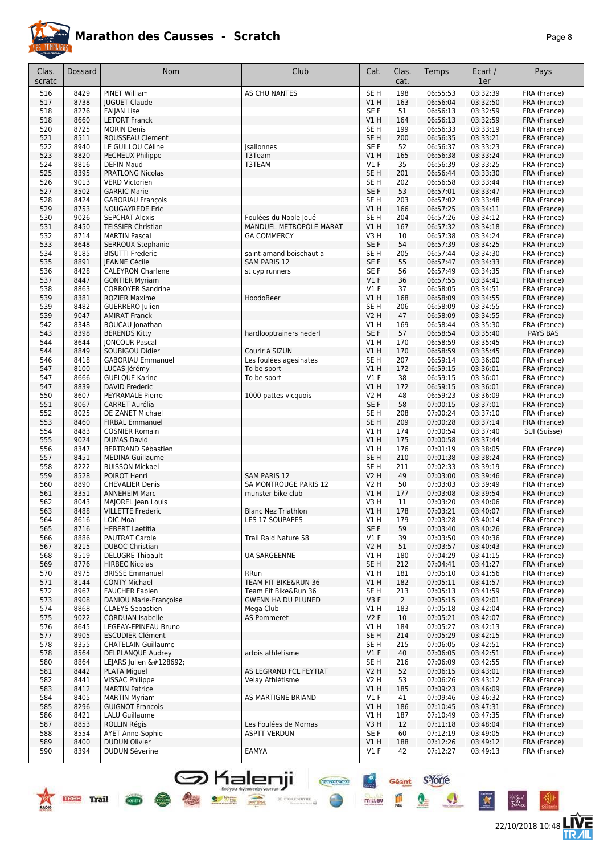

| Clas.      | Dossard      | <b>Nom</b>                                         | Club                                              | Cat.                   | Clas.                 | Temps                | Ecart /              | Pays                         |
|------------|--------------|----------------------------------------------------|---------------------------------------------------|------------------------|-----------------------|----------------------|----------------------|------------------------------|
| scratc     |              |                                                    |                                                   |                        | cat.                  |                      | 1er                  |                              |
| 516        | 8429         | PINET William                                      | <b>AS CHU NANTES</b>                              | SE <sub>H</sub>        | 198                   | 06:55:53             | 03:32:39             | FRA (France)                 |
| 517        | 8738         | <b>JUGUET Claude</b>                               |                                                   | VIH                    | 163                   | 06:56:04             | 03:32:50             | FRA (France)                 |
| 518        | 8276         | <b>FAIJAN Lise</b>                                 |                                                   | SE F                   | 51                    | 06:56:13             | 03:32:59             | FRA (France)                 |
| 518<br>520 | 8660<br>8725 | <b>LETORT Franck</b><br><b>MORIN Denis</b>         |                                                   | VIH<br>SE <sub>H</sub> | 164<br>199            | 06:56:13<br>06:56:33 | 03:32:59<br>03:33:19 | FRA (France)<br>FRA (France) |
| 521        | 8511         | ROUSSEAU Clement                                   |                                                   | SE <sub>H</sub>        | 200                   | 06:56:35             | 03:33:21             | FRA (France)                 |
| 522        | 8940         | LE GUILLOU Céline                                  | <b>Jsallonnes</b>                                 | SE F                   | 52                    | 06:56:37             | 03:33:23             | FRA (France)                 |
| 523        | 8820         | PECHEUX Philippe                                   | T3Team                                            | V1 H                   | 165                   | 06:56:38             | 03:33:24             | FRA (France)                 |
| 524        | 8816         | <b>DEFIN Maud</b>                                  | T3TEAM                                            | <b>V1 F</b>            | 35                    | 06:56:39             | 03:33:25             | FRA (France)                 |
| 525        | 8395         | PRATLONG Nicolas                                   |                                                   | SE <sub>H</sub>        | 201                   | 06:56:44             | 03:33:30             | FRA (France)                 |
| 526        | 9013         | <b>VERD Victorien</b>                              |                                                   | SE H                   | 202                   | 06:56:58             | 03:33:44             | FRA (France)                 |
| 527        | 8502         | <b>GARRIC Marie</b>                                |                                                   | SE F                   | 53                    | 06:57:01             | 03:33:47             | FRA (France)                 |
| 528<br>529 | 8424<br>8753 | <b>GABORIAU François</b><br><b>NOUGAYREDE Eric</b> |                                                   | SE H<br><b>V1 H</b>    | 203<br>166            | 06:57:02<br>06:57:25 | 03:33:48<br>03:34:11 | FRA (France)<br>FRA (France) |
| 530        | 9026         | <b>SEPCHAT Alexis</b>                              | Foulées du Noble Joué                             | SE <sub>H</sub>        | 204                   | 06:57:26             | 03:34:12             | FRA (France)                 |
| 531        | 8450         | <b>TEISSIER Christian</b>                          | MANDUEL METROPOLE MARAT                           | V1H                    | 167                   | 06:57:32             | 03:34:18             | FRA (France)                 |
| 532        | 8714         | <b>MARTIN Pascal</b>                               | <b>GA COMMERCY</b>                                | V3 H                   | 10                    | 06:57:38             | 03:34:24             | FRA (France)                 |
| 533        | 8648         | SERROUX Stephanie                                  |                                                   | SE F                   | 54                    | 06:57:39             | 03:34:25             | FRA (France)                 |
| 534        | 8185         | <b>BISUTTI Frederic</b>                            | saint-amand boischaut a                           | SE <sub>H</sub>        | 205                   | 06:57:44             | 03:34:30             | FRA (France)                 |
| 535        | 8891         | <b>IEANNE Cécile</b>                               | <b>SAM PARIS 12</b>                               | SE <sub>F</sub>        | 55                    | 06:57:47             | 03:34:33             | FRA (France)                 |
| 536        | 8428         | <b>CALEYRON Charlene</b>                           | st cyp runners                                    | SE F                   | 56                    | 06:57:49             | 03:34:35             | FRA (France)                 |
| 537        | 8447<br>8863 | <b>GONTIER Myriam</b>                              |                                                   | $VI$ F                 | 36                    | 06:57:55             | 03:34:41<br>03:34:51 | FRA (France)                 |
| 538<br>539 | 8381         | <b>CORROYER Sandrine</b><br><b>ROZIER Maxime</b>   | HoodoBeer                                         | $VI$ F<br>VIH          | 37<br>168             | 06:58:05<br>06:58:09 | 03:34:55             | FRA (France)<br>FRA (France) |
| 539        | 8482         | <b>GUERRERO</b> Julien                             |                                                   | SE <sub>H</sub>        | 206                   | 06:58:09             | 03:34:55             | FRA (France)                 |
| 539        | 9047         | <b>AMIRAT Franck</b>                               |                                                   | <b>V2 H</b>            | 47                    | 06:58:09             | 03:34:55             | FRA (France)                 |
| 542        | 8348         | <b>BOUCAU</b> Jonathan                             |                                                   | V1 H                   | 169                   | 06:58:44             | 03:35:30             | FRA (France)                 |
| 543        | 8398         | <b>BERENDS Kitty</b>                               | hardlooptrainers nederl                           | SE F                   | 57                    | 06:58:54             | 03:35:40             | PAYS BAS                     |
| 544        | 8644         | <b>JONCOUR Pascal</b>                              |                                                   | V1 H                   | 170                   | 06:58:59             | 03:35:45             | FRA (France)                 |
| 544        | 8849         | SOUBIGOU Didier                                    | Courir à SIZUN                                    | V1H                    | 170                   | 06:58:59             | 03:35:45             | FRA (France)                 |
| 546        | 8418<br>8100 | <b>GABORIAU Emmanuel</b>                           | Les foulées agesinates                            | SE <sub>H</sub>        | 207                   | 06:59:14<br>06:59:15 | 03:36:00<br>03:36:01 | FRA (France)                 |
| 547<br>547 | 8666         | LUCAS Jérémy<br><b>GUELQUE Karine</b>              | To be sport<br>To be sport                        | VIH<br>$VI$ F          | 172<br>38             | 06:59:15             | 03:36:01             | FRA (France)<br>FRA (France) |
| 547        | 8839         | DAVID Frederic                                     |                                                   | V1 H                   | 172                   | 06:59:15             | 03:36:01             | FRA (France)                 |
| 550        | 8607         | <b>PEYRAMALE Pierre</b>                            | 1000 pattes vicquois                              | V2 H                   | 48                    | 06:59:23             | 03:36:09             | FRA (France)                 |
| 551        | 8067         | <b>CARRET Aurélia</b>                              |                                                   | SE F                   | 58                    | 07:00:15             | 03:37:01             | FRA (France)                 |
| 552        | 8025         | DE ZANET Michael                                   |                                                   | SE H                   | 208                   | 07:00:24             | 03:37:10             | FRA (France)                 |
| 553        | 8460         | <b>FIRBAL Emmanuel</b>                             |                                                   | SE <sub>H</sub>        | 209                   | 07:00:28             | 03:37:14             | FRA (France)                 |
| 554        | 8483         | <b>COSNIER Romain</b>                              |                                                   | V1 H                   | 174                   | 07:00:54             | 03:37:40             | SUI (Suisse)                 |
| 555<br>556 | 9024<br>8347 | <b>DUMAS David</b><br><b>BERTRAND Sébastien</b>    |                                                   | V1H<br>V1 H            | 175<br>176            | 07:00:58<br>07:01:19 | 03:37:44<br>03:38:05 | FRA (France)                 |
| 557        | 8451         | <b>MEDINA Guillaume</b>                            |                                                   | SE <sub>H</sub>        | 210                   | 07:01:38             | 03:38:24             | FRA (France)                 |
| 558        | 8222         | <b>BUISSON Mickael</b>                             |                                                   | SE <sub>H</sub>        | 211                   | 07:02:33             | 03:39:19             | FRA (France)                 |
| 559        | 8528         | POIROT Henri                                       | <b>SAM PARIS 12</b>                               | <b>V2 H</b>            | 49                    | 07:03:00             | 03:39:46             | FRA (France)                 |
| 560        | 8890         | <b>CHEVALIER Denis</b>                             | SA MONTROUGE PARIS 12                             | <b>V2 H</b>            | 50                    | 07:03:03             | 03:39:49             | FRA (France)                 |
| 561        | 8351         | <b>ANNEHEIM Marc</b>                               | munster bike club                                 | VIH                    | 177                   | 07:03:08             | 03:39:54             | FRA (France)                 |
| 562        | 8043         | MAJOREL Jean Louis                                 |                                                   | V3H                    | 11                    | 07:03:20             | 03:40:06             | FRA (France)                 |
| 563        | 8488         | <b>VILLETTE Frederic</b><br><b>LOIC Moal</b>       | <b>Blanc Nez Triathlon</b><br>LES 17 SOUPAPES     | VIH                    | 178                   | 07:03:21             | 03:40:07             | FRA (France)                 |
| 564<br>565 | 8616<br>8716 | <b>HEBERT Laetitia</b>                             |                                                   | V1 H<br>SE F           | 179<br>59             | 07:03:28<br>07:03:40 | 03:40:14<br>03:40:26 | FRA (France)<br>FRA (France) |
| 566        | 8886         | <b>PAUTRAT Carole</b>                              | Trail Raid Nature 58                              | $VI$ F                 | 39                    | 07:03:50             | 03:40:36             | FRA (France)                 |
| 567        | 8215         | <b>DUBOC Christian</b>                             |                                                   | <b>V2 H</b>            | 51                    | 07:03:57             | 03:40:43             | FRA (France)                 |
| 568        | 8519         | <b>DELUGRE Thibault</b>                            | <b>UA SARGEENNE</b>                               | V1 H                   | 180                   | 07:04:29             | 03:41:15             | FRA (France)                 |
| 569        | 8776         | <b>HIRBEC Nicolas</b>                              |                                                   | SE H                   | 212                   | 07:04:41             | 03:41:27             | FRA (France)                 |
| 570        | 8975         | <b>BRISSE Emmanuel</b>                             | RRun                                              | V1 H                   | 181                   | 07:05:10             | 03:41:56             | FRA (France)                 |
| 571        | 8144         | <b>CONTY Michael</b>                               | TEAM FIT BIKE&RUN 36                              | V1H                    | 182                   | 07:05:11             | 03:41:57             | FRA (France)                 |
| 572<br>573 | 8967<br>8908 | <b>FAUCHER Fabien</b><br>DANIOU Marie-Françoise    | Team Fit Bike&Run 36<br><b>GWENN HA DU PLUNED</b> | SE H<br>V3F            | 213<br>$\overline{2}$ | 07:05:13<br>07:05:15 | 03:41:59<br>03:42:01 | FRA (France)<br>FRA (France) |
| 574        | 8868         | <b>CLAEYS Sebastien</b>                            | Mega Club                                         | V1 H                   | 183                   | 07:05:18             | 03:42:04             | FRA (France)                 |
| 575        | 9022         | <b>CORDUAN Isabelle</b>                            | AS Pommeret                                       | V2F                    | 10                    | 07:05:21             | 03:42:07             | FRA (France)                 |
| 576        | 8645         | LEGEAY-EPINEAU Bruno                               |                                                   | V1 H                   | 184                   | 07:05:27             | 03:42:13             | FRA (France)                 |
| 577        | 8905         | <b>ESCUDIER Clément</b>                            |                                                   | SE H                   | 214                   | 07:05:29             | 03:42:15             | FRA (France)                 |
| 578        | 8355         | <b>CHATELAIN Guillaume</b>                         |                                                   | SE H                   | 215                   | 07:06:05             | 03:42:51             | FRA (France)                 |
| 578        | 8564         | DELPLANQUE Audrey                                  | artois athletisme                                 | $VI$ F                 | 40                    | 07:06:05             | 03:42:51             | FRA (France)                 |
| 580<br>581 | 8864<br>8442 | LEJARS Julien 🚴<br><b>PLATA Miguel</b>             | AS LEGRAND FCL FEYTIAT                            | SE H<br><b>V2 H</b>    | 216<br>52             | 07:06:09<br>07:06:15 | 03:42:55<br>03:43:01 | FRA (France)<br>FRA (France) |
| 582        | 8441         | <b>VISSAC Philippe</b>                             | Velay Athlétisme                                  | V2 H                   | 53                    | 07:06:26             | 03:43:12             | FRA (France)                 |
| 583        | 8412         | <b>MARTIN Patrice</b>                              |                                                   | V1H                    | 185                   | 07:09:23             | 03:46:09             | FRA (France)                 |
| 584        | 8405         | <b>MARTIN Myriam</b>                               | AS MARTIGNE BRIAND                                | $VI$ F                 | 41                    | 07:09:46             | 03:46:32             | FRA (France)                 |
| 585        | 8296         | <b>GUIGNOT Francois</b>                            |                                                   | V1H                    | 186                   | 07:10:45             | 03:47:31             | FRA (France)                 |
| 586        | 8421         | LALU Guillaume                                     |                                                   | V1H                    | 187                   | 07:10:49             | 03:47:35             | FRA (France)                 |
| 587        | 8853         | <b>ROLLIN Régis</b>                                | Les Foulées de Mornas                             | V3H                    | 12                    | 07:11:18             | 03:48:04             | FRA (France)                 |
| 588        | 8554         | <b>AYET Anne-Sophie</b>                            | <b>ASPTT VERDUN</b>                               | SE F                   | 60                    | 07:12:19             | 03:49:05             | FRA (France)                 |
| 589<br>590 | 8400<br>8394 | <b>DUDUN Olivier</b><br><b>DUDUN Séverine</b>      | EAMYA                                             | V1 H<br>$VI$ F         | 188<br>42             | 07:12:26<br>07:12:27 | 03:49:12<br>03:49:13 | FRA (France)<br>FRA (France) |
|            |              |                                                    |                                                   |                        |                       |                      |                      |                              |

**S** Kalenji

 $\bullet$ 

 $\frac{1}{\sqrt{1-\frac{1}{2}}\sqrt{1-\frac{1}{2}}\sqrt{1-\frac{1}{2}}\sqrt{1-\frac{1}{2}}\sqrt{1-\frac{1}{2}}\sqrt{1-\frac{1}{2}}\sqrt{1-\frac{1}{2}}\sqrt{1-\frac{1}{2}}\sqrt{1-\frac{1}{2}}\sqrt{1-\frac{1}{2}}\sqrt{1-\frac{1}{2}}\sqrt{1-\frac{1}{2}}\sqrt{1-\frac{1}{2}}\sqrt{1-\frac{1}{2}}\sqrt{1-\frac{1}{2}}\sqrt{1-\frac{1}{2}}\sqrt{1-\frac{1}{2}}\sqrt{1-\frac{1}{2}}\sqrt{1-\frac{1}{2}}\sqrt{1-\frac$ 





Géant S-Yorre

Q

 $\mathbf{A}$ 

 $\star$ 

 $\frac{m}{m}$ 

**Chevroom** 

 $\times$  etoile server  $\ddot{\phi}$ 

 $\frac{4x}{x}$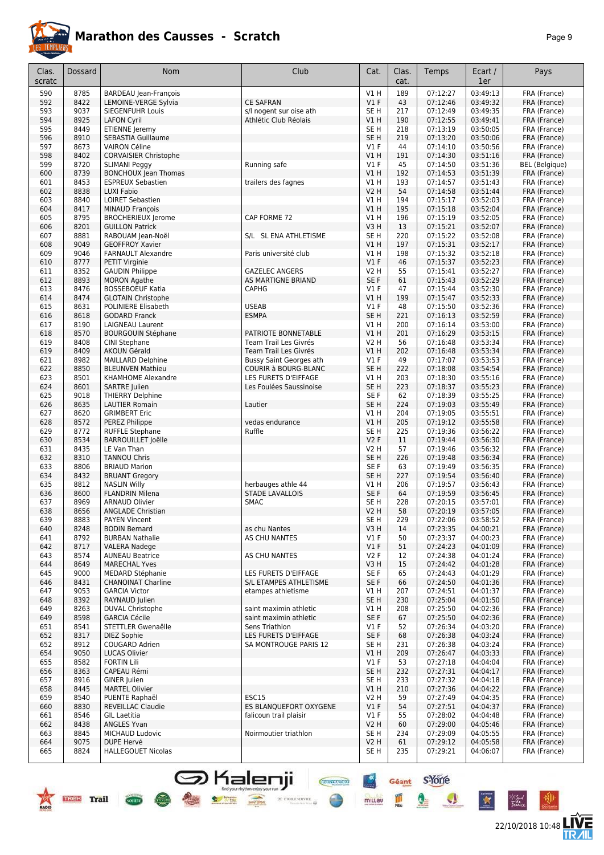

**TREE** Trail Com

# **Marathon des Causses - Scratch**

| c |  |
|---|--|
|---|--|

22/10/2018 10:48 **ITVE** 

 $\bullet$ 

X

\*Sud<br>Fattua

| Clas.<br>scratc | Dossard      | <b>Nom</b>                                          | Club                                                   | Cat.                               | Clas.<br>cat. | Temps                | Ecart /<br>1er       | Pays                         |
|-----------------|--------------|-----------------------------------------------------|--------------------------------------------------------|------------------------------------|---------------|----------------------|----------------------|------------------------------|
| 590             | 8785         | <b>BARDEAU</b> Jean-François                        |                                                        | <b>V1 H</b>                        | 189           | 07:12:27             | 03:49:13             | FRA (France)                 |
| 592             | 8422         | LEMOINE-VERGE Sylvia                                | <b>CE SAFRAN</b>                                       | V1F                                | 43            | 07:12:46             | 03:49:32             | FRA (France)                 |
| 593             | 9037         | <b>SIEGENFUHR Louis</b>                             | s/l nogent sur oise ath                                | SE <sub>H</sub>                    | 217           | 07:12:49             | 03:49:35             | FRA (France)                 |
| 594             | 8925<br>8449 | <b>LAFON Cyril</b>                                  | Athlétic Club Réolais                                  | V1H                                | 190           | 07:12:55             | 03:49:41<br>03:50:05 | FRA (France)                 |
| 595<br>596      | 8910         | ETIENNE Jeremy<br>SEBASTIA Guillaume                |                                                        | SE <sub>H</sub><br>SE <sub>H</sub> | 218<br>219    | 07:13:19<br>07:13:20 | 03:50:06             | FRA (France)<br>FRA (France) |
| 597             | 8673         | <b>VAIRON Céline</b>                                |                                                        | $VI$ F                             | 44            | 07:14:10             | 03:50:56             | FRA (France)                 |
| 598             | 8402         | <b>CORVAISIER Christophe</b>                        |                                                        | V1H                                | 191           | 07:14:30             | 03:51:16             | FRA (France)                 |
| 599             | 8720         | <b>SLIMANI Peggy</b>                                | Running safe                                           | $VI$ F                             | 45            | 07:14:50             | 03:51:36             | <b>BEL</b> (Belgique)        |
| 600             | 8739         | <b>BONCHOUX Jean Thomas</b>                         |                                                        | V1H                                | 192           | 07:14:53             | 03:51:39             | FRA (France)                 |
| 601             | 8453         | <b>ESPREUX Sebastien</b>                            | trailers des fagnes                                    | V1 H                               | 193           | 07:14:57             | 03:51:43             | FRA (France)                 |
| 602             | 8838         | LUXI Fabio                                          |                                                        | <b>V2 H</b>                        | 54            | 07:14:58             | 03:51:44             | FRA (France)                 |
| 603<br>604      | 8840<br>8417 | <b>LOIRET Sebastien</b><br><b>MINAUD François</b>   |                                                        | <b>V1 H</b><br><b>V1 H</b>         | 194<br>195    | 07:15:17<br>07:15:18 | 03:52:03<br>03:52:04 | FRA (France)<br>FRA (France) |
| 605             | 8795         | <b>BROCHERIEUX Jerome</b>                           | CAP FORME 72                                           | <b>V1 H</b>                        | 196           | 07:15:19             | 03:52:05             | FRA (France)                 |
| 606             | 8201         | <b>GUILLON Patrick</b>                              |                                                        | V <sub>3</sub> H                   | 13            | 07:15:21             | 03:52:07             | FRA (France)                 |
| 607             | 8881         | RABOUAM Jean-Noël                                   | S/L SL ENA ATHLETISME                                  | SE <sub>H</sub>                    | 220           | 07:15:22             | 03:52:08             | FRA (France)                 |
| 608             | 9049         | <b>GEOFFROY Xavier</b>                              |                                                        | V1H                                | 197           | 07:15:31             | 03:52:17             | FRA (France)                 |
| 609             | 9046         | <b>FARNAULT Alexandre</b>                           | Paris université club                                  | <b>V1 H</b>                        | 198           | 07:15:32             | 03:52:18             | FRA (France)                 |
| 610             | 8777         | PETIT Virginie                                      |                                                        | V1F                                | 46            | 07:15:37             | 03:52:23             | FRA (France)                 |
| 611             | 8352<br>8893 | <b>GAUDIN Philippe</b><br><b>MORON Agathe</b>       | <b>GAZELEC ANGERS</b><br>AS MARTIGNE BRIAND            | <b>V2 H</b><br>SE F                | 55<br>61      | 07:15:41<br>07:15:43 | 03:52:27<br>03:52:29 | FRA (France)<br>FRA (France) |
| 612<br>613      | 8476         | <b>BOSSEBOEUF Katia</b>                             | <b>CAPHG</b>                                           | V1 F                               | 47            | 07:15:44             | 03:52:30             | FRA (France)                 |
| 614             | 8474         | <b>GLOTAIN Christophe</b>                           |                                                        | V1H                                | 199           | 07:15:47             | 03:52:33             | FRA (France)                 |
| 615             | 8631         | POLINIERE Elisabeth                                 | <b>USEAB</b>                                           | $VI$ F                             | 48            | 07:15:50             | 03:52:36             | FRA (France)                 |
| 616             | 8618         | <b>GODARD Franck</b>                                | <b>ESMPA</b>                                           | SE <sub>H</sub>                    | 221           | 07:16:13             | 03:52:59             | FRA (France)                 |
| 617             | 8190         | LAIGNEAU Laurent                                    |                                                        | V1H                                | 200           | 07:16:14             | 03:53:00             | FRA (France)                 |
| 618             | 8570         | <b>BOURGOUIN Stéphane</b>                           | PATRIOTE BONNETABLE                                    | V1H                                | 201           | 07:16:29             | 03:53:15             | FRA (France)                 |
| 619             | 8408         | CINI Stephane                                       | Team Trail Les Givrés                                  | <b>V2 H</b>                        | 56            | 07:16:48             | 03:53:34             | FRA (France)                 |
| 619             | 8409<br>8982 | <b>AKOUN Gérald</b><br>MAILLARD Delphine            | Team Trail Les Givrés                                  | V1H<br>$VI$ F                      | 202<br>49     | 07:16:48<br>07:17:07 | 03:53:34<br>03:53:53 | FRA (France)                 |
| 621<br>622      | 8850         | <b>BLEUNVEN Mathieu</b>                             | Bussy Saint Georges ath<br><b>COURIR à BOURG-BLANC</b> | SE <sub>H</sub>                    | 222           | 07:18:08             | 03:54:54             | FRA (France)<br>FRA (France) |
| 623             | 8501         | KHAMHOME Alexandre                                  | LES FURETS D'EIFFAGE                                   | V1H                                | 203           | 07:18:30             | 03:55:16             | FRA (France)                 |
| 624             | 8601         | <b>SARTRE Julien</b>                                | Les Foulées Saussinoise                                | SE <sub>H</sub>                    | 223           | 07:18:37             | 03:55:23             | FRA (France)                 |
| 625             | 9018         | <b>THIERRY Delphine</b>                             |                                                        | SE F                               | 62            | 07:18:39             | 03:55:25             | FRA (France)                 |
| 626             | 8635         | <b>LAUTIER Romain</b>                               | Lautier                                                | SE <sub>H</sub>                    | 224           | 07:19:03             | 03:55:49             | FRA (France)                 |
| 627             | 8620         | <b>GRIMBERT Eric</b>                                |                                                        | V1 H                               | 204           | 07:19:05             | 03:55:51             | FRA (France)                 |
| 628             | 8572         | PEREZ Philippe                                      | vedas endurance                                        | <b>V1 H</b>                        | 205           | 07:19:12             | 03:55:58             | FRA (France)                 |
| 629<br>630      | 8772<br>8534 | <b>RUFFLE Stephane</b><br><b>BARROUILLET Joëlle</b> | Ruffle                                                 | SE <sub>H</sub><br><b>V2F</b>      | 225<br>11     | 07:19:36<br>07:19:44 | 03:56:22<br>03:56:30 | FRA (France)                 |
| 631             | 8435         | LE Van Than                                         |                                                        | <b>V2 H</b>                        | 57            | 07:19:46             | 03:56:32             | FRA (France)<br>FRA (France) |
| 632             | 8310         | <b>TANNOU Chris</b>                                 |                                                        | SE <sub>H</sub>                    | 226           | 07:19:48             | 03:56:34             | FRA (France)                 |
| 633             | 8806         | <b>BRIAUD Marion</b>                                |                                                        | SE F                               | 63            | 07:19:49             | 03:56:35             | FRA (France)                 |
| 634             | 8432         | <b>BRUANT Gregory</b>                               |                                                        | SE <sub>H</sub>                    | 227           | 07:19:54             | 03:56:40             | FRA (France)                 |
| 635             | 8812         | <b>NASLIN Willy</b>                                 | herbauges athle 44                                     | <b>V1 H</b>                        | 206           | 07:19:57             | 03:56:43             | FRA (France)                 |
| 636             | 8600         | <b>FLANDRIN Milena</b>                              | <b>STADE LAVALLOIS</b>                                 | SE F                               | 64            | 07:19:59             | 03:56:45             | FRA (France)                 |
| 637             | 8969<br>8656 | <b>ARNAUD Olivier</b>                               | SMAC                                                   | SE H                               | 228<br>58     | 07:20:15             | 03:57:01             | FRA (France)                 |
| 638<br>639      | 8883         | <b>ANGLADE Christian</b><br><b>PAYEN Vincent</b>    |                                                        | V2 H<br>SE H                       | 229           | 07:20:19<br>07:22:06 | 03:57:05<br>03:58:52 | FRA (France)<br>FRA (France) |
| 640             | 8248         | <b>BODIN Bernard</b>                                | as chu Nantes                                          | V3H                                | 14            | 07:23:35             | 04:00:21             | FRA (France)                 |
| 641             | 8792         | <b>BURBAN Nathalie</b>                              | AS CHU NANTES                                          | $VI$ F                             | 50            | 07:23:37             | 04:00:23             | FRA (France)                 |
| 642             | 8717         | <b>VALERA Nadege</b>                                |                                                        | V1F                                | 51            | 07:24:23             | 04:01:09             | FRA (France)                 |
| 643             | 8574         | <b>AUNEAU Beatrice</b>                              | AS CHU NANTES                                          | V2F                                | 12            | 07:24:38             | 04:01:24             | FRA (France)                 |
| 644             | 8649         | <b>MARECHAL Yves</b>                                |                                                        | V3H                                | 15            | 07:24:42             | 04:01:28             | FRA (France)                 |
| 645             | 9000         | MEDARD Stéphanie                                    | LES FURETS D'EIFFAGE<br>S/L ETAMPES ATHLETISME         | SE F<br>SE F                       | 65            | 07:24:43             | 04:01:29<br>04:01:36 | FRA (France)                 |
| 646<br>647      | 8431<br>9053 | <b>CHANOINAT Charline</b><br><b>GARCIA Victor</b>   | etampes athletisme                                     | V1H                                | 66<br>207     | 07:24:50<br>07:24:51 | 04:01:37             | FRA (France)<br>FRA (France) |
| 648             | 8392         | RAYNAUD Julien                                      |                                                        | SE <sub>H</sub>                    | 230           | 07:25:04             | 04:01:50             | FRA (France)                 |
| 649             | 8263         | DUVAL Christophe                                    | saint maximin athletic                                 | V1H                                | 208           | 07:25:50             | 04:02:36             | FRA (France)                 |
| 649             | 8598         | <b>GARCIA Cécile</b>                                | saint maximin athletic                                 | SE F                               | 67            | 07:25:50             | 04:02:36             | FRA (France)                 |
| 651             | 8541         | STETTLER Gwenaëlle                                  | Sens Triathlon                                         | $VI$ F                             | 52            | 07:26:34             | 04:03:20             | FRA (France)                 |
| 652             | 8317         | DIEZ Sophie                                         | LES FURETS D'EIFFAGE                                   | SE F                               | 68            | 07:26:38             | 04:03:24             | FRA (France)                 |
| 652             | 8912         | COUGARD Adrien                                      | SA MONTROUGE PARIS 12                                  | SE H                               | 231           | 07:26:38             | 04:03:24             | FRA (France)                 |
| 654<br>655      | 9050<br>8582 | <b>LUCAS Olivier</b><br><b>FORTIN Lili</b>          |                                                        | V1H<br>$VI$ F                      | 209<br>53     | 07:26:47<br>07:27:18 | 04:03:33<br>04:04:04 | FRA (France)<br>FRA (France) |
| 656             | 8363         | CAPEAU Rémi                                         |                                                        | SE <sub>H</sub>                    | 232           | 07:27:31             | 04:04:17             | FRA (France)                 |
| 657             | 8916         | GINER Julien                                        |                                                        | SE <sub>H</sub>                    | 233           | 07:27:32             | 04:04:18             | FRA (France)                 |
| 658             | 8445         | <b>MARTEL Olivier</b>                               |                                                        | V1H                                | 210           | 07:27:36             | 04:04:22             | FRA (France)                 |
| 659             | 8540         | PUENTE Raphaël                                      | ESC15                                                  | <b>V2 H</b>                        | 59            | 07:27:49             | 04:04:35             | FRA (France)                 |
| 660             | 8830         | <b>REVEILLAC Claudie</b>                            | ES BLANQUEFORT OXYGENE                                 | $VI$ F                             | 54            | 07:27:51             | 04:04:37             | FRA (France)                 |
| 661             | 8546         | <b>GIL Laetitia</b>                                 | falicoun trail plaisir                                 | $VI$ F                             | 55            | 07:28:02             | 04:04:48             | FRA (France)                 |
| 662<br>663      | 8438<br>8845 | <b>ANGLES Yvan</b><br>MICHAUD Ludovic               | Noirmoutier triathlon                                  | V2 H<br>SE H                       | 60<br>234     | 07:29:00<br>07:29:09 | 04:05:46<br>04:05:55 | FRA (France)<br>FRA (France) |
| 664             | 9075         | DUPE Hervé                                          |                                                        | <b>V2 H</b>                        | 61            | 07:29:12             | 04:05:58             | FRA (France)                 |
| 665             | 8824         | <b>HALLEGOUET Nicolas</b>                           |                                                        | SE H                               | 235           | 07:29:21             | 04:06:07             | FRA (France)                 |
|                 |              |                                                     |                                                        |                                    |               |                      |                      |                              |

SHalenji **General Sydney**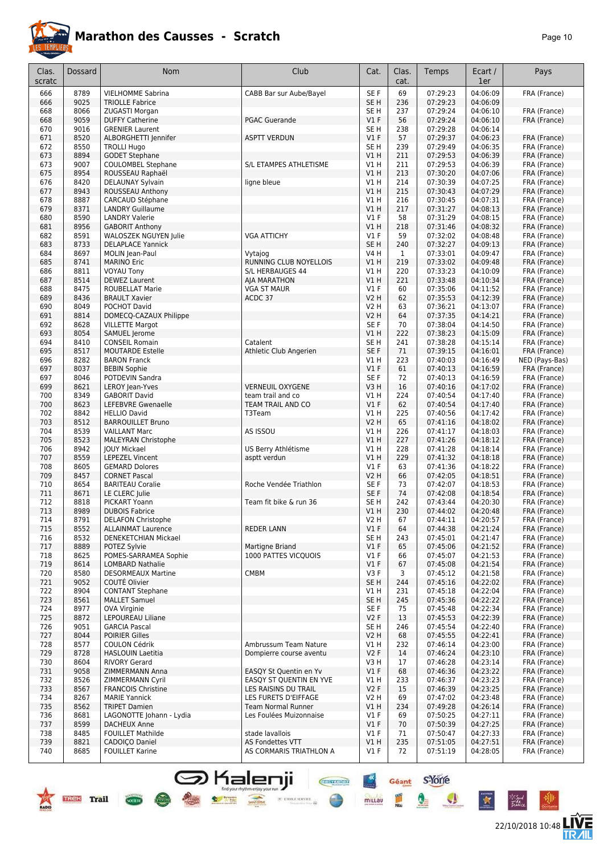

22/10/2018 10:48

**LIVE<br>TR***A***IL** 

Géant S-Yone

Q

 $\mathbf{A}$ 

**CHOY RON** 

 $\times$  etoile serve

 $+X$ 

millau

| Clas.<br>scratc | Dossard      | Nom                                                | Club                              | Cat.                    | Clas.<br>cat.       | Temps                | Ecart /<br>1er       | Pays                         |
|-----------------|--------------|----------------------------------------------------|-----------------------------------|-------------------------|---------------------|----------------------|----------------------|------------------------------|
| 666             | 8789         | <b>VIELHOMME Sabrina</b>                           | CABB Bar sur Aube/Bayel           | SE <sub>F</sub>         | 69                  | 07:29:23             | 04:06:09             | FRA (France)                 |
| 666             | 9025         | <b>TRIOLLE Fabrice</b>                             |                                   | SE <sub>H</sub>         | 236                 | 07:29:23             | 04:06:09             |                              |
| 668             | 8066         | ZUGASTI Morgan                                     |                                   | SE <sub>H</sub>         | 237                 | 07:29:24             | 04:06:10             | FRA (France)                 |
| 668             | 9059         | <b>DUFFY Catherine</b>                             | <b>PGAC Guerande</b>              | V1F                     | 56                  | 07:29:24             | 04:06:10             | FRA (France)                 |
| 670             | 9016         | <b>GRENIER Laurent</b>                             |                                   | SE <sub>H</sub>         | 238                 | 07:29:28             | 04:06:14             |                              |
| 671             | 8520         | ALBORGHETTI Jennifer                               | <b>ASPTT VERDUN</b>               | V1F                     | 57                  | 07:29:37             | 04:06:23             | FRA (France)                 |
| 672             | 8550         | <b>TROLLI Hugo</b>                                 |                                   | SE <sub>H</sub>         | 239                 | 07:29:49             | 04:06:35             | FRA (France)                 |
| 673             | 8894<br>9007 | <b>GODET Stephane</b><br><b>COULOMBEL Stephane</b> | S/L ETAMPES ATHLETISME            | V1H                     | 211                 | 07:29:53<br>07:29:53 | 04:06:39<br>04:06:39 | FRA (France)                 |
| 673<br>675      | 8954         | ROUSSEAU Raphaël                                   |                                   | V1 H<br>V1H             | 211<br>213          | 07:30:20             | 04:07:06             | FRA (France)<br>FRA (France) |
| 676             | 8420         | DELAUNAY Sylvain                                   | ligne bleue                       | V1 H                    | 214                 | 07:30:39             | 04:07:25             | FRA (France)                 |
| 677             | 8943         | ROUSSEAU Anthony                                   |                                   | V1H                     | 215                 | 07:30:43             | 04:07:29             | FRA (France)                 |
| 678             | 8887         | <b>CARCAUD Stéphane</b>                            |                                   | V1 H                    | 216                 | 07:30:45             | 04:07:31             | FRA (France)                 |
| 679             | 8371         | <b>LANDRY Guillaume</b>                            |                                   | VIH                     | 217                 | 07:31:27             | 04:08:13             | FRA (France)                 |
| 680             | 8590         | <b>LANDRY Valerie</b>                              |                                   | $VI$ F                  | 58                  | 07:31:29             | 04:08:15             | FRA (France)                 |
| 681             | 8956         | <b>GABORIT Anthony</b>                             |                                   | VIH                     | 218                 | 07:31:46             | 04:08:32             | FRA (France)                 |
| 682             | 8591         | WALOSZEK NGUYEN Julie                              | <b>VGA ATTICHY</b>                | $VI$ F                  | 59                  | 07:32:02             | 04:08:48             | FRA (France)                 |
| 683<br>684      | 8733<br>8697 | <b>DELAPLACE Yannick</b><br>MOLIN Jean-Paul        |                                   | SE <sub>H</sub><br>V4 H | 240<br>$\mathbf{1}$ | 07:32:27<br>07:33:01 | 04:09:13<br>04:09:47 | FRA (France)<br>FRA (France) |
| 685             | 8741         | <b>MARINO Eric</b>                                 | Vytajog<br>RUNNING CLUB NOYELLOIS | V1H                     | 219                 | 07:33:02             | 04:09:48             | FRA (France)                 |
| 686             | 8811         | <b>VOYAU Tony</b>                                  | S/L HERBAUGES 44                  | V1 H                    | 220                 | 07:33:23             | 04:10:09             | FRA (France)                 |
| 687             | 8514         | <b>DEWEZ Laurent</b>                               | AJA MARATHON                      | V1H                     | 221                 | 07:33:48             | 04:10:34             | FRA (France)                 |
| 688             | 8475         | <b>ROUBELLAT Marie</b>                             | <b>VGA ST MAUR</b>                | $VI$ F                  | 60                  | 07:35:06             | 04:11:52             | FRA (France)                 |
| 689             | 8436         | <b>BRAULT Xavier</b>                               | ACDC 37                           | <b>V2 H</b>             | 62                  | 07:35:53             | 04:12:39             | FRA (France)                 |
| 690             | 8049         | POCHOT David                                       |                                   | <b>V2 H</b>             | 63                  | 07:36:21             | 04:13:07             | FRA (France)                 |
| 691             | 8814         | DOMECQ-CAZAUX Philippe                             |                                   | <b>V2 H</b>             | 64                  | 07:37:35             | 04:14:21             | FRA (France)                 |
| 692             | 8628         | <b>VILLETTE Margot</b>                             |                                   | SE F                    | 70                  | 07:38:04             | 04:14:50             | FRA (France)                 |
| 693<br>694      | 8054<br>8410 | SAMUEL Jerome<br><b>CONSEIL Romain</b>             | Catalent                          | VIH<br>SE <sub>H</sub>  | 222<br>241          | 07:38:23<br>07:38:28 | 04:15:09<br>04:15:14 | FRA (France)<br>FRA (France) |
| 695             | 8517         | <b>MOUTARDE Estelle</b>                            | Athletic Club Angerien            | SE F                    | 71                  | 07:39:15             | 04:16:01             | FRA (France)                 |
| 696             | 8282         | <b>BARON Franck</b>                                |                                   | V1 H                    | 223                 | 07:40:03             | 04:16:49             | NED (Pays-Bas)               |
| 697             | 8037         | <b>BEBIN Sophie</b>                                |                                   | V1F                     | 61                  | 07:40:13             | 04:16:59             | FRA (France)                 |
| 697             | 8046         | POTDEVIN Sandra                                    |                                   | SE <sub>F</sub>         | 72                  | 07:40:13             | 04:16:59             | FRA (France)                 |
| 699             | 8621         | LEROY Jean-Yves                                    | <b>VERNEUIL OXYGENE</b>           | V3H                     | 16                  | 07:40:16             | 04:17:02             | FRA (France)                 |
| 700             | 8349         | <b>GABORIT David</b>                               | team trail and co                 | V1 H                    | 224                 | 07:40:54             | 04:17:40             | FRA (France)                 |
| 700             | 8623         | LEFEBVRE Gwenaelle                                 | TEAM TRAIL AND CO                 | V1F                     | 62                  | 07:40:54             | 04:17:40             | FRA (France)                 |
| 702             | 8842         | <b>HELLIO David</b>                                | T3Team                            | V1 H                    | 225                 | 07:40:56             | 04:17:42             | FRA (France)                 |
| 703<br>704      | 8512<br>8539 | <b>BARROUILLET Bruno</b><br><b>VAILLANT Marc</b>   | AS ISSOU                          | <b>V2 H</b><br>V1 H     | 65<br>226           | 07:41:16<br>07:41:17 | 04:18:02<br>04:18:03 | FRA (France)<br>FRA (France) |
| 705             | 8523         | <b>MALEYRAN Christophe</b>                         |                                   | VIH                     | 227                 | 07:41:26             | 04:18:12             | FRA (France)                 |
| 706             | 8942         | <b>IOUY Mickael</b>                                | US Berry Athlétisme               | V1 H                    | 228                 | 07:41:28             | 04:18:14             | FRA (France)                 |
| 707             | 8559         | <b>LEPEZEL Vincent</b>                             | asptt verdun                      | VIH                     | 229                 | 07:41:32             | 04:18:18             | FRA (France)                 |
| 708             | 8605         | <b>GEMARD Dolores</b>                              |                                   | $VI$ F                  | 63                  | 07:41:36             | 04:18:22             | FRA (France)                 |
| 709             | 8457         | <b>CORNET Pascal</b>                               |                                   | <b>V2 H</b>             | 66                  | 07:42:05             | 04:18:51             | FRA (France)                 |
| 710             | 8654         | <b>BARITEAU Coralie</b>                            | Roche Vendée Triathlon            | SE F                    | 73                  | 07:42:07             | 04:18:53             | FRA (France)                 |
| 711             | 8671         | LE CLERC Julie                                     |                                   | SE F                    | 74                  | 07:42:08             | 04:18:54             | FRA (France)                 |
| 712<br>713      | 8818<br>8989 | PICKART Yoann<br><b>DUBOIS Fabrice</b>             | Team fit bike & run 36            | SE <sub>H</sub><br>VIH  | 242<br>230          | 07:43:44<br>07:44:02 | 04:20:30<br>04:20:48 | FRA (France)<br>FRA (France) |
| 714             | 8791         | <b>DELAFON Christophe</b>                          |                                   | V2 H                    | 67                  | 07:44:11             | 04:20:57             | FRA (France)                 |
| 715             | 8552         | <b>ALLAINMAT Laurence</b>                          | <b>REDER LANN</b>                 | $VI$ F                  | 64                  | 07:44:38             | 04:21:24             | FRA (France)                 |
| 716             | 8532         | DENEKETCHIAN Mickael                               |                                   | SE H                    | 243                 | 07:45:01             | 04:21:47             | FRA (France)                 |
| 717             | 8889         | POTEZ Sylvie                                       | Martigne Briand                   | $VI$ F                  | 65                  | 07:45:06             | 04:21:52             | FRA (France)                 |
| 718             | 8625         | POMES-SARRAMEA Sophie                              | 1000 PATTES VICOUOIS              | $VI$ F                  | 66                  | 07:45:07             | 04:21:53             | FRA (France)                 |
| 719             | 8614         | <b>LOMBARD Nathalie</b>                            |                                   | $VI$ F                  | 67                  | 07:45:08             | 04:21:54             | FRA (France)                 |
| 720             | 8580         | <b>DESORMEAUX Martine</b>                          | <b>CMBM</b>                       | V3F                     | 3                   | 07:45:12             | 04:21:58             | FRA (France)                 |
| 721<br>722      | 9052<br>8904 | COUTÉ Olivier<br><b>CONTANT Stephane</b>           |                                   | SE <sub>H</sub><br>V1 H | 244<br>231          | 07:45:16<br>07:45:18 | 04:22:02<br>04:22:04 | FRA (France)<br>FRA (France) |
| 723             | 8561         | <b>MALLET Samuel</b>                               |                                   | SE <sub>H</sub>         | 245                 | 07:45:36             | 04:22:22             | FRA (France)                 |
| 724             | 8977         | OVA Virginie                                       |                                   | SE F                    | 75                  | 07:45:48             | 04:22:34             | FRA (France)                 |
| 725             | 8872         | LEPOUREAU Liliane                                  |                                   | V2F                     | 13                  | 07:45:53             | 04:22:39             | FRA (France)                 |
| 726             | 9051         | <b>GARCIA Pascal</b>                               |                                   | SE <sub>H</sub>         | 246                 | 07:45:54             | 04:22:40             | FRA (France)                 |
| 727             | 8044         | <b>POIRIER Gilles</b>                              |                                   | V2 H                    | 68                  | 07:45:55             | 04:22:41             | FRA (France)                 |
| 728             | 8577         | <b>COULON Cédrik</b>                               | Ambrussum Team Nature             | V1 H                    | 232                 | 07:46:14             | 04:23:00             | FRA (France)                 |
| 729             | 8728         | <b>HASLOUIN Laetitia</b>                           | Dompierre course aventu           | V2F                     | 14                  | 07:46:24             | 04:23:10             | FRA (France)                 |
| 730             | 8604         | <b>RIVORY Gerard</b>                               | EASQY St Quentin en Yv            | V3 H                    | 17                  | 07:46:28             | 04:23:14             | FRA (France)                 |
| 731<br>732      | 9058<br>8526 | ZIMMERMANN Anna<br>ZIMMERMANN Cyril                | EASQY ST QUENTIN EN YVE           | $VI$ F<br>V1 H          | 68<br>233           | 07:46:36<br>07:46:37 | 04:23:22<br>04:23:23 | FRA (France)<br>FRA (France) |
| 733             | 8567         | <b>FRANCOIS Christine</b>                          | LES RAISINS DU TRAIL              | V2F                     | 15                  | 07:46:39             | 04:23:25             | FRA (France)                 |
| 734             | 8267         | <b>MARIE Yannick</b>                               | LES FURETS D'EIFFAGE              | V2 H                    | 69                  | 07:47:02             | 04:23:48             | FRA (France)                 |
| 735             | 8562         | <b>TRIPET Damien</b>                               | Team Normal Runner                | V1 H                    | 234                 | 07:49:28             | 04:26:14             | FRA (France)                 |
| 736             | 8681         | LAGONOTTE Johann - Lydia                           | Les Foulées Muizonnaise           | $VI$ F                  | 69                  | 07:50:25             | 04:27:11             | FRA (France)                 |
| 737             | 8599         | <b>DACHEUX Anne</b>                                |                                   | $VI$ F                  | 70                  | 07:50:39             | 04:27:25             | FRA (France)                 |
| 738             | 8485         | <b>FOUILLET Mathilde</b>                           | stade lavallois                   | $VI$ F                  | 71                  | 07:50:47             | 04:27:33             | FRA (France)                 |
| 739             | 8821         | CADOICO Daniel                                     | AS Fondettes VTT                  | V1 H                    | 235                 | 07:51:05             | 04:27:51             | FRA (France)                 |
| 740             | 8685         | <b>FOUILLET Karine</b>                             | AS CORMARIS TRIATHLON A           | $VI$ F                  | 72                  | 07:51:19             | 04:28:05             | FRA (France)                 |

**S** Kalenji

 $\bullet$ 

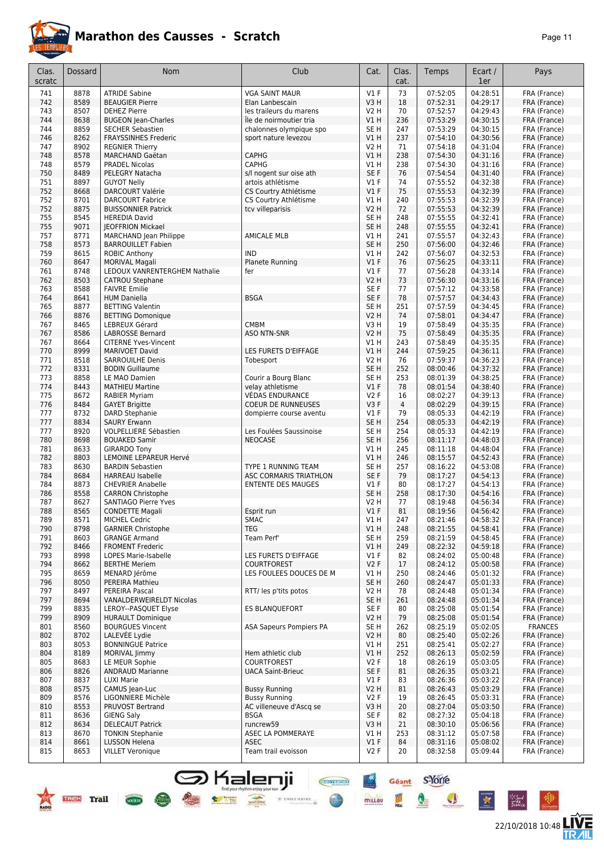

| 'age | 1 |
|------|---|
|------|---|

| 73<br>741<br>8878<br><b>ATRIDE Sabine</b><br><b>VGA SAINT MAUR</b><br>$VI$ F<br>07:52:05<br>04:28:51<br>FRA (France)<br>742<br>8589<br><b>BEAUGIER Pierre</b><br>V3H<br>18<br>07:52:31<br>04:29:17<br>FRA (France)<br>Elan Lanbescain<br>8507<br>70<br>07:52:57<br>04:29:43<br>743<br><b>DEHEZ Pierre</b><br>les traileurs du marens<br>V2 H<br>FRA (France)<br>8638<br>V1H<br>236<br>07:53:29<br>04:30:15<br>FRA (France)<br>744<br><b>BUGEON Jean-Charles</b><br>Île de noirmoutier tria<br>8859<br>04:30:15<br>744<br><b>SECHER Sebastien</b><br>chalonnes olympique spo<br>SE H<br>247<br>07:53:29<br>FRA (France)<br>8262<br>237<br>04:30:56<br>746<br><b>FRAYSSINHES Frederic</b><br>sport nature levezou<br><b>V1 H</b><br>07:54:10<br>FRA (France)<br>747<br>8902<br>71<br>04:31:04<br><b>REGNIER Thierry</b><br><b>V2 H</b><br>07:54:18<br>FRA (France)<br>8578<br><b>CAPHG</b><br>V1H<br>238<br>07:54:30<br>04:31:16<br>748<br><b>MARCHAND Gaëtan</b><br>FRA (France)<br>748<br>8579<br>CAPHG<br>V1H<br>238<br>07:54:30<br>04:31:16<br><b>PRADEL Nicolas</b><br>FRA (France)<br>04:31:40<br>8489<br>PELEGRY Natacha<br>s/l nogent sur oise ath<br>SE F<br>76<br>07:54:54<br>FRA (France)<br>750<br>04:32:38<br>751<br>8897<br>$VI$ F<br>74<br>07:55:52<br><b>GUYOT Nelly</b><br>artois athlétisme<br>FRA (France)<br>07:55:53<br>04:32:39<br>8668<br><b>DARCOURT Valérie</b><br>CS Courtry Athlétisme<br>V1F<br>75<br>FRA (France)<br>752<br>752<br>8701<br><b>DARCOURT Fabrice</b><br>CS Courtry Athlétisme<br>V1H<br>240<br>07:55:53<br>04:32:39<br>FRA (France)<br>04:32:39<br>752<br>8875<br><b>V2 H</b><br>72<br>07:55:53<br>FRA (France)<br><b>BUISSONNIER Patrick</b><br>tcv villeparisis<br>8545<br>SE <sub>H</sub><br>248<br>07:55:55<br>04:32:41<br>755<br><b>HEREDIA David</b><br>FRA (France)<br>755<br>9071<br><b>JEOFFRION Mickael</b><br>SE <sub>H</sub><br>248<br>07:55:55<br>04:32:41<br>FRA (France)<br><b>AMICALE MLB</b><br>07:55:57<br>04:32:43<br>757<br>8771<br><b>MARCHAND Jean Philippe</b><br>VIH<br>241<br>FRA (France)<br>8573<br>SE <sub>H</sub><br>250<br>758<br><b>BARROUILLET Fabien</b><br>07:56:00<br>04:32:46<br>FRA (France)<br>8615<br><b>IND</b><br>V1H<br>07:56:07<br>04:32:53<br>759<br><b>ROBIC Anthony</b><br>242<br>FRA (France)<br>760<br>8647<br>Planete Running<br>V1F<br>76<br>07:56:25<br>04:33:11<br><b>MORIVAL Magali</b><br>FRA (France)<br>8748<br>$VI$ F<br>77<br>07:56:28<br>04:33:14<br>761<br>LEDOUX VANRENTERGHEM Nathalie<br>fer<br>FRA (France)<br>8503<br>762<br>V2 H<br>73<br>07:56:30<br>04:33:16<br>FRA (France)<br><b>CATROU Stephane</b><br>04:33:58<br>8588<br><b>FAIVRE Emilie</b><br>77<br>07:57:12<br>763<br>SE F<br>FRA (France)<br>SE <sub>F</sub><br>764<br>8641<br><b>BSGA</b><br>78<br>07:57:57<br>04:34:43<br>FRA (France)<br><b>HUM Daniella</b><br>8877<br><b>BETTING Valentin</b><br>SE <sub>H</sub><br>251<br>07:57:59<br>04:34:45<br>FRA (France)<br>765<br>766<br>8876<br><b>V2 H</b><br>74<br>07:58:01<br>04:34:47<br>FRA (France)<br><b>BETTING Domonique</b><br><b>CMBM</b><br>19<br>07:58:49<br>04:35:35<br>767<br>8465<br>LEBREUX Gérard<br>V3H<br>FRA (France)<br>8586<br>LABROSSE Bernard<br><b>ASO NTN-SNR</b><br><b>V2 H</b><br>75<br>07:58:49<br>04:35:35<br>FRA (France)<br>767<br>243<br>07:58:49<br>04:35:35<br>767<br>8664<br><b>CITERNE Yves-Vincent</b><br>V1 H<br>FRA (France)<br>8999<br>07:59:25<br>770<br><b>MARIVOET David</b><br>LES FURETS D'EIFFAGE<br>VIH<br>244<br>04:36:11<br>FRA (France)<br>771<br>8518<br>76<br>07:59:37<br><b>SARROUILHE Denis</b><br>Tobesport<br>V2 H<br>04:36:23<br>FRA (France)<br>8331<br>SE <sub>H</sub><br>252<br>08:00:46<br>04:37:32<br>772<br><b>BODIN Guillaume</b><br>FRA (France)<br>773<br>8858<br>Courir a Bourg Blanc<br>SE <sub>H</sub><br>253<br>04:38:25<br>LE MAO Damien<br>08:01:39<br>FRA (France)<br>8443<br>V1F<br>78<br>08:01:54<br>04:38:40<br>774<br><b>MATHIEU Martine</b><br>velay athletisme<br>FRA (France)<br>775<br>8672<br><b>VÉDAS ENDURANCE</b><br>08:02:27<br>04:39:13<br><b>RABIER Myriam</b><br><b>V2F</b><br>16<br>FRA (France)<br>$\overline{4}$<br>8484<br><b>GAYET Brigitte</b><br><b>COEUR DE RUNNEUSES</b><br>V3F<br>08:02:29<br>04:39:15<br>FRA (France)<br>776<br>04:42:19<br>8732<br>$VI$ F<br>08:05:33<br>777<br>DARD Stephanie<br>79<br>FRA (France)<br>dompierre course aventu<br>777<br>8834<br><b>SAURY Erwann</b><br>SE <sub>H</sub><br>254<br>08:05:33<br>04:42:19<br>FRA (France)<br>04:42:19<br>777<br>8920<br>VOLPELLIERE Sébastien<br>SE <sub>H</sub><br>254<br>08:05:33<br>FRA (France)<br>Les Foulées Saussinoise<br>8698<br><b>BOUAKED Samir</b><br>SE <sub>H</sub><br>256<br>08:11:17<br>04:48:03<br>FRA (France)<br>780<br><b>NEOCASE</b><br>8633<br>04:48:04<br>781<br><b>GIRARDO Tony</b><br>VIH<br>245<br>08:11:18<br>FRA (France)<br>8803<br>782<br>LEMOINE LEPAREUR Hervé<br>VIH<br>246<br>08:15:57<br>04:52:43<br>FRA (France)<br>8630<br>TYPE 1 RUNNING TEAM<br>SE <sub>H</sub><br>04:53:08<br>783<br><b>BARDIN Sebastien</b><br>257<br>08:16:22<br>FRA (France)<br>784<br>8684<br>SE F<br>79<br>04:54:13<br>ASC CORMARIS TRIATHLON<br>08:17:27<br>FRA (France)<br><b>HARREAU Isabelle</b><br>784<br>8873<br>$VI$ F<br>80<br>08:17:27<br>04:54:13<br><b>CHEVRIER Anabelle</b><br><b>ENTENTE DES MAUGES</b><br>FRA (France)<br>786<br>8558<br>SE <sub>H</sub><br>258<br>08:17:30<br>04:54:16<br><b>CARRON Christophe</b><br>FRA (France)<br>8627<br>77<br>08:19:48<br>04:56:34<br>787<br><b>SANTIAGO Pierre Yves</b><br><b>V2 H</b><br>FRA (France)<br>788<br>8565<br>V1F<br>81<br><b>CONDETTE Magali</b><br>08:19:56<br>04:56:42<br>FRA (France)<br>Esprit run<br>SMAC<br>V1H<br>04:58:32<br><b>MICHEL Cedric</b><br>08:21:46<br>FRA (France)<br>789<br>8571<br>247<br>790<br>8798<br><b>TEG</b><br>V1H<br>08:21:55<br>04:58:41<br><b>GARNIER Christophe</b><br>248<br>FRA (France)<br>8603<br>Team Perf'<br>SE <sub>H</sub><br>259<br>08:21:59<br>04:58:45<br>791<br><b>GRANGE Armand</b><br>FRA (France)<br>08:22:32<br>04:59:18<br>792<br>8466<br><b>FROMENT Frederic</b><br>VIH<br>249<br>FRA (France)<br>793<br>8998<br>LOPES Marie-Isabelle<br>LES FURETS D'EIFFAGE<br>$VI$ F<br>82<br>08:24:02<br>05:00:48<br>FRA (France)<br>794<br>8662<br><b>BERTHE Meriem</b><br><b>COURTFOREST</b><br>V2F<br>17<br>08:24:12<br>05:00:58<br>FRA (France)<br>795<br>8659<br>MENARD Jérôme<br>LES FOULEES DOUCES DE M<br>250<br>08:24:46<br>05:01:32<br>FRA (France)<br>V1 H<br>05:01:33<br>796<br>8050<br>PEREIRA Mathieu<br>SE H<br>260<br>08:24:47<br>FRA (France)<br>797<br>05:01:34<br>8497<br><b>PEREIRA Pascal</b><br>RTT/ les p'tits potos<br>V2 H<br>78<br>08:24:48<br>FRA (France)<br>05:01:34<br>797<br>8694<br>VANALDERWEIRELDT Nicolas<br>SE <sub>H</sub><br>261<br>08:24:48<br>FRA (France)<br>05:01:54<br>799<br>8835<br>LEROY--PASQUET Elyse<br><b>ES BLANQUEFORT</b><br>SE F<br>80<br>08:25:08<br>FRA (France)<br>8909<br><b>HURAULT Dominique</b><br>79<br>08:25:08<br>05:01:54<br>FRA (France)<br>799<br>V2 H<br>8560<br><b>ASA Sapeurs Pompiers PA</b><br>08:25:19<br>05:02:05<br>801<br><b>BOURGUES Vincent</b><br>SE H<br>262<br><b>FRANCES</b><br>LALEVÉE Lydie<br>V2H<br>08:25:40<br>05:02:26<br>802<br>8702<br>80<br>FRA (France)<br>8053<br><b>BONNINGUE Patrice</b><br>08:25:41<br>05:02:27<br>803<br>V1 H<br>251<br>FRA (France)<br>05:02:59<br>804<br>8189<br><b>MORIVAL Jimmy</b><br>Hem athletic club<br>V1H<br>252<br>08:26:13<br>FRA (France)<br>8683<br>LE MEUR Sophie<br><b>COURTFOREST</b><br>08:26:19<br>05:03:05<br>805<br>V2F<br>18<br>FRA (France)<br>806<br>8826<br><b>ANDRAUD Marianne</b><br><b>UACA Saint-Brieuc</b><br>SE F<br>81<br>08:26:35<br>05:03:21<br>FRA (France)<br>8837<br><b>LUXI Marie</b><br>$VI$ F<br>83<br>08:26:36<br>05:03:22<br>807<br>FRA (France)<br>808<br>8575<br>CAMUS Jean-Luc<br><b>Bussy Running</b><br>V2 H<br>81<br>08:26:43<br>05:03:29<br>FRA (France)<br>809<br>8576<br>LIGONNIERE Michèle<br><b>Bussy Running</b><br>V2F<br>19<br>08:26:45<br>05:03:31<br>FRA (France)<br>AC villeneuve d'Ascq se<br>08:27:04<br>05:03:50<br>810<br>8553<br>PRUVOST Bertrand<br>V3H<br>20<br>FRA (France)<br><b>GIENG Saly</b><br><b>BSGA</b><br>82<br>08:27:32<br>05:04:18<br>FRA (France)<br>811<br>8636<br>SE F<br>8634<br>08:30:10<br>05:06:56<br>812<br><b>DELECAUT Patrick</b><br>runcrew59<br>V3H<br>21<br>FRA (France)<br>08:31:12<br>05:07:58<br>813<br>8670<br><b>TONKIN Stephanie</b><br>ASEC LA POMMERAYE<br>V1 H<br>253<br>FRA (France)<br>814<br>8661<br><b>LUSSON Helena</b><br><b>ASEC</b><br>V1F<br>84<br>08:31:16<br>05:08:02<br>FRA (France)<br>815<br>8653<br><b>VILLET Veronique</b><br>Team trail evoisson<br>V2F<br>20<br>08:32:58<br>05:09:44<br>FRA (France) | Clas.<br>scratc | <b>Dossard</b> | <b>Nom</b> | Club | Cat. | Clas.<br>cat. | Temps | Ecart /<br>1er | Pays |
|--------------------------------------------------------------------------------------------------------------------------------------------------------------------------------------------------------------------------------------------------------------------------------------------------------------------------------------------------------------------------------------------------------------------------------------------------------------------------------------------------------------------------------------------------------------------------------------------------------------------------------------------------------------------------------------------------------------------------------------------------------------------------------------------------------------------------------------------------------------------------------------------------------------------------------------------------------------------------------------------------------------------------------------------------------------------------------------------------------------------------------------------------------------------------------------------------------------------------------------------------------------------------------------------------------------------------------------------------------------------------------------------------------------------------------------------------------------------------------------------------------------------------------------------------------------------------------------------------------------------------------------------------------------------------------------------------------------------------------------------------------------------------------------------------------------------------------------------------------------------------------------------------------------------------------------------------------------------------------------------------------------------------------------------------------------------------------------------------------------------------------------------------------------------------------------------------------------------------------------------------------------------------------------------------------------------------------------------------------------------------------------------------------------------------------------------------------------------------------------------------------------------------------------------------------------------------------------------------------------------------------------------------------------------------------------------------------------------------------------------------------------------------------------------------------------------------------------------------------------------------------------------------------------------------------------------------------------------------------------------------------------------------------------------------------------------------------------------------------------------------------------------------------------------------------------------------------------------------------------------------------------------------------------------------------------------------------------------------------------------------------------------------------------------------------------------------------------------------------------------------------------------------------------------------------------------------------------------------------------------------------------------------------------------------------------------------------------------------------------------------------------------------------------------------------------------------------------------------------------------------------------------------------------------------------------------------------------------------------------------------------------------------------------------------------------------------------------------------------------------------------------------------------------------------------------------------------------------------------------------------------------------------------------------------------------------------------------------------------------------------------------------------------------------------------------------------------------------------------------------------------------------------------------------------------------------------------------------------------------------------------------------------------------------------------------------------------------------------------------------------------------------------------------------------------------------------------------------------------------------------------------------------------------------------------------------------------------------------------------------------------------------------------------------------------------------------------------------------------------------------------------------------------------------------------------------------------------------------------------------------------------------------------------------------------------------------------------------------------------------------------------------------------------------------------------------------------------------------------------------------------------------------------------------------------------------------------------------------------------------------------------------------------------------------------------------------------------------------------------------------------------------------------------------------------------------------------------------------------------------------------------------------------------------------------------------------------------------------------------------------------------------------------------------------------------------------------------------------------------------------------------------------------------------------------------------------------------------------------------------------------------------------------------------------------------------------------------------------------------------------------------------------------------------------------------------------------------------------------------------------------------------------------------------------------------------------------------------------------------------------------------------------------------------------------------------------------------------------------------------------------------------------------------------------------------------------------------------------------------------------------------------------------------------------------------------------------------------------------------------------------------------------------------------------------------------------------------------------------------------------------------------------------------------------------------------------------------------------------------------------------------------------------------------------------------------------------------------------------------------------------------------------------------------------------------------------------------------------------------------------------------------------------------------------------------------------------------------------------------------------------------------------------------------------------------------------------------------------------------------------------------------------------------------------------------------------------------------------------------------------------------------------------------------------------------------------------------------------------------------------------------------------------------------------------------------------------------------------------------------------------------------------------------------------------------------------------------------------------------------------------------------------------------------------------------------------------------------------------------------------------------------------------------------------------------------------------------------------------------------------------------------------------------------------------------------------------------------------------------------------------------------------------------------------------------------------------------------------------------------------------------|-----------------|----------------|------------|------|------|---------------|-------|----------------|------|
|                                                                                                                                                                                                                                                                                                                                                                                                                                                                                                                                                                                                                                                                                                                                                                                                                                                                                                                                                                                                                                                                                                                                                                                                                                                                                                                                                                                                                                                                                                                                                                                                                                                                                                                                                                                                                                                                                                                                                                                                                                                                                                                                                                                                                                                                                                                                                                                                                                                                                                                                                                                                                                                                                                                                                                                                                                                                                                                                                                                                                                                                                                                                                                                                                                                                                                                                                                                                                                                                                                                                                                                                                                                                                                                                                                                                                                                                                                                                                                                                                                                                                                                                                                                                                                                                                                                                                                                                                                                                                                                                                                                                                                                                                                                                                                                                                                                                                                                                                                                                                                                                                                                                                                                                                                                                                                                                                                                                                                                                                                                                                                                                                                                                                                                                                                                                                                                                                                                                                                                                                                                                                                                                                                                                                                                                                                                                                                                                                                                                                                                                                                                                                                                                                                                                                                                                                                                                                                                                                                                                                                                                                                                                                                                                                                                                                                                                                                                                                                                                                                                                                                                                                                                                                                                                                                                                                                                                                                                                                                                                                                                                                                                                                                                                                                                                                                                                                                                                                                                                                                                                                                                                                                                                                                                                                              |                 |                |            |      |      |               |       |                |      |
|                                                                                                                                                                                                                                                                                                                                                                                                                                                                                                                                                                                                                                                                                                                                                                                                                                                                                                                                                                                                                                                                                                                                                                                                                                                                                                                                                                                                                                                                                                                                                                                                                                                                                                                                                                                                                                                                                                                                                                                                                                                                                                                                                                                                                                                                                                                                                                                                                                                                                                                                                                                                                                                                                                                                                                                                                                                                                                                                                                                                                                                                                                                                                                                                                                                                                                                                                                                                                                                                                                                                                                                                                                                                                                                                                                                                                                                                                                                                                                                                                                                                                                                                                                                                                                                                                                                                                                                                                                                                                                                                                                                                                                                                                                                                                                                                                                                                                                                                                                                                                                                                                                                                                                                                                                                                                                                                                                                                                                                                                                                                                                                                                                                                                                                                                                                                                                                                                                                                                                                                                                                                                                                                                                                                                                                                                                                                                                                                                                                                                                                                                                                                                                                                                                                                                                                                                                                                                                                                                                                                                                                                                                                                                                                                                                                                                                                                                                                                                                                                                                                                                                                                                                                                                                                                                                                                                                                                                                                                                                                                                                                                                                                                                                                                                                                                                                                                                                                                                                                                                                                                                                                                                                                                                                                                                              |                 |                |            |      |      |               |       |                |      |
|                                                                                                                                                                                                                                                                                                                                                                                                                                                                                                                                                                                                                                                                                                                                                                                                                                                                                                                                                                                                                                                                                                                                                                                                                                                                                                                                                                                                                                                                                                                                                                                                                                                                                                                                                                                                                                                                                                                                                                                                                                                                                                                                                                                                                                                                                                                                                                                                                                                                                                                                                                                                                                                                                                                                                                                                                                                                                                                                                                                                                                                                                                                                                                                                                                                                                                                                                                                                                                                                                                                                                                                                                                                                                                                                                                                                                                                                                                                                                                                                                                                                                                                                                                                                                                                                                                                                                                                                                                                                                                                                                                                                                                                                                                                                                                                                                                                                                                                                                                                                                                                                                                                                                                                                                                                                                                                                                                                                                                                                                                                                                                                                                                                                                                                                                                                                                                                                                                                                                                                                                                                                                                                                                                                                                                                                                                                                                                                                                                                                                                                                                                                                                                                                                                                                                                                                                                                                                                                                                                                                                                                                                                                                                                                                                                                                                                                                                                                                                                                                                                                                                                                                                                                                                                                                                                                                                                                                                                                                                                                                                                                                                                                                                                                                                                                                                                                                                                                                                                                                                                                                                                                                                                                                                                                                                              |                 |                |            |      |      |               |       |                |      |
|                                                                                                                                                                                                                                                                                                                                                                                                                                                                                                                                                                                                                                                                                                                                                                                                                                                                                                                                                                                                                                                                                                                                                                                                                                                                                                                                                                                                                                                                                                                                                                                                                                                                                                                                                                                                                                                                                                                                                                                                                                                                                                                                                                                                                                                                                                                                                                                                                                                                                                                                                                                                                                                                                                                                                                                                                                                                                                                                                                                                                                                                                                                                                                                                                                                                                                                                                                                                                                                                                                                                                                                                                                                                                                                                                                                                                                                                                                                                                                                                                                                                                                                                                                                                                                                                                                                                                                                                                                                                                                                                                                                                                                                                                                                                                                                                                                                                                                                                                                                                                                                                                                                                                                                                                                                                                                                                                                                                                                                                                                                                                                                                                                                                                                                                                                                                                                                                                                                                                                                                                                                                                                                                                                                                                                                                                                                                                                                                                                                                                                                                                                                                                                                                                                                                                                                                                                                                                                                                                                                                                                                                                                                                                                                                                                                                                                                                                                                                                                                                                                                                                                                                                                                                                                                                                                                                                                                                                                                                                                                                                                                                                                                                                                                                                                                                                                                                                                                                                                                                                                                                                                                                                                                                                                                                                              |                 |                |            |      |      |               |       |                |      |
|                                                                                                                                                                                                                                                                                                                                                                                                                                                                                                                                                                                                                                                                                                                                                                                                                                                                                                                                                                                                                                                                                                                                                                                                                                                                                                                                                                                                                                                                                                                                                                                                                                                                                                                                                                                                                                                                                                                                                                                                                                                                                                                                                                                                                                                                                                                                                                                                                                                                                                                                                                                                                                                                                                                                                                                                                                                                                                                                                                                                                                                                                                                                                                                                                                                                                                                                                                                                                                                                                                                                                                                                                                                                                                                                                                                                                                                                                                                                                                                                                                                                                                                                                                                                                                                                                                                                                                                                                                                                                                                                                                                                                                                                                                                                                                                                                                                                                                                                                                                                                                                                                                                                                                                                                                                                                                                                                                                                                                                                                                                                                                                                                                                                                                                                                                                                                                                                                                                                                                                                                                                                                                                                                                                                                                                                                                                                                                                                                                                                                                                                                                                                                                                                                                                                                                                                                                                                                                                                                                                                                                                                                                                                                                                                                                                                                                                                                                                                                                                                                                                                                                                                                                                                                                                                                                                                                                                                                                                                                                                                                                                                                                                                                                                                                                                                                                                                                                                                                                                                                                                                                                                                                                                                                                                                                              |                 |                |            |      |      |               |       |                |      |
|                                                                                                                                                                                                                                                                                                                                                                                                                                                                                                                                                                                                                                                                                                                                                                                                                                                                                                                                                                                                                                                                                                                                                                                                                                                                                                                                                                                                                                                                                                                                                                                                                                                                                                                                                                                                                                                                                                                                                                                                                                                                                                                                                                                                                                                                                                                                                                                                                                                                                                                                                                                                                                                                                                                                                                                                                                                                                                                                                                                                                                                                                                                                                                                                                                                                                                                                                                                                                                                                                                                                                                                                                                                                                                                                                                                                                                                                                                                                                                                                                                                                                                                                                                                                                                                                                                                                                                                                                                                                                                                                                                                                                                                                                                                                                                                                                                                                                                                                                                                                                                                                                                                                                                                                                                                                                                                                                                                                                                                                                                                                                                                                                                                                                                                                                                                                                                                                                                                                                                                                                                                                                                                                                                                                                                                                                                                                                                                                                                                                                                                                                                                                                                                                                                                                                                                                                                                                                                                                                                                                                                                                                                                                                                                                                                                                                                                                                                                                                                                                                                                                                                                                                                                                                                                                                                                                                                                                                                                                                                                                                                                                                                                                                                                                                                                                                                                                                                                                                                                                                                                                                                                                                                                                                                                                                              |                 |                |            |      |      |               |       |                |      |
|                                                                                                                                                                                                                                                                                                                                                                                                                                                                                                                                                                                                                                                                                                                                                                                                                                                                                                                                                                                                                                                                                                                                                                                                                                                                                                                                                                                                                                                                                                                                                                                                                                                                                                                                                                                                                                                                                                                                                                                                                                                                                                                                                                                                                                                                                                                                                                                                                                                                                                                                                                                                                                                                                                                                                                                                                                                                                                                                                                                                                                                                                                                                                                                                                                                                                                                                                                                                                                                                                                                                                                                                                                                                                                                                                                                                                                                                                                                                                                                                                                                                                                                                                                                                                                                                                                                                                                                                                                                                                                                                                                                                                                                                                                                                                                                                                                                                                                                                                                                                                                                                                                                                                                                                                                                                                                                                                                                                                                                                                                                                                                                                                                                                                                                                                                                                                                                                                                                                                                                                                                                                                                                                                                                                                                                                                                                                                                                                                                                                                                                                                                                                                                                                                                                                                                                                                                                                                                                                                                                                                                                                                                                                                                                                                                                                                                                                                                                                                                                                                                                                                                                                                                                                                                                                                                                                                                                                                                                                                                                                                                                                                                                                                                                                                                                                                                                                                                                                                                                                                                                                                                                                                                                                                                                                                              |                 |                |            |      |      |               |       |                |      |
|                                                                                                                                                                                                                                                                                                                                                                                                                                                                                                                                                                                                                                                                                                                                                                                                                                                                                                                                                                                                                                                                                                                                                                                                                                                                                                                                                                                                                                                                                                                                                                                                                                                                                                                                                                                                                                                                                                                                                                                                                                                                                                                                                                                                                                                                                                                                                                                                                                                                                                                                                                                                                                                                                                                                                                                                                                                                                                                                                                                                                                                                                                                                                                                                                                                                                                                                                                                                                                                                                                                                                                                                                                                                                                                                                                                                                                                                                                                                                                                                                                                                                                                                                                                                                                                                                                                                                                                                                                                                                                                                                                                                                                                                                                                                                                                                                                                                                                                                                                                                                                                                                                                                                                                                                                                                                                                                                                                                                                                                                                                                                                                                                                                                                                                                                                                                                                                                                                                                                                                                                                                                                                                                                                                                                                                                                                                                                                                                                                                                                                                                                                                                                                                                                                                                                                                                                                                                                                                                                                                                                                                                                                                                                                                                                                                                                                                                                                                                                                                                                                                                                                                                                                                                                                                                                                                                                                                                                                                                                                                                                                                                                                                                                                                                                                                                                                                                                                                                                                                                                                                                                                                                                                                                                                                                                              |                 |                |            |      |      |               |       |                |      |
|                                                                                                                                                                                                                                                                                                                                                                                                                                                                                                                                                                                                                                                                                                                                                                                                                                                                                                                                                                                                                                                                                                                                                                                                                                                                                                                                                                                                                                                                                                                                                                                                                                                                                                                                                                                                                                                                                                                                                                                                                                                                                                                                                                                                                                                                                                                                                                                                                                                                                                                                                                                                                                                                                                                                                                                                                                                                                                                                                                                                                                                                                                                                                                                                                                                                                                                                                                                                                                                                                                                                                                                                                                                                                                                                                                                                                                                                                                                                                                                                                                                                                                                                                                                                                                                                                                                                                                                                                                                                                                                                                                                                                                                                                                                                                                                                                                                                                                                                                                                                                                                                                                                                                                                                                                                                                                                                                                                                                                                                                                                                                                                                                                                                                                                                                                                                                                                                                                                                                                                                                                                                                                                                                                                                                                                                                                                                                                                                                                                                                                                                                                                                                                                                                                                                                                                                                                                                                                                                                                                                                                                                                                                                                                                                                                                                                                                                                                                                                                                                                                                                                                                                                                                                                                                                                                                                                                                                                                                                                                                                                                                                                                                                                                                                                                                                                                                                                                                                                                                                                                                                                                                                                                                                                                                                                              |                 |                |            |      |      |               |       |                |      |
|                                                                                                                                                                                                                                                                                                                                                                                                                                                                                                                                                                                                                                                                                                                                                                                                                                                                                                                                                                                                                                                                                                                                                                                                                                                                                                                                                                                                                                                                                                                                                                                                                                                                                                                                                                                                                                                                                                                                                                                                                                                                                                                                                                                                                                                                                                                                                                                                                                                                                                                                                                                                                                                                                                                                                                                                                                                                                                                                                                                                                                                                                                                                                                                                                                                                                                                                                                                                                                                                                                                                                                                                                                                                                                                                                                                                                                                                                                                                                                                                                                                                                                                                                                                                                                                                                                                                                                                                                                                                                                                                                                                                                                                                                                                                                                                                                                                                                                                                                                                                                                                                                                                                                                                                                                                                                                                                                                                                                                                                                                                                                                                                                                                                                                                                                                                                                                                                                                                                                                                                                                                                                                                                                                                                                                                                                                                                                                                                                                                                                                                                                                                                                                                                                                                                                                                                                                                                                                                                                                                                                                                                                                                                                                                                                                                                                                                                                                                                                                                                                                                                                                                                                                                                                                                                                                                                                                                                                                                                                                                                                                                                                                                                                                                                                                                                                                                                                                                                                                                                                                                                                                                                                                                                                                                                                              |                 |                |            |      |      |               |       |                |      |
|                                                                                                                                                                                                                                                                                                                                                                                                                                                                                                                                                                                                                                                                                                                                                                                                                                                                                                                                                                                                                                                                                                                                                                                                                                                                                                                                                                                                                                                                                                                                                                                                                                                                                                                                                                                                                                                                                                                                                                                                                                                                                                                                                                                                                                                                                                                                                                                                                                                                                                                                                                                                                                                                                                                                                                                                                                                                                                                                                                                                                                                                                                                                                                                                                                                                                                                                                                                                                                                                                                                                                                                                                                                                                                                                                                                                                                                                                                                                                                                                                                                                                                                                                                                                                                                                                                                                                                                                                                                                                                                                                                                                                                                                                                                                                                                                                                                                                                                                                                                                                                                                                                                                                                                                                                                                                                                                                                                                                                                                                                                                                                                                                                                                                                                                                                                                                                                                                                                                                                                                                                                                                                                                                                                                                                                                                                                                                                                                                                                                                                                                                                                                                                                                                                                                                                                                                                                                                                                                                                                                                                                                                                                                                                                                                                                                                                                                                                                                                                                                                                                                                                                                                                                                                                                                                                                                                                                                                                                                                                                                                                                                                                                                                                                                                                                                                                                                                                                                                                                                                                                                                                                                                                                                                                                                                              |                 |                |            |      |      |               |       |                |      |
|                                                                                                                                                                                                                                                                                                                                                                                                                                                                                                                                                                                                                                                                                                                                                                                                                                                                                                                                                                                                                                                                                                                                                                                                                                                                                                                                                                                                                                                                                                                                                                                                                                                                                                                                                                                                                                                                                                                                                                                                                                                                                                                                                                                                                                                                                                                                                                                                                                                                                                                                                                                                                                                                                                                                                                                                                                                                                                                                                                                                                                                                                                                                                                                                                                                                                                                                                                                                                                                                                                                                                                                                                                                                                                                                                                                                                                                                                                                                                                                                                                                                                                                                                                                                                                                                                                                                                                                                                                                                                                                                                                                                                                                                                                                                                                                                                                                                                                                                                                                                                                                                                                                                                                                                                                                                                                                                                                                                                                                                                                                                                                                                                                                                                                                                                                                                                                                                                                                                                                                                                                                                                                                                                                                                                                                                                                                                                                                                                                                                                                                                                                                                                                                                                                                                                                                                                                                                                                                                                                                                                                                                                                                                                                                                                                                                                                                                                                                                                                                                                                                                                                                                                                                                                                                                                                                                                                                                                                                                                                                                                                                                                                                                                                                                                                                                                                                                                                                                                                                                                                                                                                                                                                                                                                                                                              |                 |                |            |      |      |               |       |                |      |
|                                                                                                                                                                                                                                                                                                                                                                                                                                                                                                                                                                                                                                                                                                                                                                                                                                                                                                                                                                                                                                                                                                                                                                                                                                                                                                                                                                                                                                                                                                                                                                                                                                                                                                                                                                                                                                                                                                                                                                                                                                                                                                                                                                                                                                                                                                                                                                                                                                                                                                                                                                                                                                                                                                                                                                                                                                                                                                                                                                                                                                                                                                                                                                                                                                                                                                                                                                                                                                                                                                                                                                                                                                                                                                                                                                                                                                                                                                                                                                                                                                                                                                                                                                                                                                                                                                                                                                                                                                                                                                                                                                                                                                                                                                                                                                                                                                                                                                                                                                                                                                                                                                                                                                                                                                                                                                                                                                                                                                                                                                                                                                                                                                                                                                                                                                                                                                                                                                                                                                                                                                                                                                                                                                                                                                                                                                                                                                                                                                                                                                                                                                                                                                                                                                                                                                                                                                                                                                                                                                                                                                                                                                                                                                                                                                                                                                                                                                                                                                                                                                                                                                                                                                                                                                                                                                                                                                                                                                                                                                                                                                                                                                                                                                                                                                                                                                                                                                                                                                                                                                                                                                                                                                                                                                                                                              |                 |                |            |      |      |               |       |                |      |
|                                                                                                                                                                                                                                                                                                                                                                                                                                                                                                                                                                                                                                                                                                                                                                                                                                                                                                                                                                                                                                                                                                                                                                                                                                                                                                                                                                                                                                                                                                                                                                                                                                                                                                                                                                                                                                                                                                                                                                                                                                                                                                                                                                                                                                                                                                                                                                                                                                                                                                                                                                                                                                                                                                                                                                                                                                                                                                                                                                                                                                                                                                                                                                                                                                                                                                                                                                                                                                                                                                                                                                                                                                                                                                                                                                                                                                                                                                                                                                                                                                                                                                                                                                                                                                                                                                                                                                                                                                                                                                                                                                                                                                                                                                                                                                                                                                                                                                                                                                                                                                                                                                                                                                                                                                                                                                                                                                                                                                                                                                                                                                                                                                                                                                                                                                                                                                                                                                                                                                                                                                                                                                                                                                                                                                                                                                                                                                                                                                                                                                                                                                                                                                                                                                                                                                                                                                                                                                                                                                                                                                                                                                                                                                                                                                                                                                                                                                                                                                                                                                                                                                                                                                                                                                                                                                                                                                                                                                                                                                                                                                                                                                                                                                                                                                                                                                                                                                                                                                                                                                                                                                                                                                                                                                                                                              |                 |                |            |      |      |               |       |                |      |
|                                                                                                                                                                                                                                                                                                                                                                                                                                                                                                                                                                                                                                                                                                                                                                                                                                                                                                                                                                                                                                                                                                                                                                                                                                                                                                                                                                                                                                                                                                                                                                                                                                                                                                                                                                                                                                                                                                                                                                                                                                                                                                                                                                                                                                                                                                                                                                                                                                                                                                                                                                                                                                                                                                                                                                                                                                                                                                                                                                                                                                                                                                                                                                                                                                                                                                                                                                                                                                                                                                                                                                                                                                                                                                                                                                                                                                                                                                                                                                                                                                                                                                                                                                                                                                                                                                                                                                                                                                                                                                                                                                                                                                                                                                                                                                                                                                                                                                                                                                                                                                                                                                                                                                                                                                                                                                                                                                                                                                                                                                                                                                                                                                                                                                                                                                                                                                                                                                                                                                                                                                                                                                                                                                                                                                                                                                                                                                                                                                                                                                                                                                                                                                                                                                                                                                                                                                                                                                                                                                                                                                                                                                                                                                                                                                                                                                                                                                                                                                                                                                                                                                                                                                                                                                                                                                                                                                                                                                                                                                                                                                                                                                                                                                                                                                                                                                                                                                                                                                                                                                                                                                                                                                                                                                                                                              |                 |                |            |      |      |               |       |                |      |
|                                                                                                                                                                                                                                                                                                                                                                                                                                                                                                                                                                                                                                                                                                                                                                                                                                                                                                                                                                                                                                                                                                                                                                                                                                                                                                                                                                                                                                                                                                                                                                                                                                                                                                                                                                                                                                                                                                                                                                                                                                                                                                                                                                                                                                                                                                                                                                                                                                                                                                                                                                                                                                                                                                                                                                                                                                                                                                                                                                                                                                                                                                                                                                                                                                                                                                                                                                                                                                                                                                                                                                                                                                                                                                                                                                                                                                                                                                                                                                                                                                                                                                                                                                                                                                                                                                                                                                                                                                                                                                                                                                                                                                                                                                                                                                                                                                                                                                                                                                                                                                                                                                                                                                                                                                                                                                                                                                                                                                                                                                                                                                                                                                                                                                                                                                                                                                                                                                                                                                                                                                                                                                                                                                                                                                                                                                                                                                                                                                                                                                                                                                                                                                                                                                                                                                                                                                                                                                                                                                                                                                                                                                                                                                                                                                                                                                                                                                                                                                                                                                                                                                                                                                                                                                                                                                                                                                                                                                                                                                                                                                                                                                                                                                                                                                                                                                                                                                                                                                                                                                                                                                                                                                                                                                                                                              |                 |                |            |      |      |               |       |                |      |
|                                                                                                                                                                                                                                                                                                                                                                                                                                                                                                                                                                                                                                                                                                                                                                                                                                                                                                                                                                                                                                                                                                                                                                                                                                                                                                                                                                                                                                                                                                                                                                                                                                                                                                                                                                                                                                                                                                                                                                                                                                                                                                                                                                                                                                                                                                                                                                                                                                                                                                                                                                                                                                                                                                                                                                                                                                                                                                                                                                                                                                                                                                                                                                                                                                                                                                                                                                                                                                                                                                                                                                                                                                                                                                                                                                                                                                                                                                                                                                                                                                                                                                                                                                                                                                                                                                                                                                                                                                                                                                                                                                                                                                                                                                                                                                                                                                                                                                                                                                                                                                                                                                                                                                                                                                                                                                                                                                                                                                                                                                                                                                                                                                                                                                                                                                                                                                                                                                                                                                                                                                                                                                                                                                                                                                                                                                                                                                                                                                                                                                                                                                                                                                                                                                                                                                                                                                                                                                                                                                                                                                                                                                                                                                                                                                                                                                                                                                                                                                                                                                                                                                                                                                                                                                                                                                                                                                                                                                                                                                                                                                                                                                                                                                                                                                                                                                                                                                                                                                                                                                                                                                                                                                                                                                                                                              |                 |                |            |      |      |               |       |                |      |
|                                                                                                                                                                                                                                                                                                                                                                                                                                                                                                                                                                                                                                                                                                                                                                                                                                                                                                                                                                                                                                                                                                                                                                                                                                                                                                                                                                                                                                                                                                                                                                                                                                                                                                                                                                                                                                                                                                                                                                                                                                                                                                                                                                                                                                                                                                                                                                                                                                                                                                                                                                                                                                                                                                                                                                                                                                                                                                                                                                                                                                                                                                                                                                                                                                                                                                                                                                                                                                                                                                                                                                                                                                                                                                                                                                                                                                                                                                                                                                                                                                                                                                                                                                                                                                                                                                                                                                                                                                                                                                                                                                                                                                                                                                                                                                                                                                                                                                                                                                                                                                                                                                                                                                                                                                                                                                                                                                                                                                                                                                                                                                                                                                                                                                                                                                                                                                                                                                                                                                                                                                                                                                                                                                                                                                                                                                                                                                                                                                                                                                                                                                                                                                                                                                                                                                                                                                                                                                                                                                                                                                                                                                                                                                                                                                                                                                                                                                                                                                                                                                                                                                                                                                                                                                                                                                                                                                                                                                                                                                                                                                                                                                                                                                                                                                                                                                                                                                                                                                                                                                                                                                                                                                                                                                                                                              |                 |                |            |      |      |               |       |                |      |
|                                                                                                                                                                                                                                                                                                                                                                                                                                                                                                                                                                                                                                                                                                                                                                                                                                                                                                                                                                                                                                                                                                                                                                                                                                                                                                                                                                                                                                                                                                                                                                                                                                                                                                                                                                                                                                                                                                                                                                                                                                                                                                                                                                                                                                                                                                                                                                                                                                                                                                                                                                                                                                                                                                                                                                                                                                                                                                                                                                                                                                                                                                                                                                                                                                                                                                                                                                                                                                                                                                                                                                                                                                                                                                                                                                                                                                                                                                                                                                                                                                                                                                                                                                                                                                                                                                                                                                                                                                                                                                                                                                                                                                                                                                                                                                                                                                                                                                                                                                                                                                                                                                                                                                                                                                                                                                                                                                                                                                                                                                                                                                                                                                                                                                                                                                                                                                                                                                                                                                                                                                                                                                                                                                                                                                                                                                                                                                                                                                                                                                                                                                                                                                                                                                                                                                                                                                                                                                                                                                                                                                                                                                                                                                                                                                                                                                                                                                                                                                                                                                                                                                                                                                                                                                                                                                                                                                                                                                                                                                                                                                                                                                                                                                                                                                                                                                                                                                                                                                                                                                                                                                                                                                                                                                                                                              |                 |                |            |      |      |               |       |                |      |
|                                                                                                                                                                                                                                                                                                                                                                                                                                                                                                                                                                                                                                                                                                                                                                                                                                                                                                                                                                                                                                                                                                                                                                                                                                                                                                                                                                                                                                                                                                                                                                                                                                                                                                                                                                                                                                                                                                                                                                                                                                                                                                                                                                                                                                                                                                                                                                                                                                                                                                                                                                                                                                                                                                                                                                                                                                                                                                                                                                                                                                                                                                                                                                                                                                                                                                                                                                                                                                                                                                                                                                                                                                                                                                                                                                                                                                                                                                                                                                                                                                                                                                                                                                                                                                                                                                                                                                                                                                                                                                                                                                                                                                                                                                                                                                                                                                                                                                                                                                                                                                                                                                                                                                                                                                                                                                                                                                                                                                                                                                                                                                                                                                                                                                                                                                                                                                                                                                                                                                                                                                                                                                                                                                                                                                                                                                                                                                                                                                                                                                                                                                                                                                                                                                                                                                                                                                                                                                                                                                                                                                                                                                                                                                                                                                                                                                                                                                                                                                                                                                                                                                                                                                                                                                                                                                                                                                                                                                                                                                                                                                                                                                                                                                                                                                                                                                                                                                                                                                                                                                                                                                                                                                                                                                                                                              |                 |                |            |      |      |               |       |                |      |
|                                                                                                                                                                                                                                                                                                                                                                                                                                                                                                                                                                                                                                                                                                                                                                                                                                                                                                                                                                                                                                                                                                                                                                                                                                                                                                                                                                                                                                                                                                                                                                                                                                                                                                                                                                                                                                                                                                                                                                                                                                                                                                                                                                                                                                                                                                                                                                                                                                                                                                                                                                                                                                                                                                                                                                                                                                                                                                                                                                                                                                                                                                                                                                                                                                                                                                                                                                                                                                                                                                                                                                                                                                                                                                                                                                                                                                                                                                                                                                                                                                                                                                                                                                                                                                                                                                                                                                                                                                                                                                                                                                                                                                                                                                                                                                                                                                                                                                                                                                                                                                                                                                                                                                                                                                                                                                                                                                                                                                                                                                                                                                                                                                                                                                                                                                                                                                                                                                                                                                                                                                                                                                                                                                                                                                                                                                                                                                                                                                                                                                                                                                                                                                                                                                                                                                                                                                                                                                                                                                                                                                                                                                                                                                                                                                                                                                                                                                                                                                                                                                                                                                                                                                                                                                                                                                                                                                                                                                                                                                                                                                                                                                                                                                                                                                                                                                                                                                                                                                                                                                                                                                                                                                                                                                                                                              |                 |                |            |      |      |               |       |                |      |
|                                                                                                                                                                                                                                                                                                                                                                                                                                                                                                                                                                                                                                                                                                                                                                                                                                                                                                                                                                                                                                                                                                                                                                                                                                                                                                                                                                                                                                                                                                                                                                                                                                                                                                                                                                                                                                                                                                                                                                                                                                                                                                                                                                                                                                                                                                                                                                                                                                                                                                                                                                                                                                                                                                                                                                                                                                                                                                                                                                                                                                                                                                                                                                                                                                                                                                                                                                                                                                                                                                                                                                                                                                                                                                                                                                                                                                                                                                                                                                                                                                                                                                                                                                                                                                                                                                                                                                                                                                                                                                                                                                                                                                                                                                                                                                                                                                                                                                                                                                                                                                                                                                                                                                                                                                                                                                                                                                                                                                                                                                                                                                                                                                                                                                                                                                                                                                                                                                                                                                                                                                                                                                                                                                                                                                                                                                                                                                                                                                                                                                                                                                                                                                                                                                                                                                                                                                                                                                                                                                                                                                                                                                                                                                                                                                                                                                                                                                                                                                                                                                                                                                                                                                                                                                                                                                                                                                                                                                                                                                                                                                                                                                                                                                                                                                                                                                                                                                                                                                                                                                                                                                                                                                                                                                                                                              |                 |                |            |      |      |               |       |                |      |
|                                                                                                                                                                                                                                                                                                                                                                                                                                                                                                                                                                                                                                                                                                                                                                                                                                                                                                                                                                                                                                                                                                                                                                                                                                                                                                                                                                                                                                                                                                                                                                                                                                                                                                                                                                                                                                                                                                                                                                                                                                                                                                                                                                                                                                                                                                                                                                                                                                                                                                                                                                                                                                                                                                                                                                                                                                                                                                                                                                                                                                                                                                                                                                                                                                                                                                                                                                                                                                                                                                                                                                                                                                                                                                                                                                                                                                                                                                                                                                                                                                                                                                                                                                                                                                                                                                                                                                                                                                                                                                                                                                                                                                                                                                                                                                                                                                                                                                                                                                                                                                                                                                                                                                                                                                                                                                                                                                                                                                                                                                                                                                                                                                                                                                                                                                                                                                                                                                                                                                                                                                                                                                                                                                                                                                                                                                                                                                                                                                                                                                                                                                                                                                                                                                                                                                                                                                                                                                                                                                                                                                                                                                                                                                                                                                                                                                                                                                                                                                                                                                                                                                                                                                                                                                                                                                                                                                                                                                                                                                                                                                                                                                                                                                                                                                                                                                                                                                                                                                                                                                                                                                                                                                                                                                                                                              |                 |                |            |      |      |               |       |                |      |
|                                                                                                                                                                                                                                                                                                                                                                                                                                                                                                                                                                                                                                                                                                                                                                                                                                                                                                                                                                                                                                                                                                                                                                                                                                                                                                                                                                                                                                                                                                                                                                                                                                                                                                                                                                                                                                                                                                                                                                                                                                                                                                                                                                                                                                                                                                                                                                                                                                                                                                                                                                                                                                                                                                                                                                                                                                                                                                                                                                                                                                                                                                                                                                                                                                                                                                                                                                                                                                                                                                                                                                                                                                                                                                                                                                                                                                                                                                                                                                                                                                                                                                                                                                                                                                                                                                                                                                                                                                                                                                                                                                                                                                                                                                                                                                                                                                                                                                                                                                                                                                                                                                                                                                                                                                                                                                                                                                                                                                                                                                                                                                                                                                                                                                                                                                                                                                                                                                                                                                                                                                                                                                                                                                                                                                                                                                                                                                                                                                                                                                                                                                                                                                                                                                                                                                                                                                                                                                                                                                                                                                                                                                                                                                                                                                                                                                                                                                                                                                                                                                                                                                                                                                                                                                                                                                                                                                                                                                                                                                                                                                                                                                                                                                                                                                                                                                                                                                                                                                                                                                                                                                                                                                                                                                                                                              |                 |                |            |      |      |               |       |                |      |
|                                                                                                                                                                                                                                                                                                                                                                                                                                                                                                                                                                                                                                                                                                                                                                                                                                                                                                                                                                                                                                                                                                                                                                                                                                                                                                                                                                                                                                                                                                                                                                                                                                                                                                                                                                                                                                                                                                                                                                                                                                                                                                                                                                                                                                                                                                                                                                                                                                                                                                                                                                                                                                                                                                                                                                                                                                                                                                                                                                                                                                                                                                                                                                                                                                                                                                                                                                                                                                                                                                                                                                                                                                                                                                                                                                                                                                                                                                                                                                                                                                                                                                                                                                                                                                                                                                                                                                                                                                                                                                                                                                                                                                                                                                                                                                                                                                                                                                                                                                                                                                                                                                                                                                                                                                                                                                                                                                                                                                                                                                                                                                                                                                                                                                                                                                                                                                                                                                                                                                                                                                                                                                                                                                                                                                                                                                                                                                                                                                                                                                                                                                                                                                                                                                                                                                                                                                                                                                                                                                                                                                                                                                                                                                                                                                                                                                                                                                                                                                                                                                                                                                                                                                                                                                                                                                                                                                                                                                                                                                                                                                                                                                                                                                                                                                                                                                                                                                                                                                                                                                                                                                                                                                                                                                                                                              |                 |                |            |      |      |               |       |                |      |
|                                                                                                                                                                                                                                                                                                                                                                                                                                                                                                                                                                                                                                                                                                                                                                                                                                                                                                                                                                                                                                                                                                                                                                                                                                                                                                                                                                                                                                                                                                                                                                                                                                                                                                                                                                                                                                                                                                                                                                                                                                                                                                                                                                                                                                                                                                                                                                                                                                                                                                                                                                                                                                                                                                                                                                                                                                                                                                                                                                                                                                                                                                                                                                                                                                                                                                                                                                                                                                                                                                                                                                                                                                                                                                                                                                                                                                                                                                                                                                                                                                                                                                                                                                                                                                                                                                                                                                                                                                                                                                                                                                                                                                                                                                                                                                                                                                                                                                                                                                                                                                                                                                                                                                                                                                                                                                                                                                                                                                                                                                                                                                                                                                                                                                                                                                                                                                                                                                                                                                                                                                                                                                                                                                                                                                                                                                                                                                                                                                                                                                                                                                                                                                                                                                                                                                                                                                                                                                                                                                                                                                                                                                                                                                                                                                                                                                                                                                                                                                                                                                                                                                                                                                                                                                                                                                                                                                                                                                                                                                                                                                                                                                                                                                                                                                                                                                                                                                                                                                                                                                                                                                                                                                                                                                                                                              |                 |                |            |      |      |               |       |                |      |
|                                                                                                                                                                                                                                                                                                                                                                                                                                                                                                                                                                                                                                                                                                                                                                                                                                                                                                                                                                                                                                                                                                                                                                                                                                                                                                                                                                                                                                                                                                                                                                                                                                                                                                                                                                                                                                                                                                                                                                                                                                                                                                                                                                                                                                                                                                                                                                                                                                                                                                                                                                                                                                                                                                                                                                                                                                                                                                                                                                                                                                                                                                                                                                                                                                                                                                                                                                                                                                                                                                                                                                                                                                                                                                                                                                                                                                                                                                                                                                                                                                                                                                                                                                                                                                                                                                                                                                                                                                                                                                                                                                                                                                                                                                                                                                                                                                                                                                                                                                                                                                                                                                                                                                                                                                                                                                                                                                                                                                                                                                                                                                                                                                                                                                                                                                                                                                                                                                                                                                                                                                                                                                                                                                                                                                                                                                                                                                                                                                                                                                                                                                                                                                                                                                                                                                                                                                                                                                                                                                                                                                                                                                                                                                                                                                                                                                                                                                                                                                                                                                                                                                                                                                                                                                                                                                                                                                                                                                                                                                                                                                                                                                                                                                                                                                                                                                                                                                                                                                                                                                                                                                                                                                                                                                                                                              |                 |                |            |      |      |               |       |                |      |
|                                                                                                                                                                                                                                                                                                                                                                                                                                                                                                                                                                                                                                                                                                                                                                                                                                                                                                                                                                                                                                                                                                                                                                                                                                                                                                                                                                                                                                                                                                                                                                                                                                                                                                                                                                                                                                                                                                                                                                                                                                                                                                                                                                                                                                                                                                                                                                                                                                                                                                                                                                                                                                                                                                                                                                                                                                                                                                                                                                                                                                                                                                                                                                                                                                                                                                                                                                                                                                                                                                                                                                                                                                                                                                                                                                                                                                                                                                                                                                                                                                                                                                                                                                                                                                                                                                                                                                                                                                                                                                                                                                                                                                                                                                                                                                                                                                                                                                                                                                                                                                                                                                                                                                                                                                                                                                                                                                                                                                                                                                                                                                                                                                                                                                                                                                                                                                                                                                                                                                                                                                                                                                                                                                                                                                                                                                                                                                                                                                                                                                                                                                                                                                                                                                                                                                                                                                                                                                                                                                                                                                                                                                                                                                                                                                                                                                                                                                                                                                                                                                                                                                                                                                                                                                                                                                                                                                                                                                                                                                                                                                                                                                                                                                                                                                                                                                                                                                                                                                                                                                                                                                                                                                                                                                                                                              |                 |                |            |      |      |               |       |                |      |
|                                                                                                                                                                                                                                                                                                                                                                                                                                                                                                                                                                                                                                                                                                                                                                                                                                                                                                                                                                                                                                                                                                                                                                                                                                                                                                                                                                                                                                                                                                                                                                                                                                                                                                                                                                                                                                                                                                                                                                                                                                                                                                                                                                                                                                                                                                                                                                                                                                                                                                                                                                                                                                                                                                                                                                                                                                                                                                                                                                                                                                                                                                                                                                                                                                                                                                                                                                                                                                                                                                                                                                                                                                                                                                                                                                                                                                                                                                                                                                                                                                                                                                                                                                                                                                                                                                                                                                                                                                                                                                                                                                                                                                                                                                                                                                                                                                                                                                                                                                                                                                                                                                                                                                                                                                                                                                                                                                                                                                                                                                                                                                                                                                                                                                                                                                                                                                                                                                                                                                                                                                                                                                                                                                                                                                                                                                                                                                                                                                                                                                                                                                                                                                                                                                                                                                                                                                                                                                                                                                                                                                                                                                                                                                                                                                                                                                                                                                                                                                                                                                                                                                                                                                                                                                                                                                                                                                                                                                                                                                                                                                                                                                                                                                                                                                                                                                                                                                                                                                                                                                                                                                                                                                                                                                                                                              |                 |                |            |      |      |               |       |                |      |
|                                                                                                                                                                                                                                                                                                                                                                                                                                                                                                                                                                                                                                                                                                                                                                                                                                                                                                                                                                                                                                                                                                                                                                                                                                                                                                                                                                                                                                                                                                                                                                                                                                                                                                                                                                                                                                                                                                                                                                                                                                                                                                                                                                                                                                                                                                                                                                                                                                                                                                                                                                                                                                                                                                                                                                                                                                                                                                                                                                                                                                                                                                                                                                                                                                                                                                                                                                                                                                                                                                                                                                                                                                                                                                                                                                                                                                                                                                                                                                                                                                                                                                                                                                                                                                                                                                                                                                                                                                                                                                                                                                                                                                                                                                                                                                                                                                                                                                                                                                                                                                                                                                                                                                                                                                                                                                                                                                                                                                                                                                                                                                                                                                                                                                                                                                                                                                                                                                                                                                                                                                                                                                                                                                                                                                                                                                                                                                                                                                                                                                                                                                                                                                                                                                                                                                                                                                                                                                                                                                                                                                                                                                                                                                                                                                                                                                                                                                                                                                                                                                                                                                                                                                                                                                                                                                                                                                                                                                                                                                                                                                                                                                                                                                                                                                                                                                                                                                                                                                                                                                                                                                                                                                                                                                                                                              |                 |                |            |      |      |               |       |                |      |
|                                                                                                                                                                                                                                                                                                                                                                                                                                                                                                                                                                                                                                                                                                                                                                                                                                                                                                                                                                                                                                                                                                                                                                                                                                                                                                                                                                                                                                                                                                                                                                                                                                                                                                                                                                                                                                                                                                                                                                                                                                                                                                                                                                                                                                                                                                                                                                                                                                                                                                                                                                                                                                                                                                                                                                                                                                                                                                                                                                                                                                                                                                                                                                                                                                                                                                                                                                                                                                                                                                                                                                                                                                                                                                                                                                                                                                                                                                                                                                                                                                                                                                                                                                                                                                                                                                                                                                                                                                                                                                                                                                                                                                                                                                                                                                                                                                                                                                                                                                                                                                                                                                                                                                                                                                                                                                                                                                                                                                                                                                                                                                                                                                                                                                                                                                                                                                                                                                                                                                                                                                                                                                                                                                                                                                                                                                                                                                                                                                                                                                                                                                                                                                                                                                                                                                                                                                                                                                                                                                                                                                                                                                                                                                                                                                                                                                                                                                                                                                                                                                                                                                                                                                                                                                                                                                                                                                                                                                                                                                                                                                                                                                                                                                                                                                                                                                                                                                                                                                                                                                                                                                                                                                                                                                                                                              |                 |                |            |      |      |               |       |                |      |
|                                                                                                                                                                                                                                                                                                                                                                                                                                                                                                                                                                                                                                                                                                                                                                                                                                                                                                                                                                                                                                                                                                                                                                                                                                                                                                                                                                                                                                                                                                                                                                                                                                                                                                                                                                                                                                                                                                                                                                                                                                                                                                                                                                                                                                                                                                                                                                                                                                                                                                                                                                                                                                                                                                                                                                                                                                                                                                                                                                                                                                                                                                                                                                                                                                                                                                                                                                                                                                                                                                                                                                                                                                                                                                                                                                                                                                                                                                                                                                                                                                                                                                                                                                                                                                                                                                                                                                                                                                                                                                                                                                                                                                                                                                                                                                                                                                                                                                                                                                                                                                                                                                                                                                                                                                                                                                                                                                                                                                                                                                                                                                                                                                                                                                                                                                                                                                                                                                                                                                                                                                                                                                                                                                                                                                                                                                                                                                                                                                                                                                                                                                                                                                                                                                                                                                                                                                                                                                                                                                                                                                                                                                                                                                                                                                                                                                                                                                                                                                                                                                                                                                                                                                                                                                                                                                                                                                                                                                                                                                                                                                                                                                                                                                                                                                                                                                                                                                                                                                                                                                                                                                                                                                                                                                                                                              |                 |                |            |      |      |               |       |                |      |
|                                                                                                                                                                                                                                                                                                                                                                                                                                                                                                                                                                                                                                                                                                                                                                                                                                                                                                                                                                                                                                                                                                                                                                                                                                                                                                                                                                                                                                                                                                                                                                                                                                                                                                                                                                                                                                                                                                                                                                                                                                                                                                                                                                                                                                                                                                                                                                                                                                                                                                                                                                                                                                                                                                                                                                                                                                                                                                                                                                                                                                                                                                                                                                                                                                                                                                                                                                                                                                                                                                                                                                                                                                                                                                                                                                                                                                                                                                                                                                                                                                                                                                                                                                                                                                                                                                                                                                                                                                                                                                                                                                                                                                                                                                                                                                                                                                                                                                                                                                                                                                                                                                                                                                                                                                                                                                                                                                                                                                                                                                                                                                                                                                                                                                                                                                                                                                                                                                                                                                                                                                                                                                                                                                                                                                                                                                                                                                                                                                                                                                                                                                                                                                                                                                                                                                                                                                                                                                                                                                                                                                                                                                                                                                                                                                                                                                                                                                                                                                                                                                                                                                                                                                                                                                                                                                                                                                                                                                                                                                                                                                                                                                                                                                                                                                                                                                                                                                                                                                                                                                                                                                                                                                                                                                                                                              |                 |                |            |      |      |               |       |                |      |
|                                                                                                                                                                                                                                                                                                                                                                                                                                                                                                                                                                                                                                                                                                                                                                                                                                                                                                                                                                                                                                                                                                                                                                                                                                                                                                                                                                                                                                                                                                                                                                                                                                                                                                                                                                                                                                                                                                                                                                                                                                                                                                                                                                                                                                                                                                                                                                                                                                                                                                                                                                                                                                                                                                                                                                                                                                                                                                                                                                                                                                                                                                                                                                                                                                                                                                                                                                                                                                                                                                                                                                                                                                                                                                                                                                                                                                                                                                                                                                                                                                                                                                                                                                                                                                                                                                                                                                                                                                                                                                                                                                                                                                                                                                                                                                                                                                                                                                                                                                                                                                                                                                                                                                                                                                                                                                                                                                                                                                                                                                                                                                                                                                                                                                                                                                                                                                                                                                                                                                                                                                                                                                                                                                                                                                                                                                                                                                                                                                                                                                                                                                                                                                                                                                                                                                                                                                                                                                                                                                                                                                                                                                                                                                                                                                                                                                                                                                                                                                                                                                                                                                                                                                                                                                                                                                                                                                                                                                                                                                                                                                                                                                                                                                                                                                                                                                                                                                                                                                                                                                                                                                                                                                                                                                                                                              |                 |                |            |      |      |               |       |                |      |
|                                                                                                                                                                                                                                                                                                                                                                                                                                                                                                                                                                                                                                                                                                                                                                                                                                                                                                                                                                                                                                                                                                                                                                                                                                                                                                                                                                                                                                                                                                                                                                                                                                                                                                                                                                                                                                                                                                                                                                                                                                                                                                                                                                                                                                                                                                                                                                                                                                                                                                                                                                                                                                                                                                                                                                                                                                                                                                                                                                                                                                                                                                                                                                                                                                                                                                                                                                                                                                                                                                                                                                                                                                                                                                                                                                                                                                                                                                                                                                                                                                                                                                                                                                                                                                                                                                                                                                                                                                                                                                                                                                                                                                                                                                                                                                                                                                                                                                                                                                                                                                                                                                                                                                                                                                                                                                                                                                                                                                                                                                                                                                                                                                                                                                                                                                                                                                                                                                                                                                                                                                                                                                                                                                                                                                                                                                                                                                                                                                                                                                                                                                                                                                                                                                                                                                                                                                                                                                                                                                                                                                                                                                                                                                                                                                                                                                                                                                                                                                                                                                                                                                                                                                                                                                                                                                                                                                                                                                                                                                                                                                                                                                                                                                                                                                                                                                                                                                                                                                                                                                                                                                                                                                                                                                                                                              |                 |                |            |      |      |               |       |                |      |
|                                                                                                                                                                                                                                                                                                                                                                                                                                                                                                                                                                                                                                                                                                                                                                                                                                                                                                                                                                                                                                                                                                                                                                                                                                                                                                                                                                                                                                                                                                                                                                                                                                                                                                                                                                                                                                                                                                                                                                                                                                                                                                                                                                                                                                                                                                                                                                                                                                                                                                                                                                                                                                                                                                                                                                                                                                                                                                                                                                                                                                                                                                                                                                                                                                                                                                                                                                                                                                                                                                                                                                                                                                                                                                                                                                                                                                                                                                                                                                                                                                                                                                                                                                                                                                                                                                                                                                                                                                                                                                                                                                                                                                                                                                                                                                                                                                                                                                                                                                                                                                                                                                                                                                                                                                                                                                                                                                                                                                                                                                                                                                                                                                                                                                                                                                                                                                                                                                                                                                                                                                                                                                                                                                                                                                                                                                                                                                                                                                                                                                                                                                                                                                                                                                                                                                                                                                                                                                                                                                                                                                                                                                                                                                                                                                                                                                                                                                                                                                                                                                                                                                                                                                                                                                                                                                                                                                                                                                                                                                                                                                                                                                                                                                                                                                                                                                                                                                                                                                                                                                                                                                                                                                                                                                                                                              |                 |                |            |      |      |               |       |                |      |
|                                                                                                                                                                                                                                                                                                                                                                                                                                                                                                                                                                                                                                                                                                                                                                                                                                                                                                                                                                                                                                                                                                                                                                                                                                                                                                                                                                                                                                                                                                                                                                                                                                                                                                                                                                                                                                                                                                                                                                                                                                                                                                                                                                                                                                                                                                                                                                                                                                                                                                                                                                                                                                                                                                                                                                                                                                                                                                                                                                                                                                                                                                                                                                                                                                                                                                                                                                                                                                                                                                                                                                                                                                                                                                                                                                                                                                                                                                                                                                                                                                                                                                                                                                                                                                                                                                                                                                                                                                                                                                                                                                                                                                                                                                                                                                                                                                                                                                                                                                                                                                                                                                                                                                                                                                                                                                                                                                                                                                                                                                                                                                                                                                                                                                                                                                                                                                                                                                                                                                                                                                                                                                                                                                                                                                                                                                                                                                                                                                                                                                                                                                                                                                                                                                                                                                                                                                                                                                                                                                                                                                                                                                                                                                                                                                                                                                                                                                                                                                                                                                                                                                                                                                                                                                                                                                                                                                                                                                                                                                                                                                                                                                                                                                                                                                                                                                                                                                                                                                                                                                                                                                                                                                                                                                                                                              |                 |                |            |      |      |               |       |                |      |
|                                                                                                                                                                                                                                                                                                                                                                                                                                                                                                                                                                                                                                                                                                                                                                                                                                                                                                                                                                                                                                                                                                                                                                                                                                                                                                                                                                                                                                                                                                                                                                                                                                                                                                                                                                                                                                                                                                                                                                                                                                                                                                                                                                                                                                                                                                                                                                                                                                                                                                                                                                                                                                                                                                                                                                                                                                                                                                                                                                                                                                                                                                                                                                                                                                                                                                                                                                                                                                                                                                                                                                                                                                                                                                                                                                                                                                                                                                                                                                                                                                                                                                                                                                                                                                                                                                                                                                                                                                                                                                                                                                                                                                                                                                                                                                                                                                                                                                                                                                                                                                                                                                                                                                                                                                                                                                                                                                                                                                                                                                                                                                                                                                                                                                                                                                                                                                                                                                                                                                                                                                                                                                                                                                                                                                                                                                                                                                                                                                                                                                                                                                                                                                                                                                                                                                                                                                                                                                                                                                                                                                                                                                                                                                                                                                                                                                                                                                                                                                                                                                                                                                                                                                                                                                                                                                                                                                                                                                                                                                                                                                                                                                                                                                                                                                                                                                                                                                                                                                                                                                                                                                                                                                                                                                                                                              |                 |                |            |      |      |               |       |                |      |
|                                                                                                                                                                                                                                                                                                                                                                                                                                                                                                                                                                                                                                                                                                                                                                                                                                                                                                                                                                                                                                                                                                                                                                                                                                                                                                                                                                                                                                                                                                                                                                                                                                                                                                                                                                                                                                                                                                                                                                                                                                                                                                                                                                                                                                                                                                                                                                                                                                                                                                                                                                                                                                                                                                                                                                                                                                                                                                                                                                                                                                                                                                                                                                                                                                                                                                                                                                                                                                                                                                                                                                                                                                                                                                                                                                                                                                                                                                                                                                                                                                                                                                                                                                                                                                                                                                                                                                                                                                                                                                                                                                                                                                                                                                                                                                                                                                                                                                                                                                                                                                                                                                                                                                                                                                                                                                                                                                                                                                                                                                                                                                                                                                                                                                                                                                                                                                                                                                                                                                                                                                                                                                                                                                                                                                                                                                                                                                                                                                                                                                                                                                                                                                                                                                                                                                                                                                                                                                                                                                                                                                                                                                                                                                                                                                                                                                                                                                                                                                                                                                                                                                                                                                                                                                                                                                                                                                                                                                                                                                                                                                                                                                                                                                                                                                                                                                                                                                                                                                                                                                                                                                                                                                                                                                                                                              |                 |                |            |      |      |               |       |                |      |
|                                                                                                                                                                                                                                                                                                                                                                                                                                                                                                                                                                                                                                                                                                                                                                                                                                                                                                                                                                                                                                                                                                                                                                                                                                                                                                                                                                                                                                                                                                                                                                                                                                                                                                                                                                                                                                                                                                                                                                                                                                                                                                                                                                                                                                                                                                                                                                                                                                                                                                                                                                                                                                                                                                                                                                                                                                                                                                                                                                                                                                                                                                                                                                                                                                                                                                                                                                                                                                                                                                                                                                                                                                                                                                                                                                                                                                                                                                                                                                                                                                                                                                                                                                                                                                                                                                                                                                                                                                                                                                                                                                                                                                                                                                                                                                                                                                                                                                                                                                                                                                                                                                                                                                                                                                                                                                                                                                                                                                                                                                                                                                                                                                                                                                                                                                                                                                                                                                                                                                                                                                                                                                                                                                                                                                                                                                                                                                                                                                                                                                                                                                                                                                                                                                                                                                                                                                                                                                                                                                                                                                                                                                                                                                                                                                                                                                                                                                                                                                                                                                                                                                                                                                                                                                                                                                                                                                                                                                                                                                                                                                                                                                                                                                                                                                                                                                                                                                                                                                                                                                                                                                                                                                                                                                                                                              |                 |                |            |      |      |               |       |                |      |
|                                                                                                                                                                                                                                                                                                                                                                                                                                                                                                                                                                                                                                                                                                                                                                                                                                                                                                                                                                                                                                                                                                                                                                                                                                                                                                                                                                                                                                                                                                                                                                                                                                                                                                                                                                                                                                                                                                                                                                                                                                                                                                                                                                                                                                                                                                                                                                                                                                                                                                                                                                                                                                                                                                                                                                                                                                                                                                                                                                                                                                                                                                                                                                                                                                                                                                                                                                                                                                                                                                                                                                                                                                                                                                                                                                                                                                                                                                                                                                                                                                                                                                                                                                                                                                                                                                                                                                                                                                                                                                                                                                                                                                                                                                                                                                                                                                                                                                                                                                                                                                                                                                                                                                                                                                                                                                                                                                                                                                                                                                                                                                                                                                                                                                                                                                                                                                                                                                                                                                                                                                                                                                                                                                                                                                                                                                                                                                                                                                                                                                                                                                                                                                                                                                                                                                                                                                                                                                                                                                                                                                                                                                                                                                                                                                                                                                                                                                                                                                                                                                                                                                                                                                                                                                                                                                                                                                                                                                                                                                                                                                                                                                                                                                                                                                                                                                                                                                                                                                                                                                                                                                                                                                                                                                                                                              |                 |                |            |      |      |               |       |                |      |
|                                                                                                                                                                                                                                                                                                                                                                                                                                                                                                                                                                                                                                                                                                                                                                                                                                                                                                                                                                                                                                                                                                                                                                                                                                                                                                                                                                                                                                                                                                                                                                                                                                                                                                                                                                                                                                                                                                                                                                                                                                                                                                                                                                                                                                                                                                                                                                                                                                                                                                                                                                                                                                                                                                                                                                                                                                                                                                                                                                                                                                                                                                                                                                                                                                                                                                                                                                                                                                                                                                                                                                                                                                                                                                                                                                                                                                                                                                                                                                                                                                                                                                                                                                                                                                                                                                                                                                                                                                                                                                                                                                                                                                                                                                                                                                                                                                                                                                                                                                                                                                                                                                                                                                                                                                                                                                                                                                                                                                                                                                                                                                                                                                                                                                                                                                                                                                                                                                                                                                                                                                                                                                                                                                                                                                                                                                                                                                                                                                                                                                                                                                                                                                                                                                                                                                                                                                                                                                                                                                                                                                                                                                                                                                                                                                                                                                                                                                                                                                                                                                                                                                                                                                                                                                                                                                                                                                                                                                                                                                                                                                                                                                                                                                                                                                                                                                                                                                                                                                                                                                                                                                                                                                                                                                                                                              |                 |                |            |      |      |               |       |                |      |
|                                                                                                                                                                                                                                                                                                                                                                                                                                                                                                                                                                                                                                                                                                                                                                                                                                                                                                                                                                                                                                                                                                                                                                                                                                                                                                                                                                                                                                                                                                                                                                                                                                                                                                                                                                                                                                                                                                                                                                                                                                                                                                                                                                                                                                                                                                                                                                                                                                                                                                                                                                                                                                                                                                                                                                                                                                                                                                                                                                                                                                                                                                                                                                                                                                                                                                                                                                                                                                                                                                                                                                                                                                                                                                                                                                                                                                                                                                                                                                                                                                                                                                                                                                                                                                                                                                                                                                                                                                                                                                                                                                                                                                                                                                                                                                                                                                                                                                                                                                                                                                                                                                                                                                                                                                                                                                                                                                                                                                                                                                                                                                                                                                                                                                                                                                                                                                                                                                                                                                                                                                                                                                                                                                                                                                                                                                                                                                                                                                                                                                                                                                                                                                                                                                                                                                                                                                                                                                                                                                                                                                                                                                                                                                                                                                                                                                                                                                                                                                                                                                                                                                                                                                                                                                                                                                                                                                                                                                                                                                                                                                                                                                                                                                                                                                                                                                                                                                                                                                                                                                                                                                                                                                                                                                                                                              |                 |                |            |      |      |               |       |                |      |
|                                                                                                                                                                                                                                                                                                                                                                                                                                                                                                                                                                                                                                                                                                                                                                                                                                                                                                                                                                                                                                                                                                                                                                                                                                                                                                                                                                                                                                                                                                                                                                                                                                                                                                                                                                                                                                                                                                                                                                                                                                                                                                                                                                                                                                                                                                                                                                                                                                                                                                                                                                                                                                                                                                                                                                                                                                                                                                                                                                                                                                                                                                                                                                                                                                                                                                                                                                                                                                                                                                                                                                                                                                                                                                                                                                                                                                                                                                                                                                                                                                                                                                                                                                                                                                                                                                                                                                                                                                                                                                                                                                                                                                                                                                                                                                                                                                                                                                                                                                                                                                                                                                                                                                                                                                                                                                                                                                                                                                                                                                                                                                                                                                                                                                                                                                                                                                                                                                                                                                                                                                                                                                                                                                                                                                                                                                                                                                                                                                                                                                                                                                                                                                                                                                                                                                                                                                                                                                                                                                                                                                                                                                                                                                                                                                                                                                                                                                                                                                                                                                                                                                                                                                                                                                                                                                                                                                                                                                                                                                                                                                                                                                                                                                                                                                                                                                                                                                                                                                                                                                                                                                                                                                                                                                                                                              |                 |                |            |      |      |               |       |                |      |
|                                                                                                                                                                                                                                                                                                                                                                                                                                                                                                                                                                                                                                                                                                                                                                                                                                                                                                                                                                                                                                                                                                                                                                                                                                                                                                                                                                                                                                                                                                                                                                                                                                                                                                                                                                                                                                                                                                                                                                                                                                                                                                                                                                                                                                                                                                                                                                                                                                                                                                                                                                                                                                                                                                                                                                                                                                                                                                                                                                                                                                                                                                                                                                                                                                                                                                                                                                                                                                                                                                                                                                                                                                                                                                                                                                                                                                                                                                                                                                                                                                                                                                                                                                                                                                                                                                                                                                                                                                                                                                                                                                                                                                                                                                                                                                                                                                                                                                                                                                                                                                                                                                                                                                                                                                                                                                                                                                                                                                                                                                                                                                                                                                                                                                                                                                                                                                                                                                                                                                                                                                                                                                                                                                                                                                                                                                                                                                                                                                                                                                                                                                                                                                                                                                                                                                                                                                                                                                                                                                                                                                                                                                                                                                                                                                                                                                                                                                                                                                                                                                                                                                                                                                                                                                                                                                                                                                                                                                                                                                                                                                                                                                                                                                                                                                                                                                                                                                                                                                                                                                                                                                                                                                                                                                                                                              |                 |                |            |      |      |               |       |                |      |
|                                                                                                                                                                                                                                                                                                                                                                                                                                                                                                                                                                                                                                                                                                                                                                                                                                                                                                                                                                                                                                                                                                                                                                                                                                                                                                                                                                                                                                                                                                                                                                                                                                                                                                                                                                                                                                                                                                                                                                                                                                                                                                                                                                                                                                                                                                                                                                                                                                                                                                                                                                                                                                                                                                                                                                                                                                                                                                                                                                                                                                                                                                                                                                                                                                                                                                                                                                                                                                                                                                                                                                                                                                                                                                                                                                                                                                                                                                                                                                                                                                                                                                                                                                                                                                                                                                                                                                                                                                                                                                                                                                                                                                                                                                                                                                                                                                                                                                                                                                                                                                                                                                                                                                                                                                                                                                                                                                                                                                                                                                                                                                                                                                                                                                                                                                                                                                                                                                                                                                                                                                                                                                                                                                                                                                                                                                                                                                                                                                                                                                                                                                                                                                                                                                                                                                                                                                                                                                                                                                                                                                                                                                                                                                                                                                                                                                                                                                                                                                                                                                                                                                                                                                                                                                                                                                                                                                                                                                                                                                                                                                                                                                                                                                                                                                                                                                                                                                                                                                                                                                                                                                                                                                                                                                                                                              |                 |                |            |      |      |               |       |                |      |
|                                                                                                                                                                                                                                                                                                                                                                                                                                                                                                                                                                                                                                                                                                                                                                                                                                                                                                                                                                                                                                                                                                                                                                                                                                                                                                                                                                                                                                                                                                                                                                                                                                                                                                                                                                                                                                                                                                                                                                                                                                                                                                                                                                                                                                                                                                                                                                                                                                                                                                                                                                                                                                                                                                                                                                                                                                                                                                                                                                                                                                                                                                                                                                                                                                                                                                                                                                                                                                                                                                                                                                                                                                                                                                                                                                                                                                                                                                                                                                                                                                                                                                                                                                                                                                                                                                                                                                                                                                                                                                                                                                                                                                                                                                                                                                                                                                                                                                                                                                                                                                                                                                                                                                                                                                                                                                                                                                                                                                                                                                                                                                                                                                                                                                                                                                                                                                                                                                                                                                                                                                                                                                                                                                                                                                                                                                                                                                                                                                                                                                                                                                                                                                                                                                                                                                                                                                                                                                                                                                                                                                                                                                                                                                                                                                                                                                                                                                                                                                                                                                                                                                                                                                                                                                                                                                                                                                                                                                                                                                                                                                                                                                                                                                                                                                                                                                                                                                                                                                                                                                                                                                                                                                                                                                                                                              |                 |                |            |      |      |               |       |                |      |
|                                                                                                                                                                                                                                                                                                                                                                                                                                                                                                                                                                                                                                                                                                                                                                                                                                                                                                                                                                                                                                                                                                                                                                                                                                                                                                                                                                                                                                                                                                                                                                                                                                                                                                                                                                                                                                                                                                                                                                                                                                                                                                                                                                                                                                                                                                                                                                                                                                                                                                                                                                                                                                                                                                                                                                                                                                                                                                                                                                                                                                                                                                                                                                                                                                                                                                                                                                                                                                                                                                                                                                                                                                                                                                                                                                                                                                                                                                                                                                                                                                                                                                                                                                                                                                                                                                                                                                                                                                                                                                                                                                                                                                                                                                                                                                                                                                                                                                                                                                                                                                                                                                                                                                                                                                                                                                                                                                                                                                                                                                                                                                                                                                                                                                                                                                                                                                                                                                                                                                                                                                                                                                                                                                                                                                                                                                                                                                                                                                                                                                                                                                                                                                                                                                                                                                                                                                                                                                                                                                                                                                                                                                                                                                                                                                                                                                                                                                                                                                                                                                                                                                                                                                                                                                                                                                                                                                                                                                                                                                                                                                                                                                                                                                                                                                                                                                                                                                                                                                                                                                                                                                                                                                                                                                                                                              |                 |                |            |      |      |               |       |                |      |
|                                                                                                                                                                                                                                                                                                                                                                                                                                                                                                                                                                                                                                                                                                                                                                                                                                                                                                                                                                                                                                                                                                                                                                                                                                                                                                                                                                                                                                                                                                                                                                                                                                                                                                                                                                                                                                                                                                                                                                                                                                                                                                                                                                                                                                                                                                                                                                                                                                                                                                                                                                                                                                                                                                                                                                                                                                                                                                                                                                                                                                                                                                                                                                                                                                                                                                                                                                                                                                                                                                                                                                                                                                                                                                                                                                                                                                                                                                                                                                                                                                                                                                                                                                                                                                                                                                                                                                                                                                                                                                                                                                                                                                                                                                                                                                                                                                                                                                                                                                                                                                                                                                                                                                                                                                                                                                                                                                                                                                                                                                                                                                                                                                                                                                                                                                                                                                                                                                                                                                                                                                                                                                                                                                                                                                                                                                                                                                                                                                                                                                                                                                                                                                                                                                                                                                                                                                                                                                                                                                                                                                                                                                                                                                                                                                                                                                                                                                                                                                                                                                                                                                                                                                                                                                                                                                                                                                                                                                                                                                                                                                                                                                                                                                                                                                                                                                                                                                                                                                                                                                                                                                                                                                                                                                                                                              |                 |                |            |      |      |               |       |                |      |
|                                                                                                                                                                                                                                                                                                                                                                                                                                                                                                                                                                                                                                                                                                                                                                                                                                                                                                                                                                                                                                                                                                                                                                                                                                                                                                                                                                                                                                                                                                                                                                                                                                                                                                                                                                                                                                                                                                                                                                                                                                                                                                                                                                                                                                                                                                                                                                                                                                                                                                                                                                                                                                                                                                                                                                                                                                                                                                                                                                                                                                                                                                                                                                                                                                                                                                                                                                                                                                                                                                                                                                                                                                                                                                                                                                                                                                                                                                                                                                                                                                                                                                                                                                                                                                                                                                                                                                                                                                                                                                                                                                                                                                                                                                                                                                                                                                                                                                                                                                                                                                                                                                                                                                                                                                                                                                                                                                                                                                                                                                                                                                                                                                                                                                                                                                                                                                                                                                                                                                                                                                                                                                                                                                                                                                                                                                                                                                                                                                                                                                                                                                                                                                                                                                                                                                                                                                                                                                                                                                                                                                                                                                                                                                                                                                                                                                                                                                                                                                                                                                                                                                                                                                                                                                                                                                                                                                                                                                                                                                                                                                                                                                                                                                                                                                                                                                                                                                                                                                                                                                                                                                                                                                                                                                                                                              |                 |                |            |      |      |               |       |                |      |
|                                                                                                                                                                                                                                                                                                                                                                                                                                                                                                                                                                                                                                                                                                                                                                                                                                                                                                                                                                                                                                                                                                                                                                                                                                                                                                                                                                                                                                                                                                                                                                                                                                                                                                                                                                                                                                                                                                                                                                                                                                                                                                                                                                                                                                                                                                                                                                                                                                                                                                                                                                                                                                                                                                                                                                                                                                                                                                                                                                                                                                                                                                                                                                                                                                                                                                                                                                                                                                                                                                                                                                                                                                                                                                                                                                                                                                                                                                                                                                                                                                                                                                                                                                                                                                                                                                                                                                                                                                                                                                                                                                                                                                                                                                                                                                                                                                                                                                                                                                                                                                                                                                                                                                                                                                                                                                                                                                                                                                                                                                                                                                                                                                                                                                                                                                                                                                                                                                                                                                                                                                                                                                                                                                                                                                                                                                                                                                                                                                                                                                                                                                                                                                                                                                                                                                                                                                                                                                                                                                                                                                                                                                                                                                                                                                                                                                                                                                                                                                                                                                                                                                                                                                                                                                                                                                                                                                                                                                                                                                                                                                                                                                                                                                                                                                                                                                                                                                                                                                                                                                                                                                                                                                                                                                                                                              |                 |                |            |      |      |               |       |                |      |
|                                                                                                                                                                                                                                                                                                                                                                                                                                                                                                                                                                                                                                                                                                                                                                                                                                                                                                                                                                                                                                                                                                                                                                                                                                                                                                                                                                                                                                                                                                                                                                                                                                                                                                                                                                                                                                                                                                                                                                                                                                                                                                                                                                                                                                                                                                                                                                                                                                                                                                                                                                                                                                                                                                                                                                                                                                                                                                                                                                                                                                                                                                                                                                                                                                                                                                                                                                                                                                                                                                                                                                                                                                                                                                                                                                                                                                                                                                                                                                                                                                                                                                                                                                                                                                                                                                                                                                                                                                                                                                                                                                                                                                                                                                                                                                                                                                                                                                                                                                                                                                                                                                                                                                                                                                                                                                                                                                                                                                                                                                                                                                                                                                                                                                                                                                                                                                                                                                                                                                                                                                                                                                                                                                                                                                                                                                                                                                                                                                                                                                                                                                                                                                                                                                                                                                                                                                                                                                                                                                                                                                                                                                                                                                                                                                                                                                                                                                                                                                                                                                                                                                                                                                                                                                                                                                                                                                                                                                                                                                                                                                                                                                                                                                                                                                                                                                                                                                                                                                                                                                                                                                                                                                                                                                                                                              |                 |                |            |      |      |               |       |                |      |
|                                                                                                                                                                                                                                                                                                                                                                                                                                                                                                                                                                                                                                                                                                                                                                                                                                                                                                                                                                                                                                                                                                                                                                                                                                                                                                                                                                                                                                                                                                                                                                                                                                                                                                                                                                                                                                                                                                                                                                                                                                                                                                                                                                                                                                                                                                                                                                                                                                                                                                                                                                                                                                                                                                                                                                                                                                                                                                                                                                                                                                                                                                                                                                                                                                                                                                                                                                                                                                                                                                                                                                                                                                                                                                                                                                                                                                                                                                                                                                                                                                                                                                                                                                                                                                                                                                                                                                                                                                                                                                                                                                                                                                                                                                                                                                                                                                                                                                                                                                                                                                                                                                                                                                                                                                                                                                                                                                                                                                                                                                                                                                                                                                                                                                                                                                                                                                                                                                                                                                                                                                                                                                                                                                                                                                                                                                                                                                                                                                                                                                                                                                                                                                                                                                                                                                                                                                                                                                                                                                                                                                                                                                                                                                                                                                                                                                                                                                                                                                                                                                                                                                                                                                                                                                                                                                                                                                                                                                                                                                                                                                                                                                                                                                                                                                                                                                                                                                                                                                                                                                                                                                                                                                                                                                                                                              |                 |                |            |      |      |               |       |                |      |
|                                                                                                                                                                                                                                                                                                                                                                                                                                                                                                                                                                                                                                                                                                                                                                                                                                                                                                                                                                                                                                                                                                                                                                                                                                                                                                                                                                                                                                                                                                                                                                                                                                                                                                                                                                                                                                                                                                                                                                                                                                                                                                                                                                                                                                                                                                                                                                                                                                                                                                                                                                                                                                                                                                                                                                                                                                                                                                                                                                                                                                                                                                                                                                                                                                                                                                                                                                                                                                                                                                                                                                                                                                                                                                                                                                                                                                                                                                                                                                                                                                                                                                                                                                                                                                                                                                                                                                                                                                                                                                                                                                                                                                                                                                                                                                                                                                                                                                                                                                                                                                                                                                                                                                                                                                                                                                                                                                                                                                                                                                                                                                                                                                                                                                                                                                                                                                                                                                                                                                                                                                                                                                                                                                                                                                                                                                                                                                                                                                                                                                                                                                                                                                                                                                                                                                                                                                                                                                                                                                                                                                                                                                                                                                                                                                                                                                                                                                                                                                                                                                                                                                                                                                                                                                                                                                                                                                                                                                                                                                                                                                                                                                                                                                                                                                                                                                                                                                                                                                                                                                                                                                                                                                                                                                                                                              |                 |                |            |      |      |               |       |                |      |
|                                                                                                                                                                                                                                                                                                                                                                                                                                                                                                                                                                                                                                                                                                                                                                                                                                                                                                                                                                                                                                                                                                                                                                                                                                                                                                                                                                                                                                                                                                                                                                                                                                                                                                                                                                                                                                                                                                                                                                                                                                                                                                                                                                                                                                                                                                                                                                                                                                                                                                                                                                                                                                                                                                                                                                                                                                                                                                                                                                                                                                                                                                                                                                                                                                                                                                                                                                                                                                                                                                                                                                                                                                                                                                                                                                                                                                                                                                                                                                                                                                                                                                                                                                                                                                                                                                                                                                                                                                                                                                                                                                                                                                                                                                                                                                                                                                                                                                                                                                                                                                                                                                                                                                                                                                                                                                                                                                                                                                                                                                                                                                                                                                                                                                                                                                                                                                                                                                                                                                                                                                                                                                                                                                                                                                                                                                                                                                                                                                                                                                                                                                                                                                                                                                                                                                                                                                                                                                                                                                                                                                                                                                                                                                                                                                                                                                                                                                                                                                                                                                                                                                                                                                                                                                                                                                                                                                                                                                                                                                                                                                                                                                                                                                                                                                                                                                                                                                                                                                                                                                                                                                                                                                                                                                                                                              |                 |                |            |      |      |               |       |                |      |
|                                                                                                                                                                                                                                                                                                                                                                                                                                                                                                                                                                                                                                                                                                                                                                                                                                                                                                                                                                                                                                                                                                                                                                                                                                                                                                                                                                                                                                                                                                                                                                                                                                                                                                                                                                                                                                                                                                                                                                                                                                                                                                                                                                                                                                                                                                                                                                                                                                                                                                                                                                                                                                                                                                                                                                                                                                                                                                                                                                                                                                                                                                                                                                                                                                                                                                                                                                                                                                                                                                                                                                                                                                                                                                                                                                                                                                                                                                                                                                                                                                                                                                                                                                                                                                                                                                                                                                                                                                                                                                                                                                                                                                                                                                                                                                                                                                                                                                                                                                                                                                                                                                                                                                                                                                                                                                                                                                                                                                                                                                                                                                                                                                                                                                                                                                                                                                                                                                                                                                                                                                                                                                                                                                                                                                                                                                                                                                                                                                                                                                                                                                                                                                                                                                                                                                                                                                                                                                                                                                                                                                                                                                                                                                                                                                                                                                                                                                                                                                                                                                                                                                                                                                                                                                                                                                                                                                                                                                                                                                                                                                                                                                                                                                                                                                                                                                                                                                                                                                                                                                                                                                                                                                                                                                                                                              |                 |                |            |      |      |               |       |                |      |
|                                                                                                                                                                                                                                                                                                                                                                                                                                                                                                                                                                                                                                                                                                                                                                                                                                                                                                                                                                                                                                                                                                                                                                                                                                                                                                                                                                                                                                                                                                                                                                                                                                                                                                                                                                                                                                                                                                                                                                                                                                                                                                                                                                                                                                                                                                                                                                                                                                                                                                                                                                                                                                                                                                                                                                                                                                                                                                                                                                                                                                                                                                                                                                                                                                                                                                                                                                                                                                                                                                                                                                                                                                                                                                                                                                                                                                                                                                                                                                                                                                                                                                                                                                                                                                                                                                                                                                                                                                                                                                                                                                                                                                                                                                                                                                                                                                                                                                                                                                                                                                                                                                                                                                                                                                                                                                                                                                                                                                                                                                                                                                                                                                                                                                                                                                                                                                                                                                                                                                                                                                                                                                                                                                                                                                                                                                                                                                                                                                                                                                                                                                                                                                                                                                                                                                                                                                                                                                                                                                                                                                                                                                                                                                                                                                                                                                                                                                                                                                                                                                                                                                                                                                                                                                                                                                                                                                                                                                                                                                                                                                                                                                                                                                                                                                                                                                                                                                                                                                                                                                                                                                                                                                                                                                                                                              |                 |                |            |      |      |               |       |                |      |
|                                                                                                                                                                                                                                                                                                                                                                                                                                                                                                                                                                                                                                                                                                                                                                                                                                                                                                                                                                                                                                                                                                                                                                                                                                                                                                                                                                                                                                                                                                                                                                                                                                                                                                                                                                                                                                                                                                                                                                                                                                                                                                                                                                                                                                                                                                                                                                                                                                                                                                                                                                                                                                                                                                                                                                                                                                                                                                                                                                                                                                                                                                                                                                                                                                                                                                                                                                                                                                                                                                                                                                                                                                                                                                                                                                                                                                                                                                                                                                                                                                                                                                                                                                                                                                                                                                                                                                                                                                                                                                                                                                                                                                                                                                                                                                                                                                                                                                                                                                                                                                                                                                                                                                                                                                                                                                                                                                                                                                                                                                                                                                                                                                                                                                                                                                                                                                                                                                                                                                                                                                                                                                                                                                                                                                                                                                                                                                                                                                                                                                                                                                                                                                                                                                                                                                                                                                                                                                                                                                                                                                                                                                                                                                                                                                                                                                                                                                                                                                                                                                                                                                                                                                                                                                                                                                                                                                                                                                                                                                                                                                                                                                                                                                                                                                                                                                                                                                                                                                                                                                                                                                                                                                                                                                                                                              |                 |                |            |      |      |               |       |                |      |
|                                                                                                                                                                                                                                                                                                                                                                                                                                                                                                                                                                                                                                                                                                                                                                                                                                                                                                                                                                                                                                                                                                                                                                                                                                                                                                                                                                                                                                                                                                                                                                                                                                                                                                                                                                                                                                                                                                                                                                                                                                                                                                                                                                                                                                                                                                                                                                                                                                                                                                                                                                                                                                                                                                                                                                                                                                                                                                                                                                                                                                                                                                                                                                                                                                                                                                                                                                                                                                                                                                                                                                                                                                                                                                                                                                                                                                                                                                                                                                                                                                                                                                                                                                                                                                                                                                                                                                                                                                                                                                                                                                                                                                                                                                                                                                                                                                                                                                                                                                                                                                                                                                                                                                                                                                                                                                                                                                                                                                                                                                                                                                                                                                                                                                                                                                                                                                                                                                                                                                                                                                                                                                                                                                                                                                                                                                                                                                                                                                                                                                                                                                                                                                                                                                                                                                                                                                                                                                                                                                                                                                                                                                                                                                                                                                                                                                                                                                                                                                                                                                                                                                                                                                                                                                                                                                                                                                                                                                                                                                                                                                                                                                                                                                                                                                                                                                                                                                                                                                                                                                                                                                                                                                                                                                                                                              |                 |                |            |      |      |               |       |                |      |
|                                                                                                                                                                                                                                                                                                                                                                                                                                                                                                                                                                                                                                                                                                                                                                                                                                                                                                                                                                                                                                                                                                                                                                                                                                                                                                                                                                                                                                                                                                                                                                                                                                                                                                                                                                                                                                                                                                                                                                                                                                                                                                                                                                                                                                                                                                                                                                                                                                                                                                                                                                                                                                                                                                                                                                                                                                                                                                                                                                                                                                                                                                                                                                                                                                                                                                                                                                                                                                                                                                                                                                                                                                                                                                                                                                                                                                                                                                                                                                                                                                                                                                                                                                                                                                                                                                                                                                                                                                                                                                                                                                                                                                                                                                                                                                                                                                                                                                                                                                                                                                                                                                                                                                                                                                                                                                                                                                                                                                                                                                                                                                                                                                                                                                                                                                                                                                                                                                                                                                                                                                                                                                                                                                                                                                                                                                                                                                                                                                                                                                                                                                                                                                                                                                                                                                                                                                                                                                                                                                                                                                                                                                                                                                                                                                                                                                                                                                                                                                                                                                                                                                                                                                                                                                                                                                                                                                                                                                                                                                                                                                                                                                                                                                                                                                                                                                                                                                                                                                                                                                                                                                                                                                                                                                                                                              |                 |                |            |      |      |               |       |                |      |
|                                                                                                                                                                                                                                                                                                                                                                                                                                                                                                                                                                                                                                                                                                                                                                                                                                                                                                                                                                                                                                                                                                                                                                                                                                                                                                                                                                                                                                                                                                                                                                                                                                                                                                                                                                                                                                                                                                                                                                                                                                                                                                                                                                                                                                                                                                                                                                                                                                                                                                                                                                                                                                                                                                                                                                                                                                                                                                                                                                                                                                                                                                                                                                                                                                                                                                                                                                                                                                                                                                                                                                                                                                                                                                                                                                                                                                                                                                                                                                                                                                                                                                                                                                                                                                                                                                                                                                                                                                                                                                                                                                                                                                                                                                                                                                                                                                                                                                                                                                                                                                                                                                                                                                                                                                                                                                                                                                                                                                                                                                                                                                                                                                                                                                                                                                                                                                                                                                                                                                                                                                                                                                                                                                                                                                                                                                                                                                                                                                                                                                                                                                                                                                                                                                                                                                                                                                                                                                                                                                                                                                                                                                                                                                                                                                                                                                                                                                                                                                                                                                                                                                                                                                                                                                                                                                                                                                                                                                                                                                                                                                                                                                                                                                                                                                                                                                                                                                                                                                                                                                                                                                                                                                                                                                                                                              |                 |                |            |      |      |               |       |                |      |
|                                                                                                                                                                                                                                                                                                                                                                                                                                                                                                                                                                                                                                                                                                                                                                                                                                                                                                                                                                                                                                                                                                                                                                                                                                                                                                                                                                                                                                                                                                                                                                                                                                                                                                                                                                                                                                                                                                                                                                                                                                                                                                                                                                                                                                                                                                                                                                                                                                                                                                                                                                                                                                                                                                                                                                                                                                                                                                                                                                                                                                                                                                                                                                                                                                                                                                                                                                                                                                                                                                                                                                                                                                                                                                                                                                                                                                                                                                                                                                                                                                                                                                                                                                                                                                                                                                                                                                                                                                                                                                                                                                                                                                                                                                                                                                                                                                                                                                                                                                                                                                                                                                                                                                                                                                                                                                                                                                                                                                                                                                                                                                                                                                                                                                                                                                                                                                                                                                                                                                                                                                                                                                                                                                                                                                                                                                                                                                                                                                                                                                                                                                                                                                                                                                                                                                                                                                                                                                                                                                                                                                                                                                                                                                                                                                                                                                                                                                                                                                                                                                                                                                                                                                                                                                                                                                                                                                                                                                                                                                                                                                                                                                                                                                                                                                                                                                                                                                                                                                                                                                                                                                                                                                                                                                                                                              |                 |                |            |      |      |               |       |                |      |
|                                                                                                                                                                                                                                                                                                                                                                                                                                                                                                                                                                                                                                                                                                                                                                                                                                                                                                                                                                                                                                                                                                                                                                                                                                                                                                                                                                                                                                                                                                                                                                                                                                                                                                                                                                                                                                                                                                                                                                                                                                                                                                                                                                                                                                                                                                                                                                                                                                                                                                                                                                                                                                                                                                                                                                                                                                                                                                                                                                                                                                                                                                                                                                                                                                                                                                                                                                                                                                                                                                                                                                                                                                                                                                                                                                                                                                                                                                                                                                                                                                                                                                                                                                                                                                                                                                                                                                                                                                                                                                                                                                                                                                                                                                                                                                                                                                                                                                                                                                                                                                                                                                                                                                                                                                                                                                                                                                                                                                                                                                                                                                                                                                                                                                                                                                                                                                                                                                                                                                                                                                                                                                                                                                                                                                                                                                                                                                                                                                                                                                                                                                                                                                                                                                                                                                                                                                                                                                                                                                                                                                                                                                                                                                                                                                                                                                                                                                                                                                                                                                                                                                                                                                                                                                                                                                                                                                                                                                                                                                                                                                                                                                                                                                                                                                                                                                                                                                                                                                                                                                                                                                                                                                                                                                                                                              |                 |                |            |      |      |               |       |                |      |
|                                                                                                                                                                                                                                                                                                                                                                                                                                                                                                                                                                                                                                                                                                                                                                                                                                                                                                                                                                                                                                                                                                                                                                                                                                                                                                                                                                                                                                                                                                                                                                                                                                                                                                                                                                                                                                                                                                                                                                                                                                                                                                                                                                                                                                                                                                                                                                                                                                                                                                                                                                                                                                                                                                                                                                                                                                                                                                                                                                                                                                                                                                                                                                                                                                                                                                                                                                                                                                                                                                                                                                                                                                                                                                                                                                                                                                                                                                                                                                                                                                                                                                                                                                                                                                                                                                                                                                                                                                                                                                                                                                                                                                                                                                                                                                                                                                                                                                                                                                                                                                                                                                                                                                                                                                                                                                                                                                                                                                                                                                                                                                                                                                                                                                                                                                                                                                                                                                                                                                                                                                                                                                                                                                                                                                                                                                                                                                                                                                                                                                                                                                                                                                                                                                                                                                                                                                                                                                                                                                                                                                                                                                                                                                                                                                                                                                                                                                                                                                                                                                                                                                                                                                                                                                                                                                                                                                                                                                                                                                                                                                                                                                                                                                                                                                                                                                                                                                                                                                                                                                                                                                                                                                                                                                                                                              |                 |                |            |      |      |               |       |                |      |

**Shalenji**<br><del>1955 - 1969</del>

TREE Trail com



Q

 $\mathcal{A}$ 

Géant S'Yorre

I

mittau